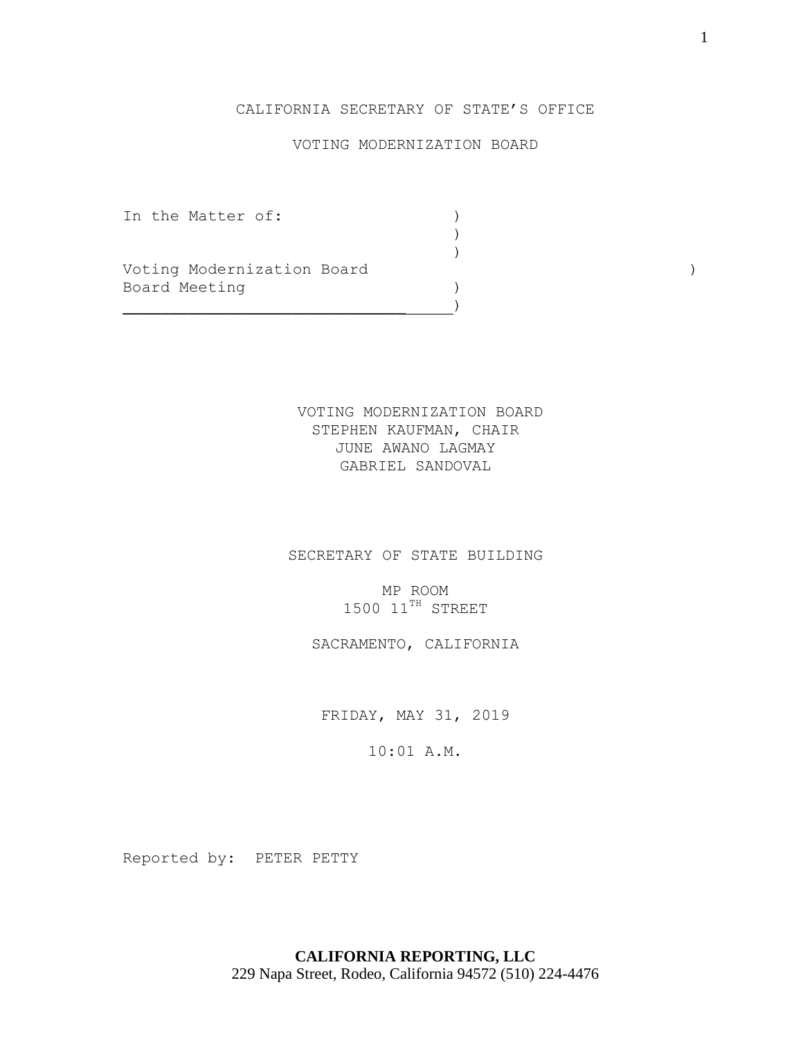# CALIFORNIA SECRETARY OF STATE'S OFFICE

# VOTING MODERNIZATION BOARD

)

 $)$ 

In the Matter of:  $\qquad \qquad$  )

Voting Modernization Board (1999) (1999) Board Meeting (1999)

 $)$ 

VOTING MODERNIZATION BOARD STEPHEN KAUFMAN, CHAIR JUNE AWANO LAGMAY GABRIEL SANDOVAL

SECRETARY OF STATE BUILDING

MP ROOM  $1500$   $11^{TH}$  STREET

SACRAMENTO, CALIFORNIA

FRIDAY, MAY 31, 2019

10:01 A.M.

Reported by: PETER PETTY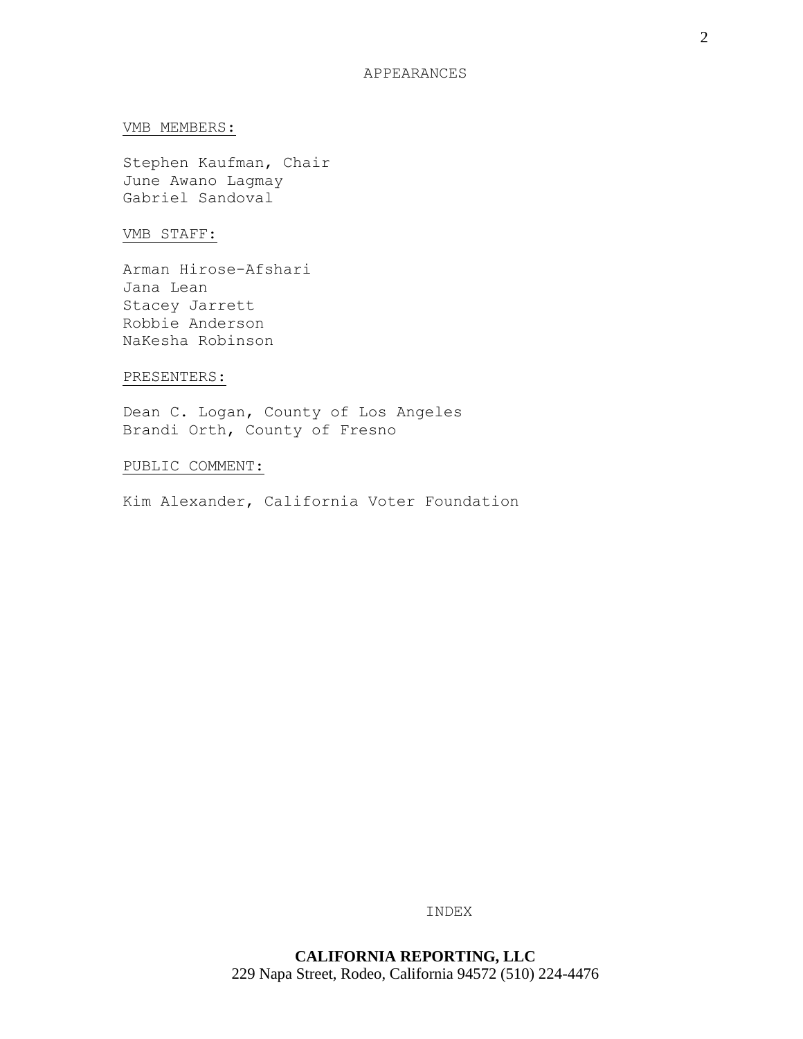#### VMB MEMBERS:

Stephen Kaufman, Chair June Awano Lagmay Gabriel Sandoval

## VMB STAFF:

Arman Hirose-Afshari Jana Lean Stacey Jarrett Robbie Anderson NaKesha Robinson

#### PRESENTERS:

Dean C. Logan, County of Los Angeles Brandi Orth, County of Fresno

## PUBLIC COMMENT:

Kim Alexander, California Voter Foundation

INDEX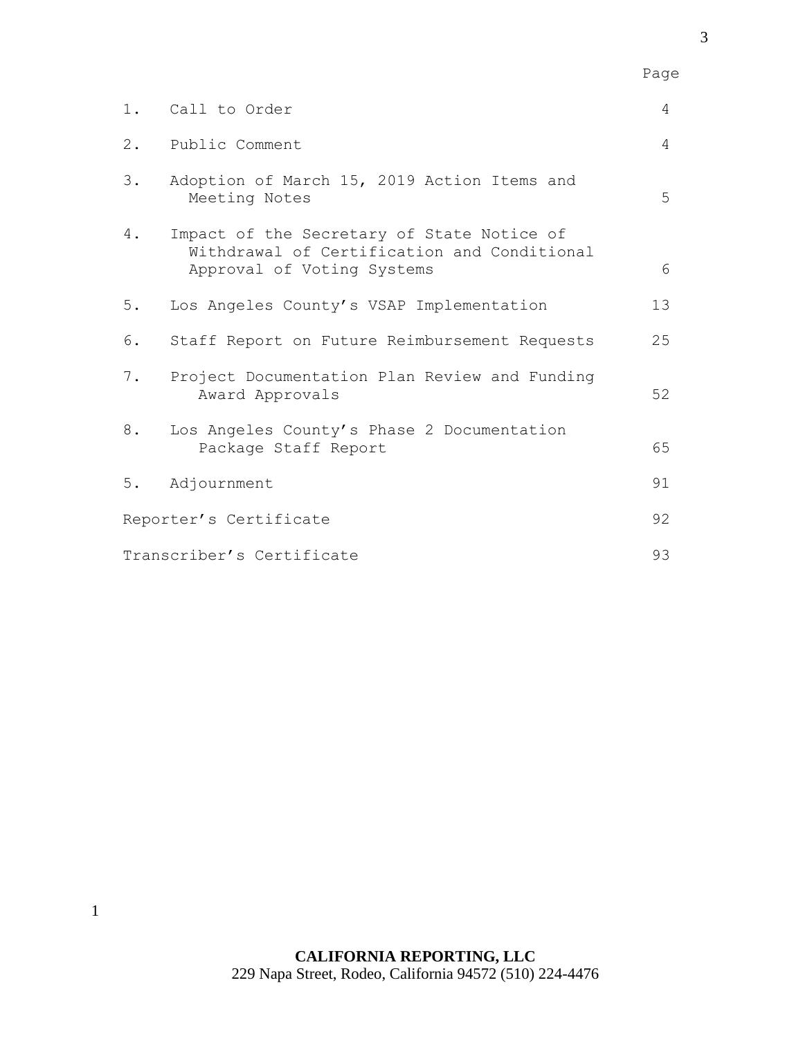|                           | 1. Call to Order                                                                                                        | 4              |
|---------------------------|-------------------------------------------------------------------------------------------------------------------------|----------------|
| $2$ .                     | Public Comment                                                                                                          | $\overline{4}$ |
| 3.                        | Adoption of March 15, 2019 Action Items and<br>Meeting Notes                                                            | 5              |
| 4.                        | Impact of the Secretary of State Notice of<br>Withdrawal of Certification and Conditional<br>Approval of Voting Systems | 6              |
| $5.$                      | Los Angeles County's VSAP Implementation                                                                                | 13             |
| 6.                        | Staff Report on Future Reimbursement Requests                                                                           | 25             |
| 7.                        | Project Documentation Plan Review and Funding<br>Award Approvals                                                        | 52             |
| 8.                        | Los Angeles County's Phase 2 Documentation<br>Package Staff Report                                                      | 65             |
| 5.                        | Adjournment                                                                                                             | 91             |
| Reporter's Certificate    |                                                                                                                         | 92             |
| Transcriber's Certificate |                                                                                                                         | 93             |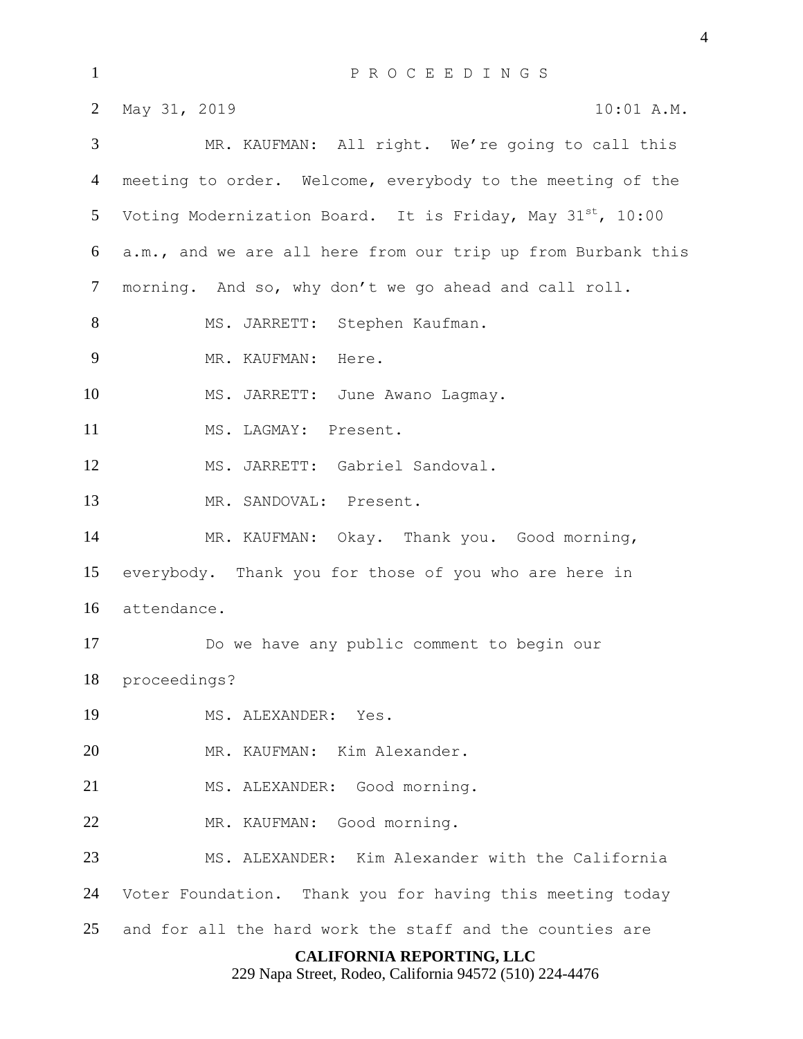| $\mathbf{1}$                                                                                | PROCEEDINGS                                                     |  |  |
|---------------------------------------------------------------------------------------------|-----------------------------------------------------------------|--|--|
| $\overline{2}$                                                                              | May 31, 2019<br>10:01 A.M.                                      |  |  |
| 3                                                                                           | MR. KAUFMAN: All right. We're going to call this                |  |  |
| $\overline{4}$                                                                              | meeting to order. Welcome, everybody to the meeting of the      |  |  |
| 5                                                                                           | Voting Modernization Board. It is Friday, May $31^{st}$ , 10:00 |  |  |
| 6                                                                                           | a.m., and we are all here from our trip up from Burbank this    |  |  |
| $\overline{7}$                                                                              | morning. And so, why don't we go ahead and call roll.           |  |  |
| 8                                                                                           | MS. JARRETT: Stephen Kaufman.                                   |  |  |
| 9                                                                                           | MR. KAUFMAN: Here.                                              |  |  |
| 10                                                                                          | MS. JARRETT: June Awano Lagmay.                                 |  |  |
| 11                                                                                          | MS. LAGMAY: Present.                                            |  |  |
| 12                                                                                          | MS. JARRETT: Gabriel Sandoval.                                  |  |  |
| 13                                                                                          | MR. SANDOVAL: Present.                                          |  |  |
| 14                                                                                          | MR. KAUFMAN: Okay. Thank you. Good morning,                     |  |  |
| 15                                                                                          | everybody. Thank you for those of you who are here in           |  |  |
| 16                                                                                          | attendance.                                                     |  |  |
| 17                                                                                          | Do we have any public comment to begin our                      |  |  |
| 18                                                                                          | proceedings?                                                    |  |  |
| 19                                                                                          | MS. ALEXANDER: Yes.                                             |  |  |
| 20                                                                                          | MR. KAUFMAN: Kim Alexander.                                     |  |  |
| 21                                                                                          | MS. ALEXANDER: Good morning.                                    |  |  |
| 22                                                                                          | MR. KAUFMAN: Good morning.                                      |  |  |
| 23                                                                                          | MS. ALEXANDER: Kim Alexander with the California                |  |  |
| 24                                                                                          | Voter Foundation. Thank you for having this meeting today       |  |  |
| 25                                                                                          | and for all the hard work the staff and the counties are        |  |  |
| <b>CALIFORNIA REPORTING, LLC</b><br>229 Napa Street, Rodeo, California 94572 (510) 224-4476 |                                                                 |  |  |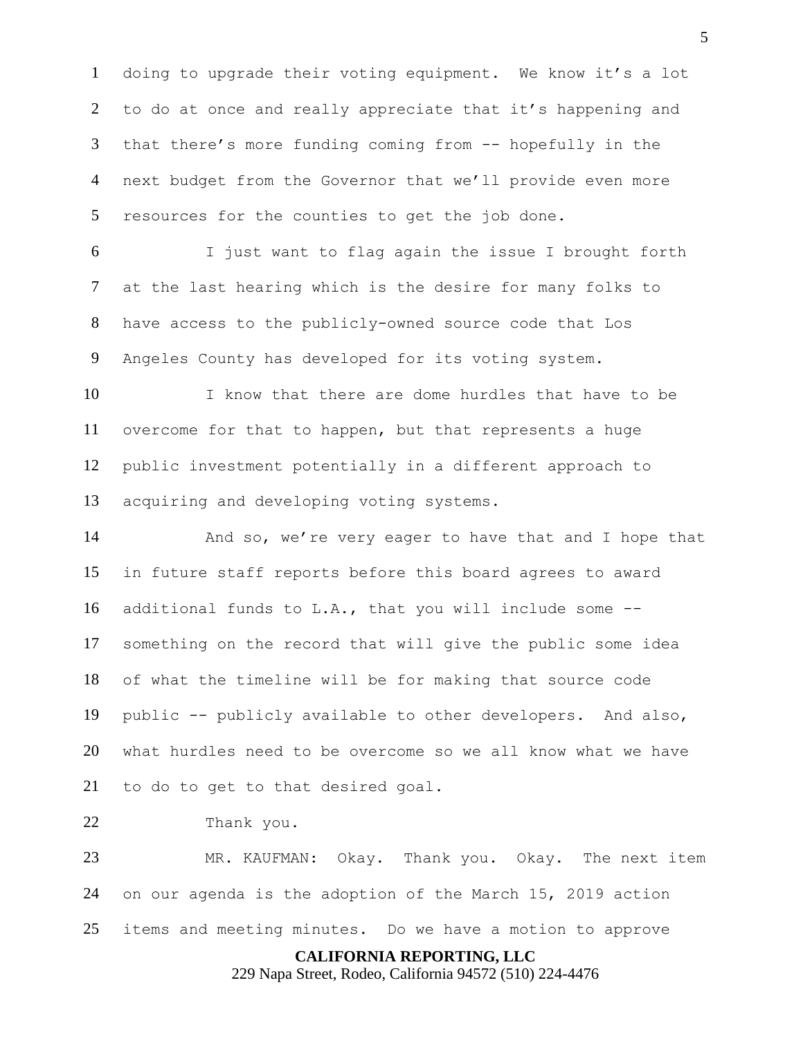doing to upgrade their voting equipment. We know it's a lot 2 to do at once and really appreciate that it's happening and that there's more funding coming from -- hopefully in the next budget from the Governor that we'll provide even more resources for the counties to get the job done.

 I just want to flag again the issue I brought forth at the last hearing which is the desire for many folks to have access to the publicly-owned source code that Los Angeles County has developed for its voting system.

 I know that there are dome hurdles that have to be overcome for that to happen, but that represents a huge public investment potentially in a different approach to acquiring and developing voting systems.

14 And so, we're very eager to have that and I hope that in future staff reports before this board agrees to award additional funds to L.A., that you will include some -- something on the record that will give the public some idea of what the timeline will be for making that source code public -- publicly available to other developers. And also, what hurdles need to be overcome so we all know what we have to do to get to that desired goal.

Thank you.

 MR. KAUFMAN: Okay. Thank you. Okay. The next item on our agenda is the adoption of the March 15, 2019 action items and meeting minutes. Do we have a motion to approve

**CALIFORNIA REPORTING, LLC**

229 Napa Street, Rodeo, California 94572 (510) 224-4476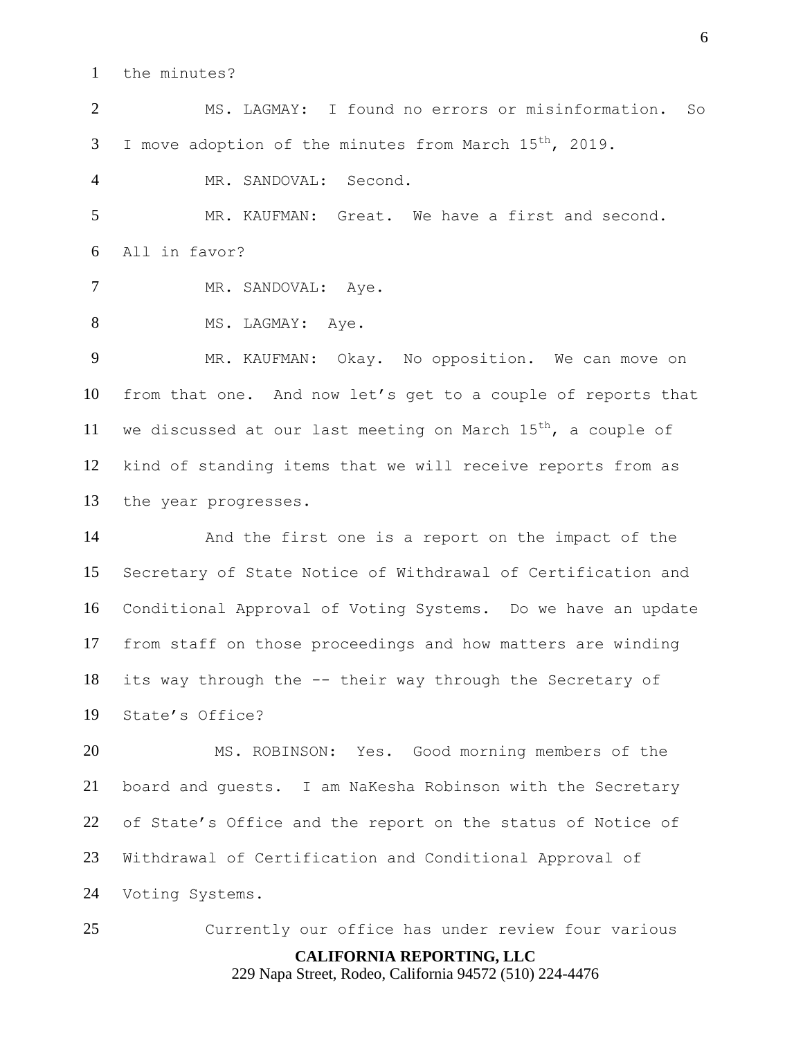the minutes?

 MS. LAGMAY: I found no errors or misinformation. So  $I$  move adoption of the minutes from March  $15^{th}$ , 2019.

MR. SANDOVAL: Second.

 MR. KAUFMAN: Great. We have a first and second. All in favor?

7 MR. SANDOVAL: Aye.

8 MS. LAGMAY: Aye.

 MR. KAUFMAN: Okay. No opposition. We can move on from that one. And now let's get to a couple of reports that 11 we discussed at our last meeting on March  $15<sup>th</sup>$ , a couple of kind of standing items that we will receive reports from as the year progresses.

 And the first one is a report on the impact of the Secretary of State Notice of Withdrawal of Certification and Conditional Approval of Voting Systems. Do we have an update from staff on those proceedings and how matters are winding its way through the -- their way through the Secretary of State's Office?

 MS. ROBINSON: Yes. Good morning members of the board and guests. I am NaKesha Robinson with the Secretary of State's Office and the report on the status of Notice of Withdrawal of Certification and Conditional Approval of Voting Systems.

**CALIFORNIA REPORTING, LLC** 229 Napa Street, Rodeo, California 94572 (510) 224-4476 Currently our office has under review four various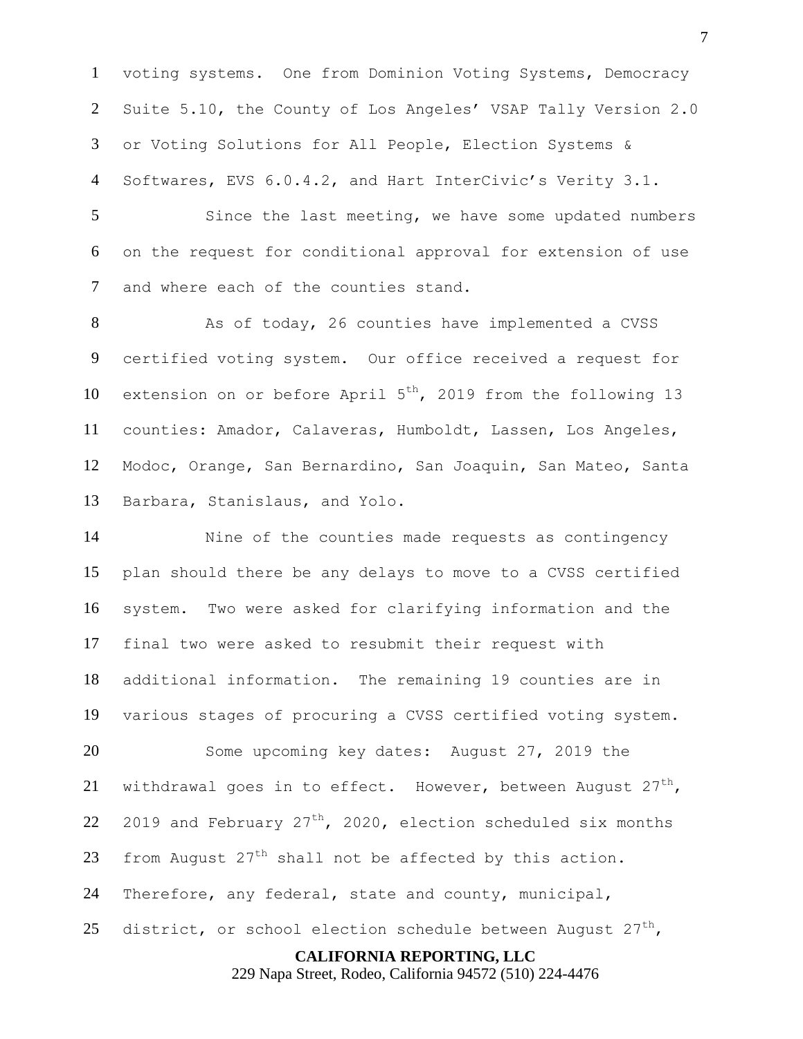voting systems. One from Dominion Voting Systems, Democracy Suite 5.10, the County of Los Angeles' VSAP Tally Version 2.0 or Voting Solutions for All People, Election Systems & Softwares, EVS 6.0.4.2, and Hart InterCivic's Verity 3.1.

 Since the last meeting, we have some updated numbers on the request for conditional approval for extension of use and where each of the counties stand.

8 As of today, 26 counties have implemented a CVSS certified voting system. Our office received a request for 10 extension on or before April  $5<sup>th</sup>$ , 2019 from the following 13 counties: Amador, Calaveras, Humboldt, Lassen, Los Angeles, Modoc, Orange, San Bernardino, San Joaquin, San Mateo, Santa Barbara, Stanislaus, and Yolo.

 Nine of the counties made requests as contingency plan should there be any delays to move to a CVSS certified system. Two were asked for clarifying information and the final two were asked to resubmit their request with additional information. The remaining 19 counties are in various stages of procuring a CVSS certified voting system. Some upcoming key dates: August 27, 2019 the 21 withdrawal goes in to effect. However, between August  $27<sup>th</sup>$ , 22 2019 and February  $27<sup>th</sup>$ , 2020, election scheduled six months 23 from August  $27<sup>th</sup>$  shall not be affected by this action. Therefore, any federal, state and county, municipal, 25 district, or school election schedule between August  $27^{th}$ ,

**CALIFORNIA REPORTING, LLC**

229 Napa Street, Rodeo, California 94572 (510) 224-4476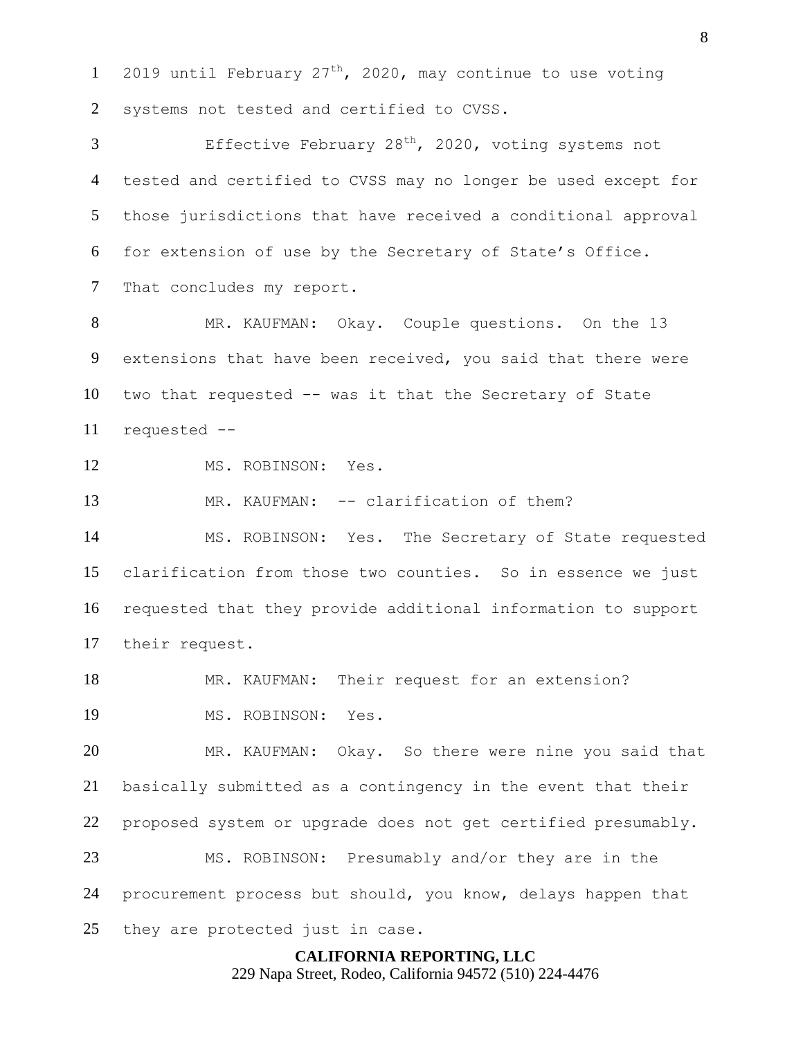1 2019 until February  $27<sup>th</sup>$ , 2020, may continue to use voting 2 systems not tested and certified to CVSS.

 $\overline{3}$  Effective February 28<sup>th</sup>, 2020, voting systems not tested and certified to CVSS may no longer be used except for those jurisdictions that have received a conditional approval for extension of use by the Secretary of State's Office. That concludes my report.

 MR. KAUFMAN: Okay. Couple questions. On the 13 extensions that have been received, you said that there were two that requested -- was it that the Secretary of State requested --

MS. ROBINSON: Yes.

13 MR. KAUFMAN: -- clarification of them?

 MS. ROBINSON: Yes. The Secretary of State requested clarification from those two counties. So in essence we just requested that they provide additional information to support their request.

MR. KAUFMAN: Their request for an extension?

MS. ROBINSON: Yes.

 MR. KAUFMAN: Okay. So there were nine you said that basically submitted as a contingency in the event that their proposed system or upgrade does not get certified presumably. MS. ROBINSON: Presumably and/or they are in the

procurement process but should, you know, delays happen that

25 they are protected just in case.

# **CALIFORNIA REPORTING, LLC**

229 Napa Street, Rodeo, California 94572 (510) 224-4476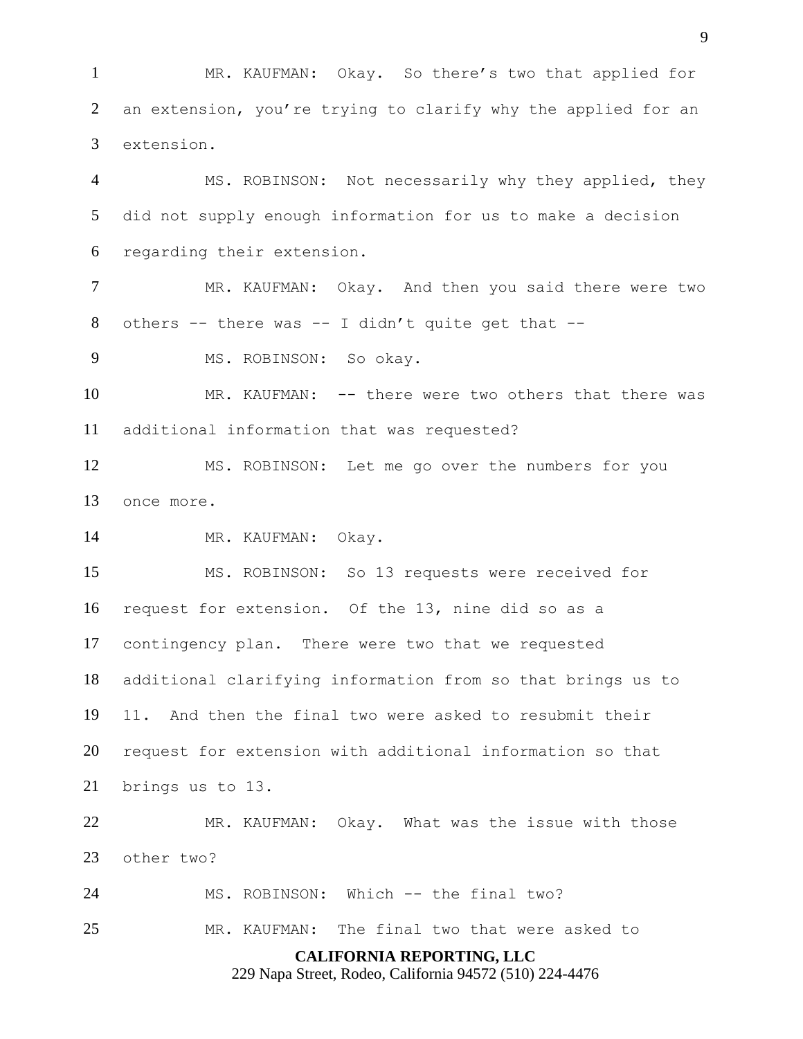MR. KAUFMAN: Okay. So there's two that applied for an extension, you're trying to clarify why the applied for an extension.

 MS. ROBINSON: Not necessarily why they applied, they did not supply enough information for us to make a decision regarding their extension.

 MR. KAUFMAN: Okay. And then you said there were two 8 others  $-$ - there was  $-$ - I didn't quite get that  $-$ -

MS. ROBINSON: So okay.

 MR. KAUFMAN: -- there were two others that there was additional information that was requested?

 MS. ROBINSON: Let me go over the numbers for you once more.

MR. KAUFMAN: Okay.

 MS. ROBINSON: So 13 requests were received for request for extension. Of the 13, nine did so as a contingency plan. There were two that we requested additional clarifying information from so that brings us to 11. And then the final two were asked to resubmit their request for extension with additional information so that brings us to 13.

 MR. KAUFMAN: Okay. What was the issue with those other two?

MS. ROBINSON: Which -- the final two?

MR. KAUFMAN: The final two that were asked to

**CALIFORNIA REPORTING, LLC**

229 Napa Street, Rodeo, California 94572 (510) 224-4476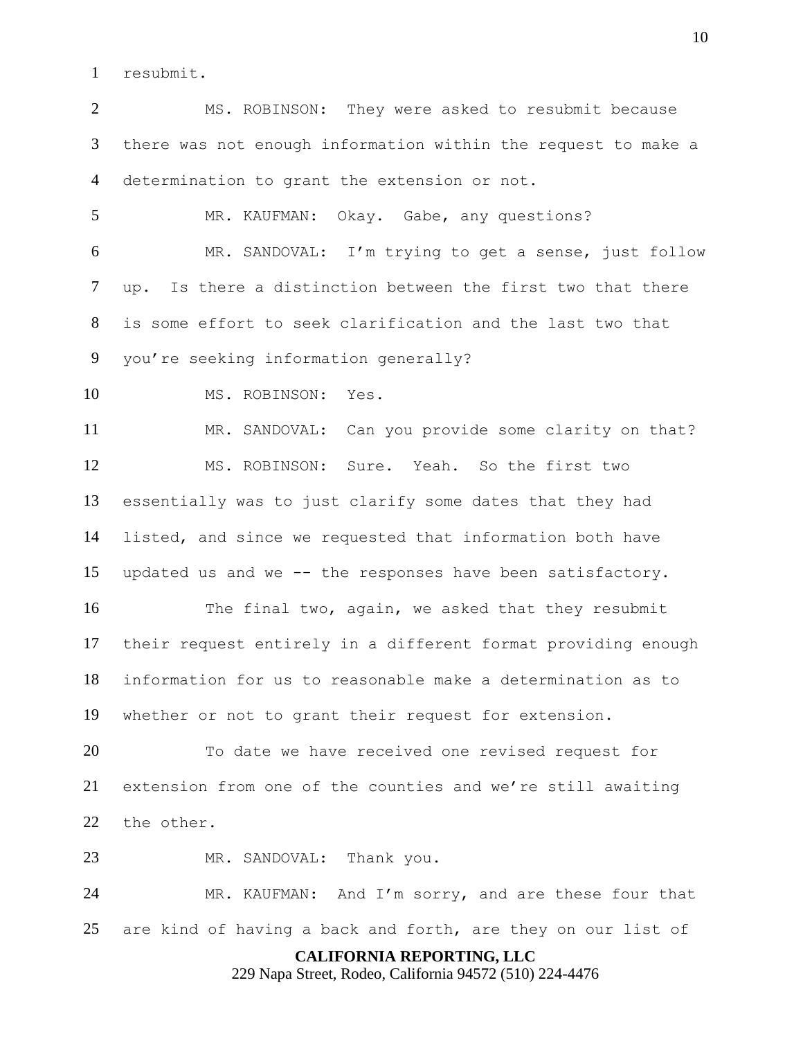resubmit.

 MS. ROBINSON: They were asked to resubmit because there was not enough information within the request to make a determination to grant the extension or not.

 MR. KAUFMAN: Okay. Gabe, any questions? MR. SANDOVAL: I'm trying to get a sense, just follow up. Is there a distinction between the first two that there is some effort to seek clarification and the last two that you're seeking information generally?

10 MS. ROBINSON: Yes.

 MR. SANDOVAL: Can you provide some clarity on that? MS. ROBINSON: Sure. Yeah. So the first two essentially was to just clarify some dates that they had listed, and since we requested that information both have updated us and we -- the responses have been satisfactory.

 The final two, again, we asked that they resubmit their request entirely in a different format providing enough information for us to reasonable make a determination as to whether or not to grant their request for extension.

 To date we have received one revised request for extension from one of the counties and we're still awaiting the other.

23 MR. SANDOVAL: Thank you.

 MR. KAUFMAN: And I'm sorry, and are these four that are kind of having a back and forth, are they on our list of

## **CALIFORNIA REPORTING, LLC**

229 Napa Street, Rodeo, California 94572 (510) 224-4476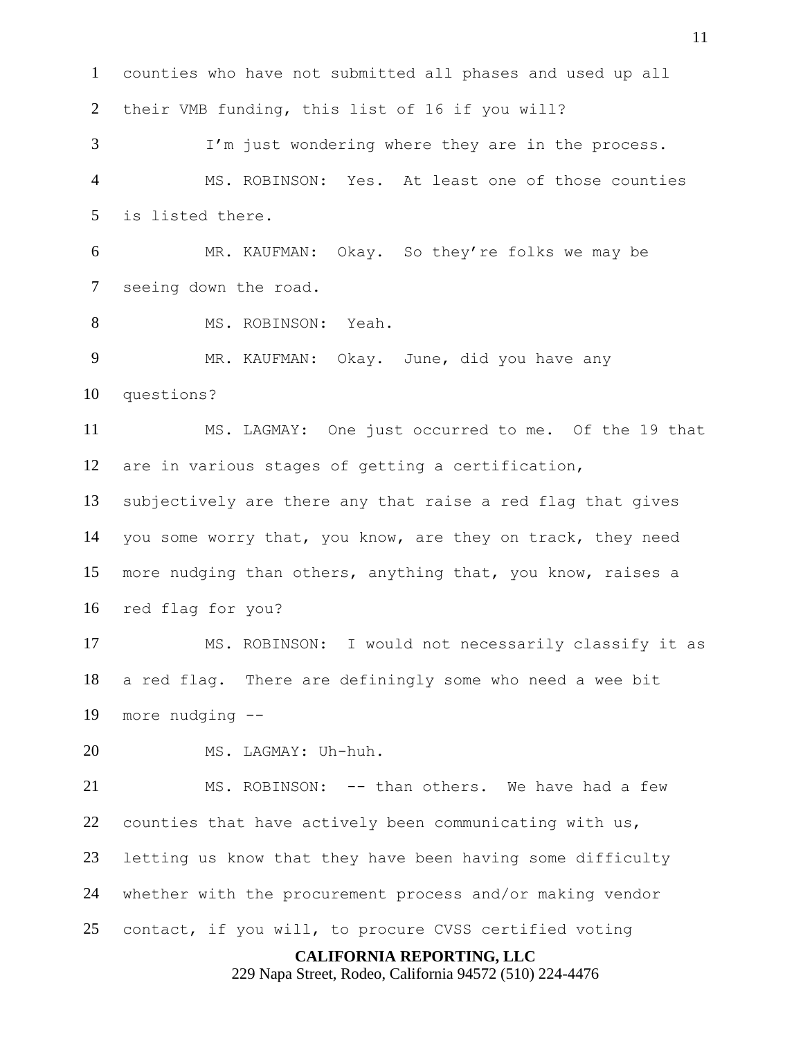counties who have not submitted all phases and used up all their VMB funding, this list of 16 if you will? I'm just wondering where they are in the process. MS. ROBINSON: Yes. At least one of those counties is listed there. MR. KAUFMAN: Okay. So they're folks we may be seeing down the road. 8 MS. ROBINSON: Yeah. 9 MR. KAUFMAN: Okay. June, did you have any questions? MS. LAGMAY: One just occurred to me. Of the 19 that are in various stages of getting a certification, subjectively are there any that raise a red flag that gives you some worry that, you know, are they on track, they need more nudging than others, anything that, you know, raises a red flag for you? MS. ROBINSON: I would not necessarily classify it as a red flag. There are definingly some who need a wee bit more nudging -- MS. LAGMAY: Uh-huh. MS. ROBINSON: -- than others. We have had a few counties that have actively been communicating with us, letting us know that they have been having some difficulty whether with the procurement process and/or making vendor contact, if you will, to procure CVSS certified voting

**CALIFORNIA REPORTING, LLC**

229 Napa Street, Rodeo, California 94572 (510) 224-4476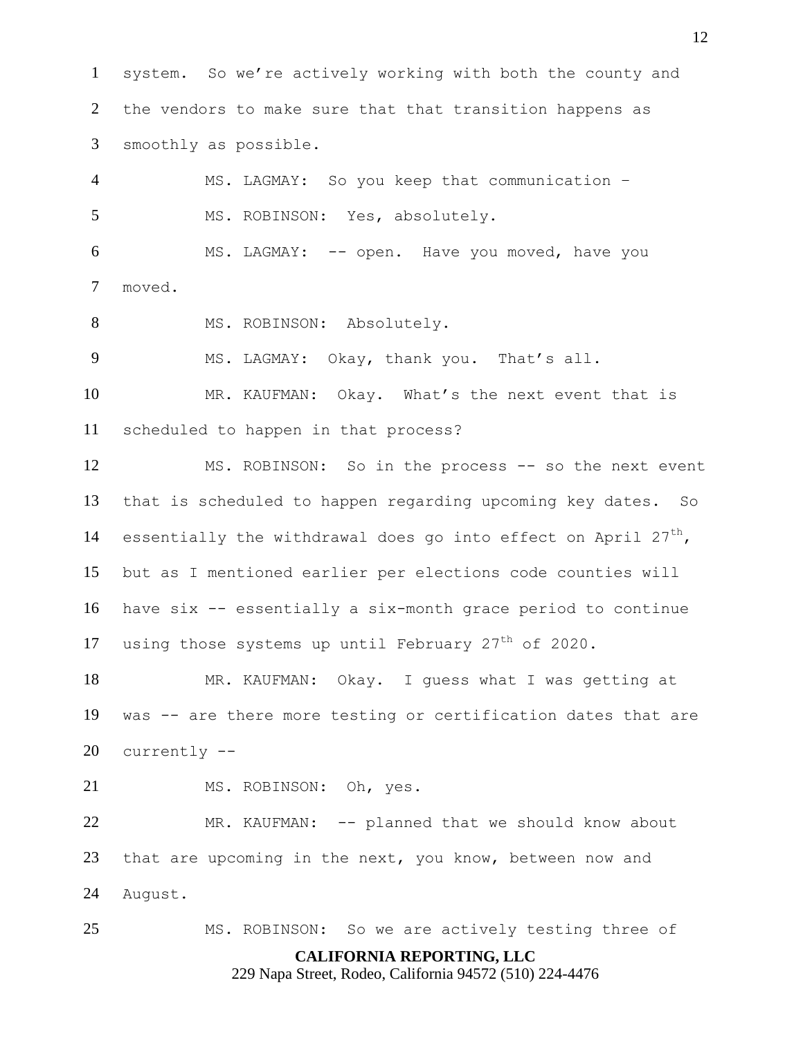system. So we're actively working with both the county and the vendors to make sure that that transition happens as smoothly as possible.

 MS. LAGMAY: So you keep that communication – MS. ROBINSON: Yes, absolutely. MS. LAGMAY: -- open. Have you moved, have you

- moved.
- 8 MS. ROBINSON: Absolutely.

MS. LAGMAY: Okay, thank you. That's all.

 MR. KAUFMAN: Okay. What's the next event that is scheduled to happen in that process?

 MS. ROBINSON: So in the process -- so the next event that is scheduled to happen regarding upcoming key dates. So 14 essentially the withdrawal does go into effect on April  $27<sup>th</sup>$ , but as I mentioned earlier per elections code counties will have six -- essentially a six-month grace period to continue 17 using those systems up until February  $27<sup>th</sup>$  of 2020.

 MR. KAUFMAN: Okay. I guess what I was getting at was -- are there more testing or certification dates that are currently --

21 MS. ROBINSON: Oh, yes.

 MR. KAUFMAN: -- planned that we should know about that are upcoming in the next, you know, between now and August.

MS. ROBINSON: So we are actively testing three of

## **CALIFORNIA REPORTING, LLC**

229 Napa Street, Rodeo, California 94572 (510) 224-4476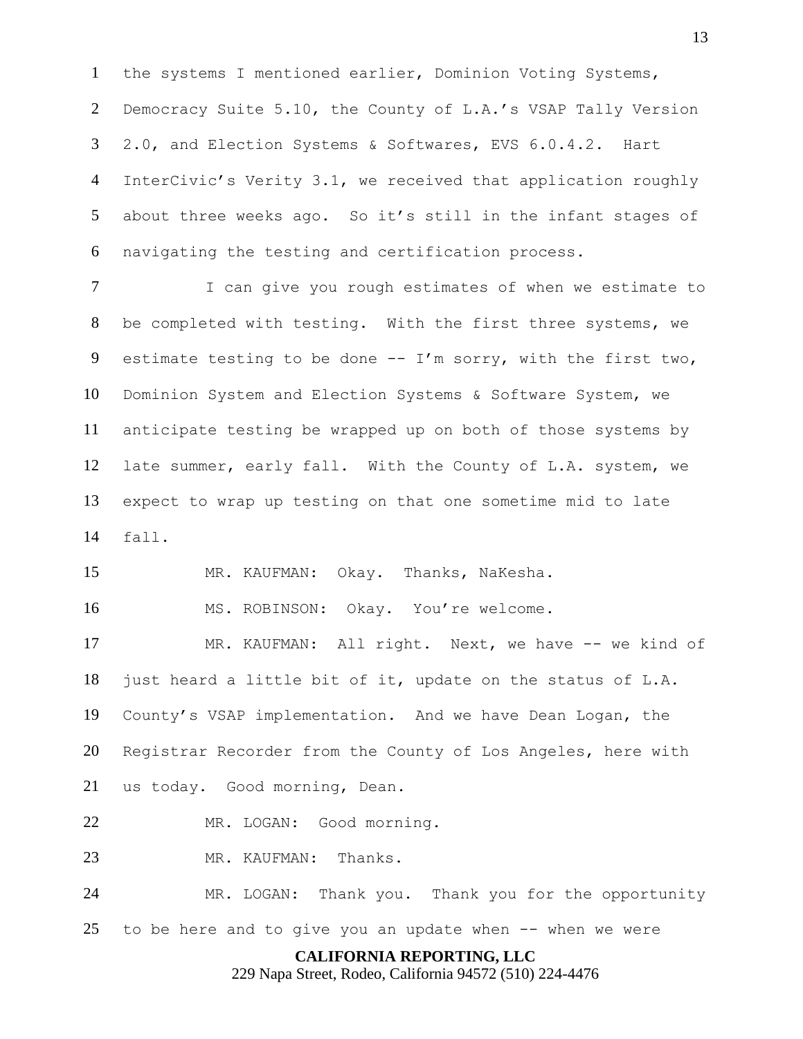the systems I mentioned earlier, Dominion Voting Systems, Democracy Suite 5.10, the County of L.A.'s VSAP Tally Version 2.0, and Election Systems & Softwares, EVS 6.0.4.2. Hart InterCivic's Verity 3.1, we received that application roughly about three weeks ago. So it's still in the infant stages of navigating the testing and certification process.

 I can give you rough estimates of when we estimate to be completed with testing. With the first three systems, we 9 estimate testing to be done  $-$ - I'm sorry, with the first two, Dominion System and Election Systems & Software System, we anticipate testing be wrapped up on both of those systems by late summer, early fall. With the County of L.A. system, we expect to wrap up testing on that one sometime mid to late fall.

MR. KAUFMAN: Okay. Thanks, NaKesha.

16 MS. ROBINSON: Okay. You're welcome.

 MR. KAUFMAN: All right. Next, we have -- we kind of just heard a little bit of it, update on the status of L.A. County's VSAP implementation. And we have Dean Logan, the Registrar Recorder from the County of Los Angeles, here with us today. Good morning, Dean.

MR. LOGAN: Good morning.

23 MR. KAUFMAN: Thanks.

 MR. LOGAN: Thank you. Thank you for the opportunity to be here and to give you an update when -- when we were

**CALIFORNIA REPORTING, LLC**

229 Napa Street, Rodeo, California 94572 (510) 224-4476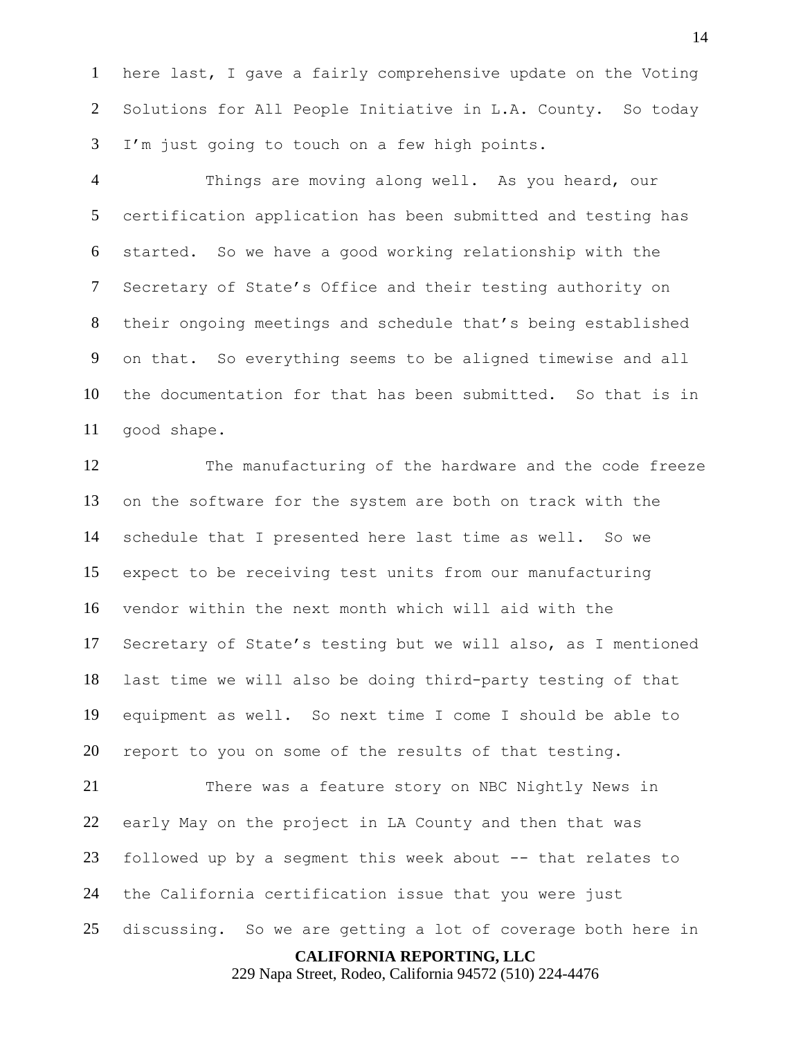here last, I gave a fairly comprehensive update on the Voting Solutions for All People Initiative in L.A. County. So today I'm just going to touch on a few high points.

 Things are moving along well. As you heard, our certification application has been submitted and testing has started. So we have a good working relationship with the Secretary of State's Office and their testing authority on their ongoing meetings and schedule that's being established on that. So everything seems to be aligned timewise and all the documentation for that has been submitted. So that is in good shape.

 The manufacturing of the hardware and the code freeze on the software for the system are both on track with the schedule that I presented here last time as well. So we expect to be receiving test units from our manufacturing vendor within the next month which will aid with the Secretary of State's testing but we will also, as I mentioned last time we will also be doing third-party testing of that equipment as well. So next time I come I should be able to report to you on some of the results of that testing.

 There was a feature story on NBC Nightly News in early May on the project in LA County and then that was followed up by a segment this week about -- that relates to the California certification issue that you were just discussing. So we are getting a lot of coverage both here in

**CALIFORNIA REPORTING, LLC**

229 Napa Street, Rodeo, California 94572 (510) 224-4476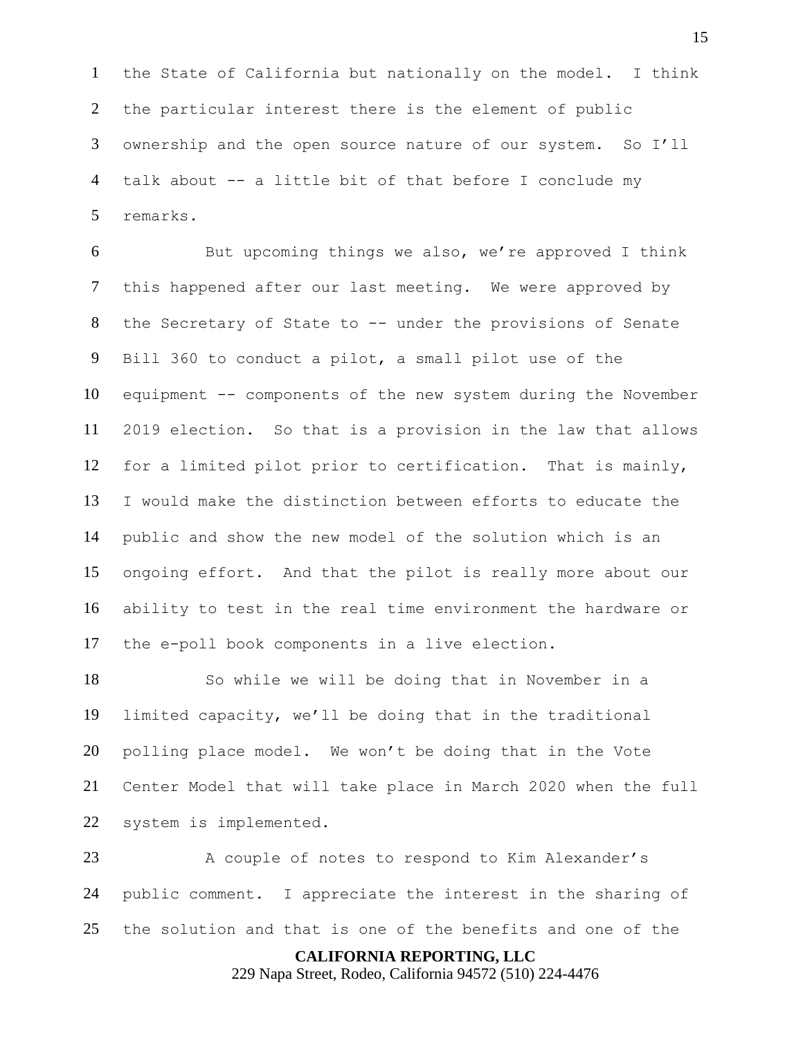the State of California but nationally on the model. I think the particular interest there is the element of public ownership and the open source nature of our system. So I'll talk about -- a little bit of that before I conclude my remarks.

 But upcoming things we also, we're approved I think this happened after our last meeting. We were approved by the Secretary of State to -- under the provisions of Senate Bill 360 to conduct a pilot, a small pilot use of the equipment -- components of the new system during the November 2019 election. So that is a provision in the law that allows for a limited pilot prior to certification. That is mainly, I would make the distinction between efforts to educate the public and show the new model of the solution which is an ongoing effort. And that the pilot is really more about our ability to test in the real time environment the hardware or the e-poll book components in a live election.

 So while we will be doing that in November in a limited capacity, we'll be doing that in the traditional polling place model. We won't be doing that in the Vote Center Model that will take place in March 2020 when the full system is implemented.

23 A couple of notes to respond to Kim Alexander's public comment. I appreciate the interest in the sharing of the solution and that is one of the benefits and one of the

**CALIFORNIA REPORTING, LLC**

229 Napa Street, Rodeo, California 94572 (510) 224-4476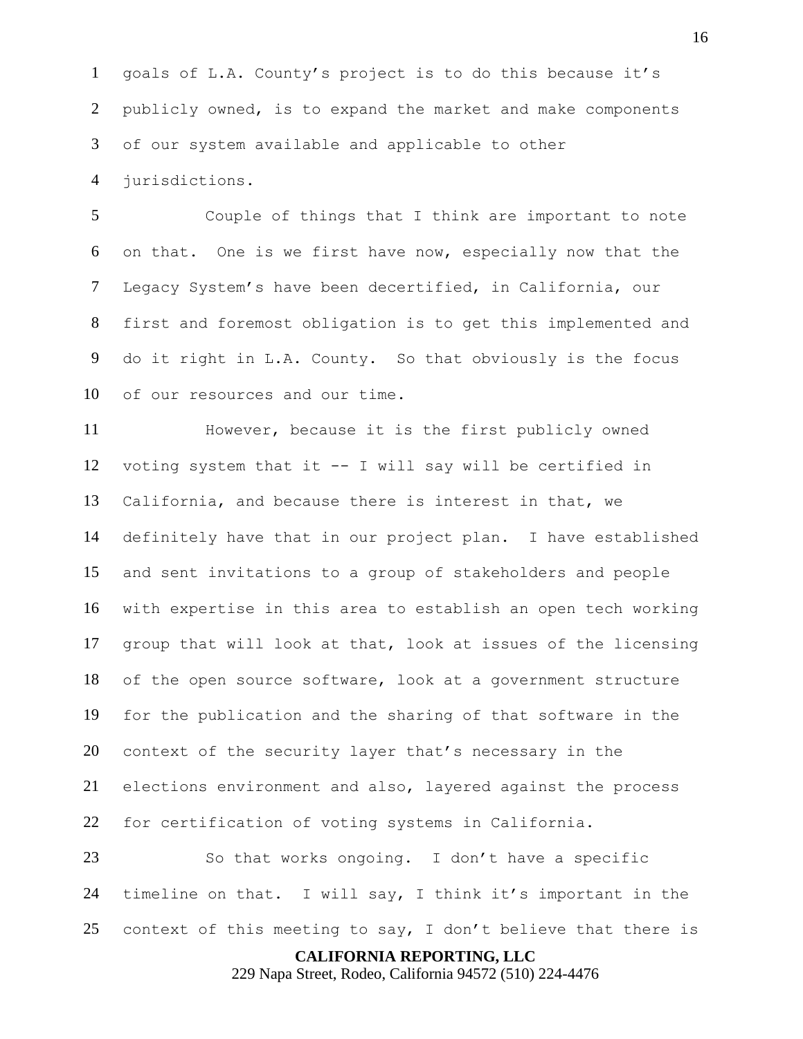goals of L.A. County's project is to do this because it's publicly owned, is to expand the market and make components of our system available and applicable to other

jurisdictions.

 Couple of things that I think are important to note on that. One is we first have now, especially now that the Legacy System's have been decertified, in California, our first and foremost obligation is to get this implemented and do it right in L.A. County. So that obviously is the focus of our resources and our time.

 However, because it is the first publicly owned voting system that it -- I will say will be certified in California, and because there is interest in that, we definitely have that in our project plan. I have established and sent invitations to a group of stakeholders and people with expertise in this area to establish an open tech working group that will look at that, look at issues of the licensing of the open source software, look at a government structure for the publication and the sharing of that software in the context of the security layer that's necessary in the elections environment and also, layered against the process for certification of voting systems in California.

 So that works ongoing. I don't have a specific timeline on that. I will say, I think it's important in the context of this meeting to say, I don't believe that there is

**CALIFORNIA REPORTING, LLC**

229 Napa Street, Rodeo, California 94572 (510) 224-4476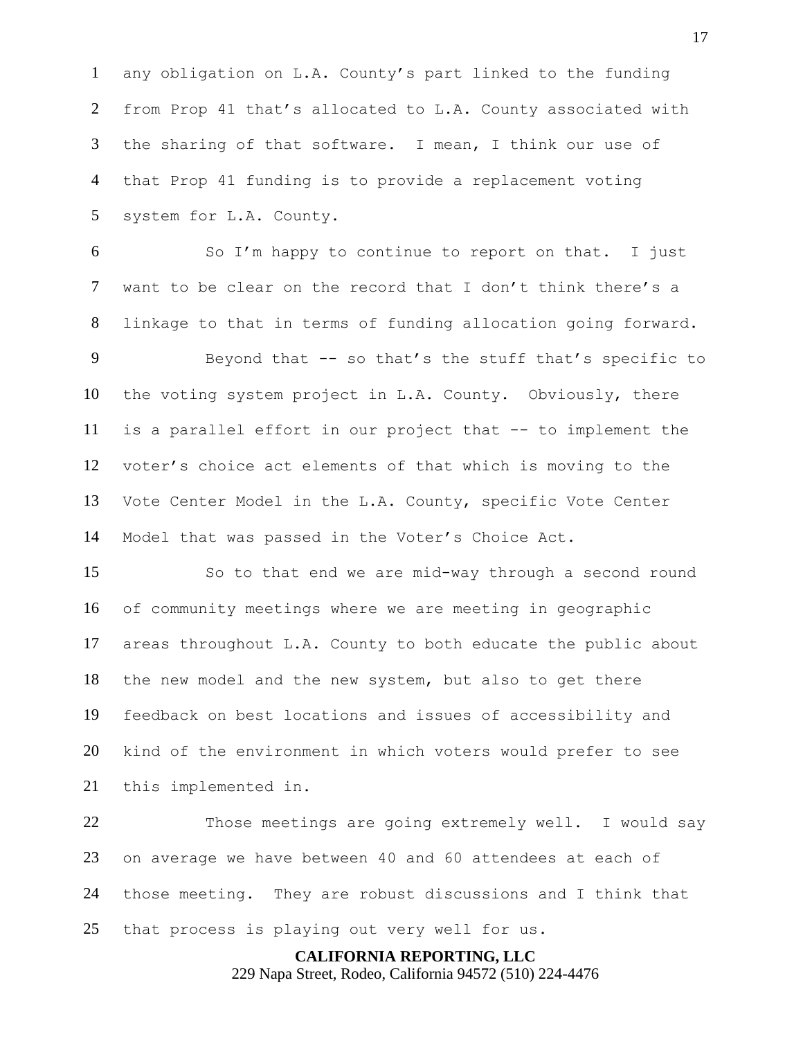any obligation on L.A. County's part linked to the funding from Prop 41 that's allocated to L.A. County associated with the sharing of that software. I mean, I think our use of that Prop 41 funding is to provide a replacement voting system for L.A. County.

 So I'm happy to continue to report on that. I just want to be clear on the record that I don't think there's a linkage to that in terms of funding allocation going forward.

 Beyond that -- so that's the stuff that's specific to the voting system project in L.A. County. Obviously, there is a parallel effort in our project that -- to implement the voter's choice act elements of that which is moving to the Vote Center Model in the L.A. County, specific Vote Center Model that was passed in the Voter's Choice Act.

 So to that end we are mid-way through a second round of community meetings where we are meeting in geographic areas throughout L.A. County to both educate the public about the new model and the new system, but also to get there feedback on best locations and issues of accessibility and kind of the environment in which voters would prefer to see this implemented in.

 Those meetings are going extremely well. I would say on average we have between 40 and 60 attendees at each of those meeting. They are robust discussions and I think that that process is playing out very well for us.

> **CALIFORNIA REPORTING, LLC** 229 Napa Street, Rodeo, California 94572 (510) 224-4476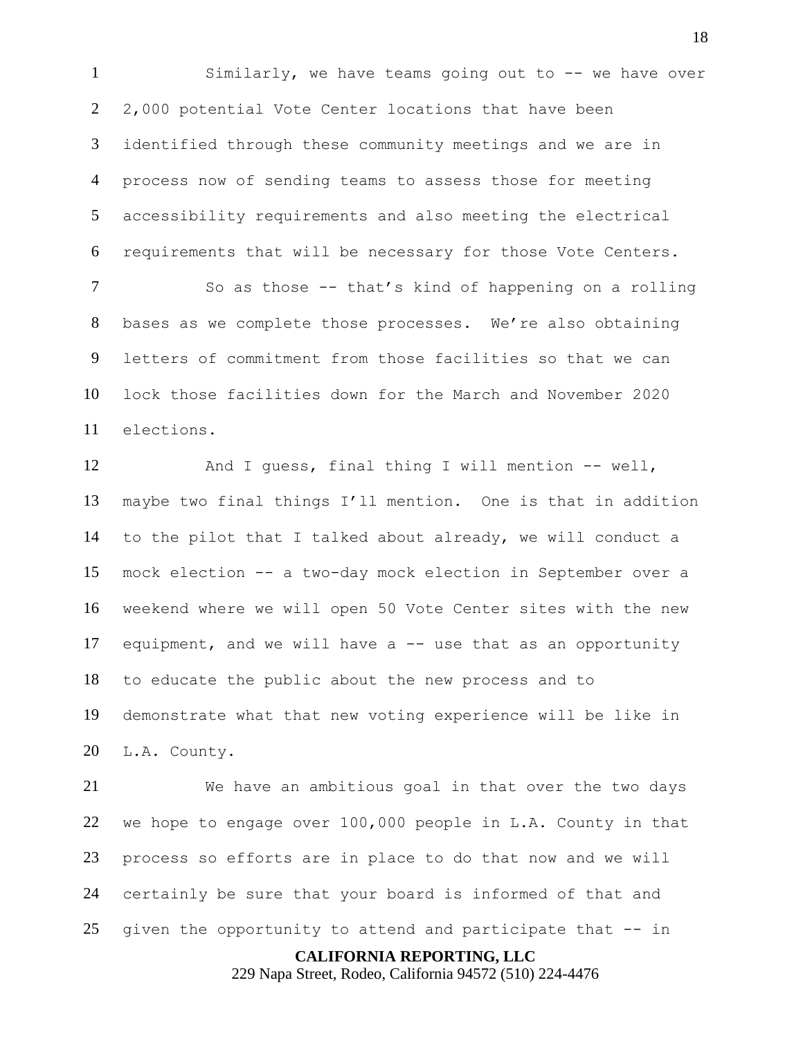Similarly, we have teams going out to -- we have over 2,000 potential Vote Center locations that have been identified through these community meetings and we are in process now of sending teams to assess those for meeting accessibility requirements and also meeting the electrical requirements that will be necessary for those Vote Centers.

7 So as those -- that's kind of happening on a rolling bases as we complete those processes. We're also obtaining letters of commitment from those facilities so that we can lock those facilities down for the March and November 2020 elections.

 And I guess, final thing I will mention -- well, maybe two final things I'll mention. One is that in addition to the pilot that I talked about already, we will conduct a mock election -- a two-day mock election in September over a weekend where we will open 50 Vote Center sites with the new equipment, and we will have a -- use that as an opportunity to educate the public about the new process and to demonstrate what that new voting experience will be like in L.A. County.

 We have an ambitious goal in that over the two days we hope to engage over 100,000 people in L.A. County in that process so efforts are in place to do that now and we will certainly be sure that your board is informed of that and given the opportunity to attend and participate that -- in

#### **CALIFORNIA REPORTING, LLC**

229 Napa Street, Rodeo, California 94572 (510) 224-4476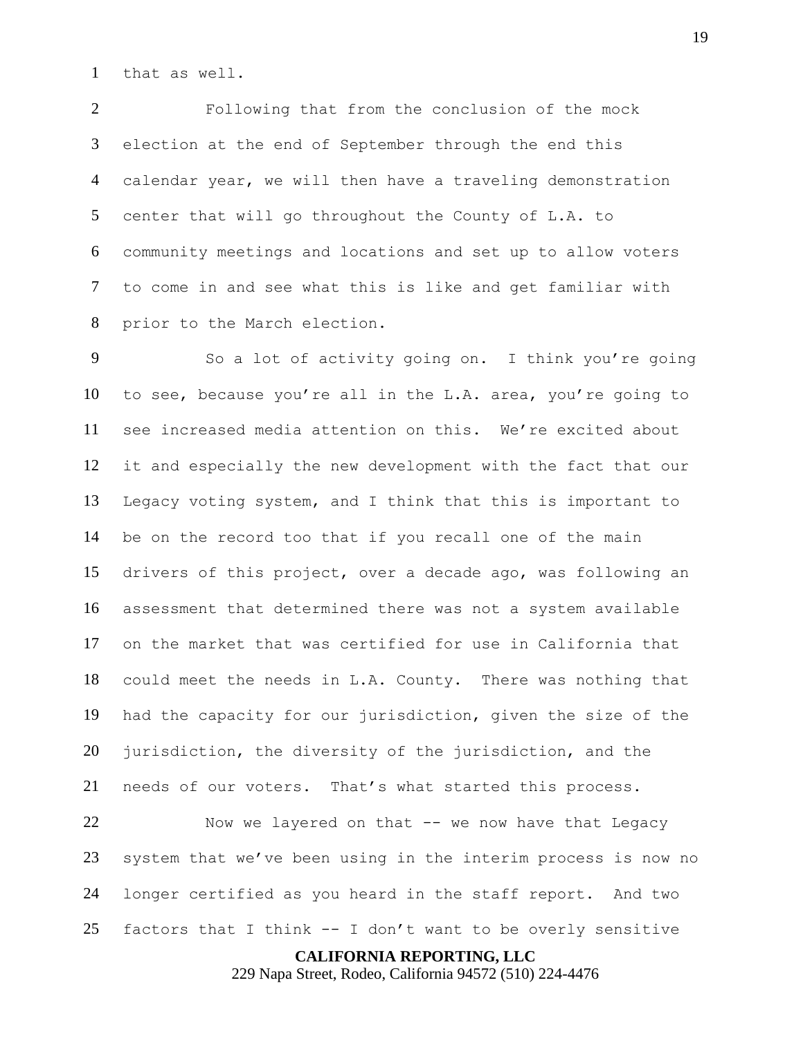that as well.

 Following that from the conclusion of the mock election at the end of September through the end this calendar year, we will then have a traveling demonstration center that will go throughout the County of L.A. to community meetings and locations and set up to allow voters to come in and see what this is like and get familiar with prior to the March election.

 So a lot of activity going on. I think you're going to see, because you're all in the L.A. area, you're going to see increased media attention on this. We're excited about it and especially the new development with the fact that our Legacy voting system, and I think that this is important to be on the record too that if you recall one of the main drivers of this project, over a decade ago, was following an assessment that determined there was not a system available on the market that was certified for use in California that could meet the needs in L.A. County. There was nothing that had the capacity for our jurisdiction, given the size of the 20 jurisdiction, the diversity of the jurisdiction, and the needs of our voters. That's what started this process.

 Now we layered on that -- we now have that Legacy system that we've been using in the interim process is now no longer certified as you heard in the staff report. And two 25 factors that I think  $-$  I don't want to be overly sensitive

**CALIFORNIA REPORTING, LLC**

229 Napa Street, Rodeo, California 94572 (510) 224-4476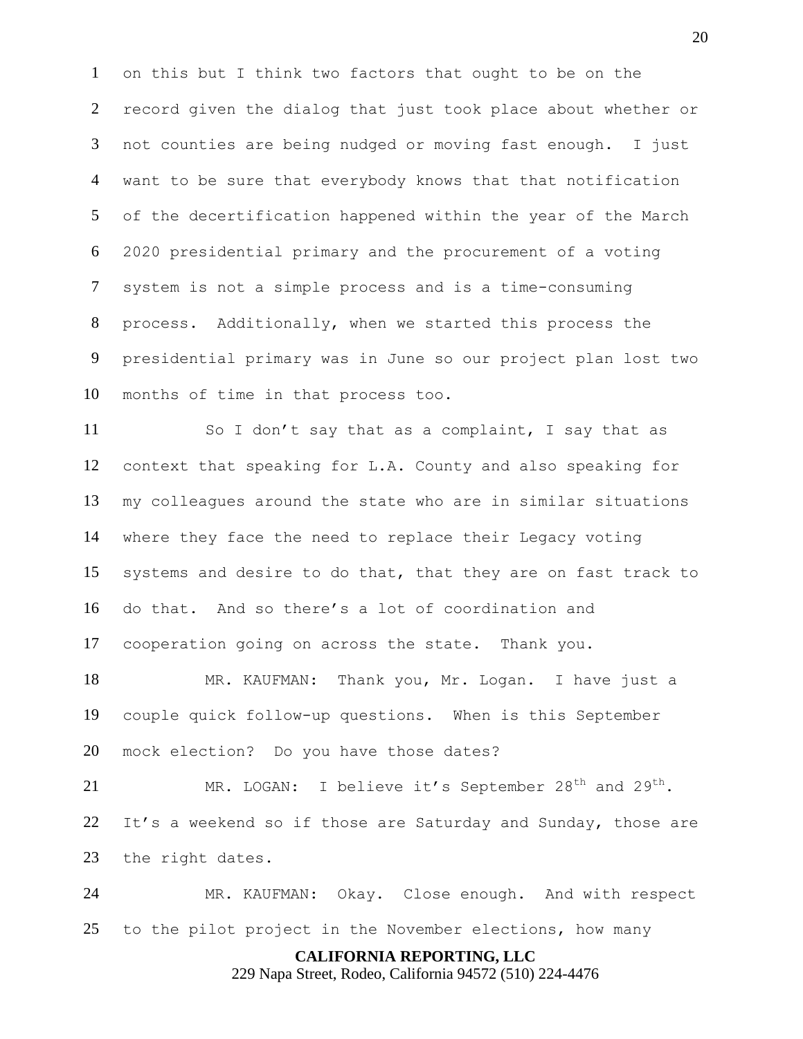on this but I think two factors that ought to be on the record given the dialog that just took place about whether or not counties are being nudged or moving fast enough. I just want to be sure that everybody knows that that notification of the decertification happened within the year of the March 2020 presidential primary and the procurement of a voting system is not a simple process and is a time-consuming process. Additionally, when we started this process the presidential primary was in June so our project plan lost two months of time in that process too.

11 So I don't say that as a complaint, I say that as context that speaking for L.A. County and also speaking for my colleagues around the state who are in similar situations where they face the need to replace their Legacy voting systems and desire to do that, that they are on fast track to do that. And so there's a lot of coordination and cooperation going on across the state. Thank you.

 MR. KAUFMAN: Thank you, Mr. Logan. I have just a couple quick follow-up questions. When is this September mock election? Do you have those dates?

21 MR. LOGAN: I believe it's September  $28<sup>th</sup>$  and  $29<sup>th</sup>$ . It's a weekend so if those are Saturday and Sunday, those are the right dates.

 MR. KAUFMAN: Okay. Close enough. And with respect to the pilot project in the November elections, how many

#### **CALIFORNIA REPORTING, LLC**

229 Napa Street, Rodeo, California 94572 (510) 224-4476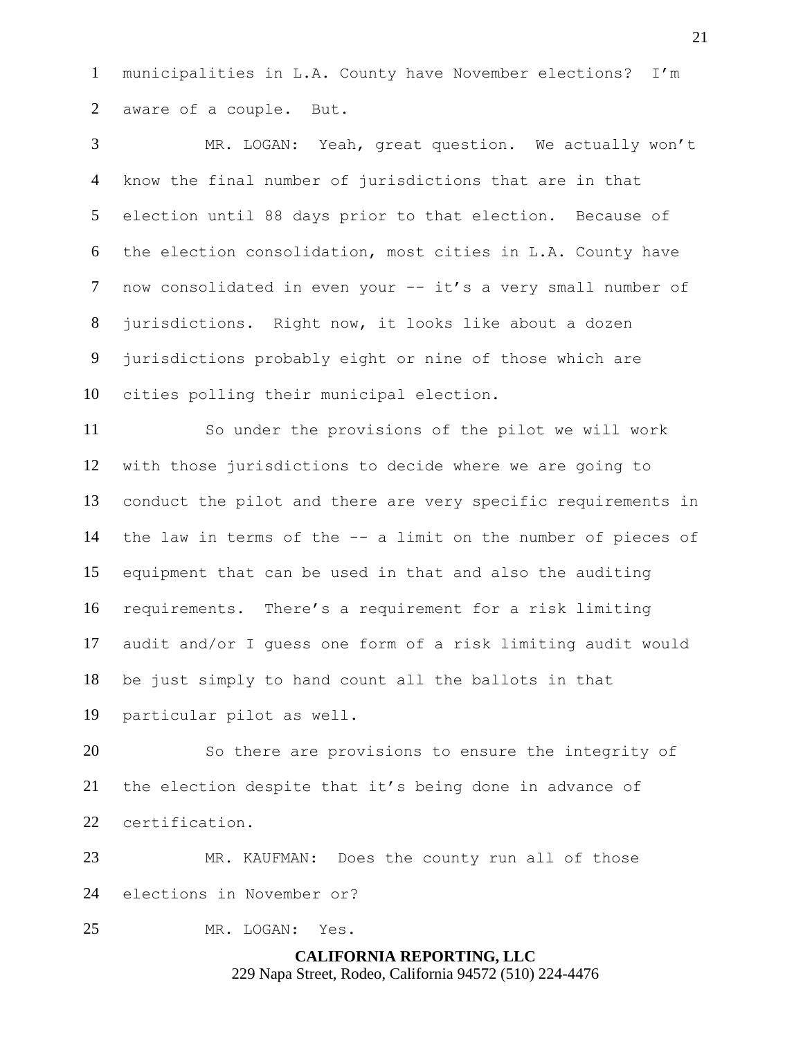municipalities in L.A. County have November elections? I'm aware of a couple. But.

 MR. LOGAN: Yeah, great question. We actually won't know the final number of jurisdictions that are in that election until 88 days prior to that election. Because of the election consolidation, most cities in L.A. County have now consolidated in even your -- it's a very small number of jurisdictions. Right now, it looks like about a dozen jurisdictions probably eight or nine of those which are cities polling their municipal election.

 So under the provisions of the pilot we will work with those jurisdictions to decide where we are going to conduct the pilot and there are very specific requirements in the law in terms of the -- a limit on the number of pieces of equipment that can be used in that and also the auditing requirements. There's a requirement for a risk limiting audit and/or I guess one form of a risk limiting audit would be just simply to hand count all the ballots in that particular pilot as well.

 So there are provisions to ensure the integrity of the election despite that it's being done in advance of certification.

 MR. KAUFMAN: Does the county run all of those elections in November or?

MR. LOGAN: Yes.

**CALIFORNIA REPORTING, LLC** 229 Napa Street, Rodeo, California 94572 (510) 224-4476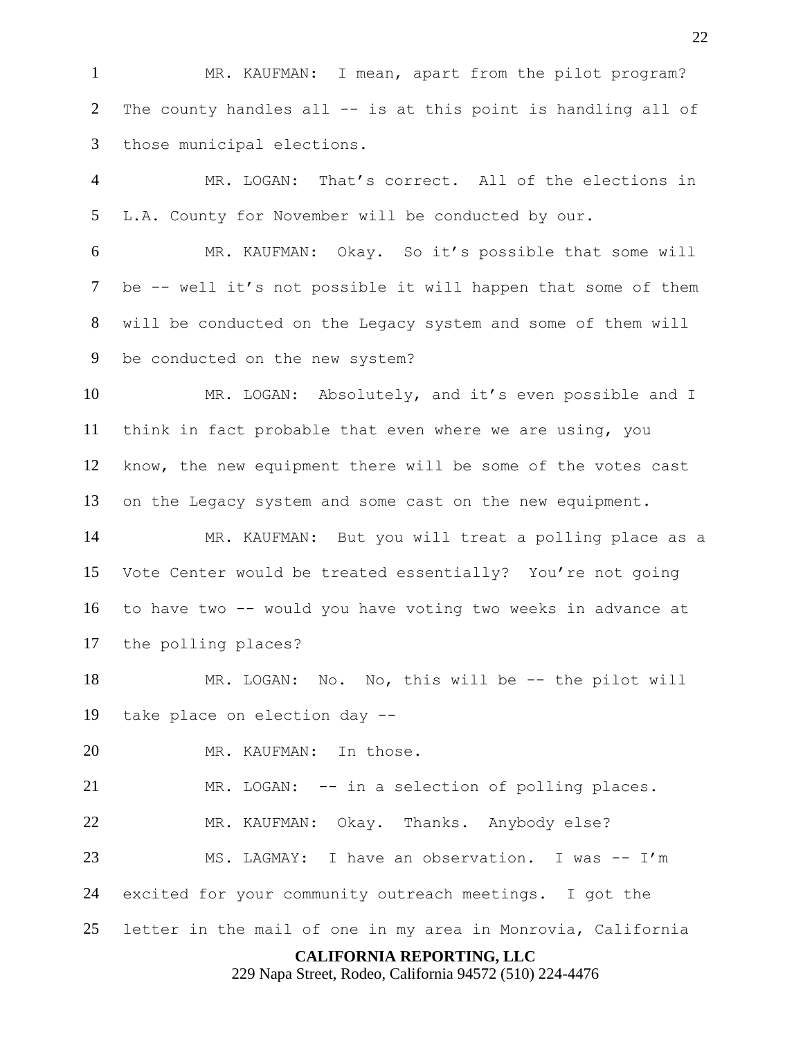MR. KAUFMAN: I mean, apart from the pilot program? The county handles all -- is at this point is handling all of those municipal elections.

 MR. LOGAN: That's correct. All of the elections in L.A. County for November will be conducted by our.

 MR. KAUFMAN: Okay. So it's possible that some will be -- well it's not possible it will happen that some of them will be conducted on the Legacy system and some of them will be conducted on the new system?

10 MR. LOGAN: Absolutely, and it's even possible and I think in fact probable that even where we are using, you know, the new equipment there will be some of the votes cast on the Legacy system and some cast on the new equipment.

 MR. KAUFMAN: But you will treat a polling place as a Vote Center would be treated essentially? You're not going to have two -- would you have voting two weeks in advance at the polling places?

 MR. LOGAN: No. No, this will be -- the pilot will take place on election day --

MR. KAUFMAN: In those.

 MR. LOGAN: -- in a selection of polling places. MR. KAUFMAN: Okay. Thanks. Anybody else? MS. LAGMAY: I have an observation. I was -- I'm excited for your community outreach meetings. I got the letter in the mail of one in my area in Monrovia, California

## **CALIFORNIA REPORTING, LLC**

229 Napa Street, Rodeo, California 94572 (510) 224-4476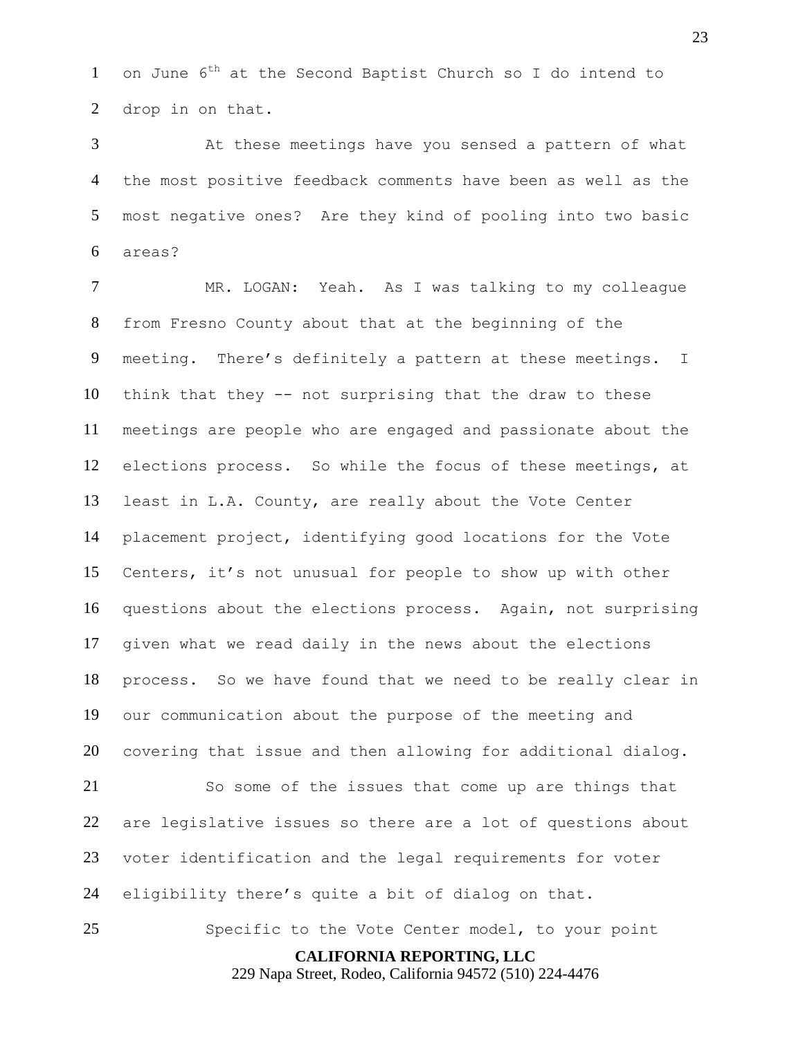1 on June  $6^{th}$  at the Second Baptist Church so I do intend to drop in on that.

 At these meetings have you sensed a pattern of what the most positive feedback comments have been as well as the most negative ones? Are they kind of pooling into two basic areas?

 MR. LOGAN: Yeah. As I was talking to my colleague from Fresno County about that at the beginning of the meeting. There's definitely a pattern at these meetings. I think that they -- not surprising that the draw to these meetings are people who are engaged and passionate about the elections process. So while the focus of these meetings, at least in L.A. County, are really about the Vote Center placement project, identifying good locations for the Vote Centers, it's not unusual for people to show up with other questions about the elections process. Again, not surprising given what we read daily in the news about the elections process. So we have found that we need to be really clear in our communication about the purpose of the meeting and covering that issue and then allowing for additional dialog.

 So some of the issues that come up are things that are legislative issues so there are a lot of questions about voter identification and the legal requirements for voter eligibility there's quite a bit of dialog on that.

Specific to the Vote Center model, to your point

**CALIFORNIA REPORTING, LLC**

229 Napa Street, Rodeo, California 94572 (510) 224-4476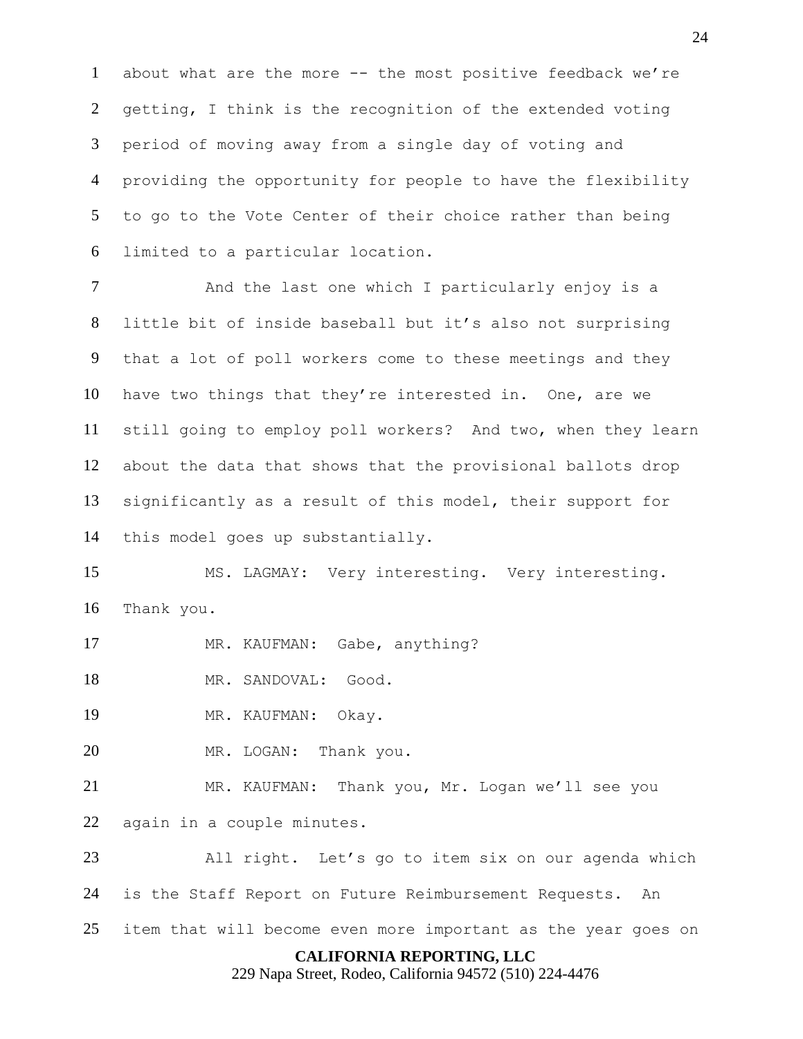about what are the more -- the most positive feedback we're getting, I think is the recognition of the extended voting period of moving away from a single day of voting and providing the opportunity for people to have the flexibility to go to the Vote Center of their choice rather than being limited to a particular location.

7 And the last one which I particularly enjoy is a little bit of inside baseball but it's also not surprising that a lot of poll workers come to these meetings and they have two things that they're interested in. One, are we still going to employ poll workers? And two, when they learn about the data that shows that the provisional ballots drop significantly as a result of this model, their support for this model goes up substantially.

 MS. LAGMAY: Very interesting. Very interesting. Thank you.

- 17 MR. KAUFMAN: Gabe, anything?
- MR. SANDOVAL: Good.

MR. KAUFMAN: Okay.

MR. LOGAN: Thank you.

 MR. KAUFMAN: Thank you, Mr. Logan we'll see you again in a couple minutes.

 All right. Let's go to item six on our agenda which is the Staff Report on Future Reimbursement Requests. An item that will become even more important as the year goes on

# **CALIFORNIA REPORTING, LLC**

229 Napa Street, Rodeo, California 94572 (510) 224-4476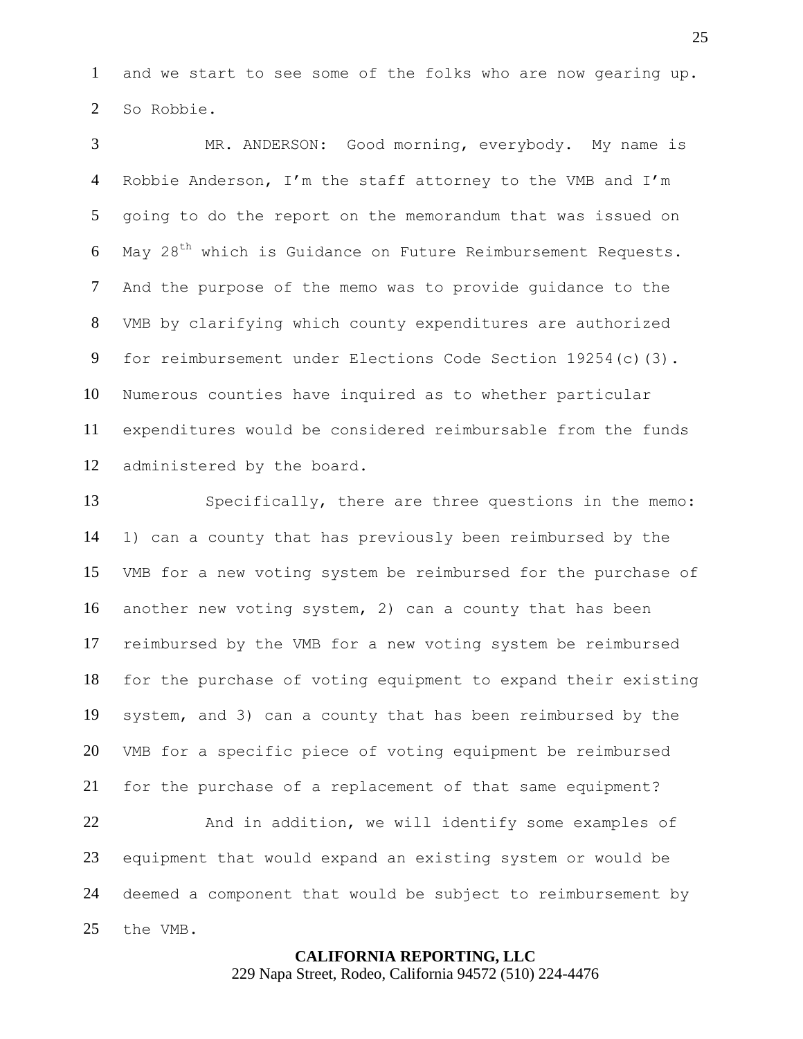and we start to see some of the folks who are now gearing up. So Robbie.

 MR. ANDERSON: Good morning, everybody. My name is Robbie Anderson, I'm the staff attorney to the VMB and I'm going to do the report on the memorandum that was issued on 6 May 28<sup>th</sup> which is Guidance on Future Reimbursement Requests. And the purpose of the memo was to provide guidance to the VMB by clarifying which county expenditures are authorized for reimbursement under Elections Code Section 19254(c)(3). Numerous counties have inquired as to whether particular expenditures would be considered reimbursable from the funds administered by the board.

 Specifically, there are three questions in the memo: 1) can a county that has previously been reimbursed by the VMB for a new voting system be reimbursed for the purchase of another new voting system, 2) can a county that has been reimbursed by the VMB for a new voting system be reimbursed for the purchase of voting equipment to expand their existing system, and 3) can a county that has been reimbursed by the VMB for a specific piece of voting equipment be reimbursed for the purchase of a replacement of that same equipment? And in addition, we will identify some examples of equipment that would expand an existing system or would be deemed a component that would be subject to reimbursement by the VMB.

> **CALIFORNIA REPORTING, LLC** 229 Napa Street, Rodeo, California 94572 (510) 224-4476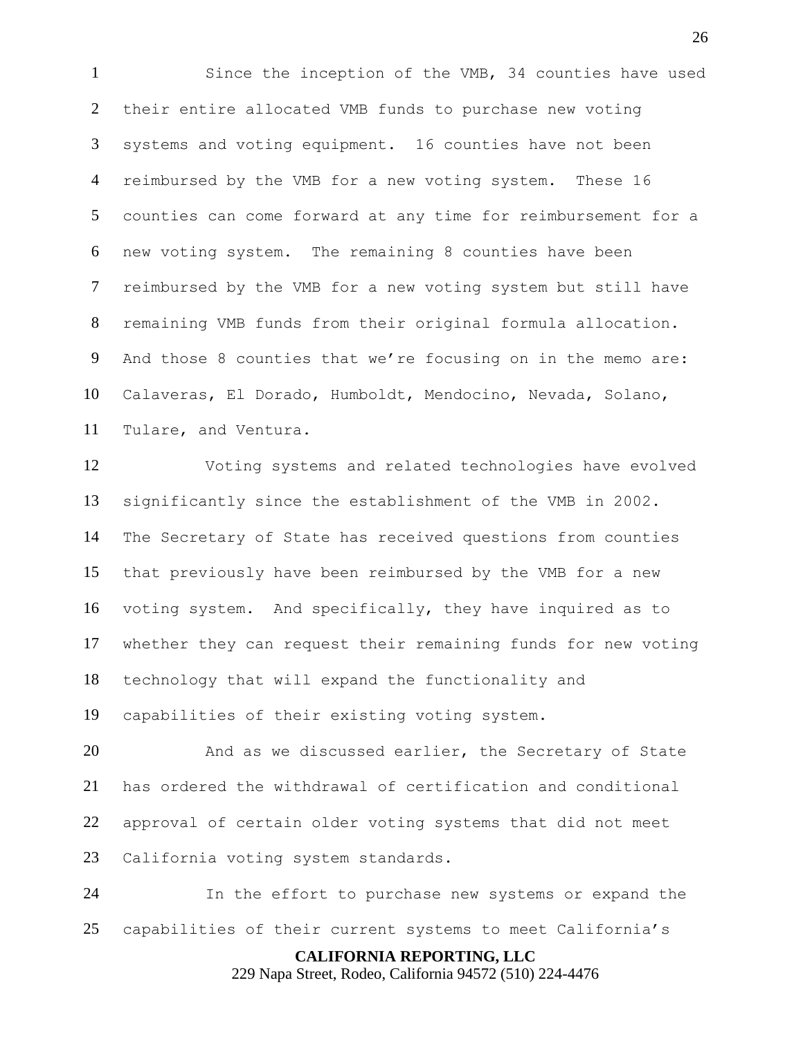Since the inception of the VMB, 34 counties have used their entire allocated VMB funds to purchase new voting systems and voting equipment. 16 counties have not been reimbursed by the VMB for a new voting system. These 16 counties can come forward at any time for reimbursement for a new voting system. The remaining 8 counties have been reimbursed by the VMB for a new voting system but still have remaining VMB funds from their original formula allocation. And those 8 counties that we're focusing on in the memo are: Calaveras, El Dorado, Humboldt, Mendocino, Nevada, Solano, Tulare, and Ventura.

 Voting systems and related technologies have evolved significantly since the establishment of the VMB in 2002. The Secretary of State has received questions from counties that previously have been reimbursed by the VMB for a new voting system. And specifically, they have inquired as to whether they can request their remaining funds for new voting technology that will expand the functionality and capabilities of their existing voting system.

 And as we discussed earlier, the Secretary of State has ordered the withdrawal of certification and conditional approval of certain older voting systems that did not meet California voting system standards.

 In the effort to purchase new systems or expand the capabilities of their current systems to meet California's

> **CALIFORNIA REPORTING, LLC** 229 Napa Street, Rodeo, California 94572 (510) 224-4476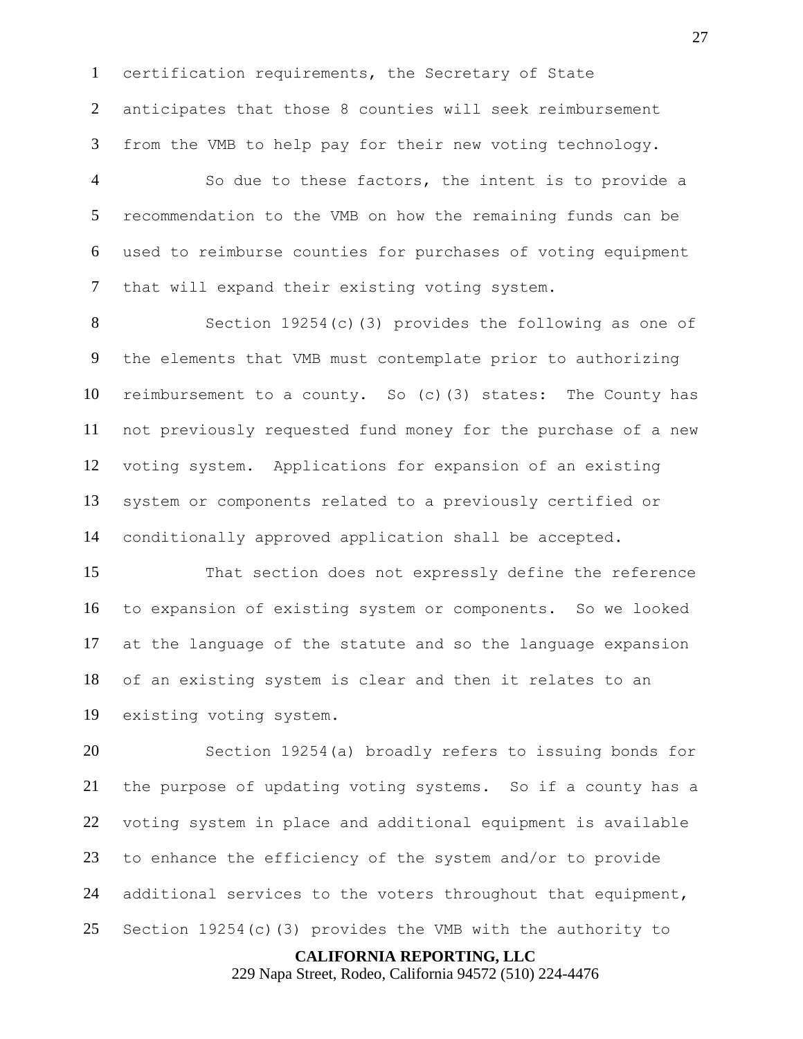certification requirements, the Secretary of State anticipates that those 8 counties will seek reimbursement from the VMB to help pay for their new voting technology.

 So due to these factors, the intent is to provide a recommendation to the VMB on how the remaining funds can be used to reimburse counties for purchases of voting equipment that will expand their existing voting system.

 Section 19254(c)(3) provides the following as one of the elements that VMB must contemplate prior to authorizing reimbursement to a county. So (c)(3) states: The County has not previously requested fund money for the purchase of a new voting system. Applications for expansion of an existing system or components related to a previously certified or conditionally approved application shall be accepted.

 That section does not expressly define the reference to expansion of existing system or components. So we looked at the language of the statute and so the language expansion of an existing system is clear and then it relates to an existing voting system.

 Section 19254(a) broadly refers to issuing bonds for the purpose of updating voting systems. So if a county has a voting system in place and additional equipment is available to enhance the efficiency of the system and/or to provide additional services to the voters throughout that equipment, Section 19254(c)(3) provides the VMB with the authority to

#### **CALIFORNIA REPORTING, LLC**

229 Napa Street, Rodeo, California 94572 (510) 224-4476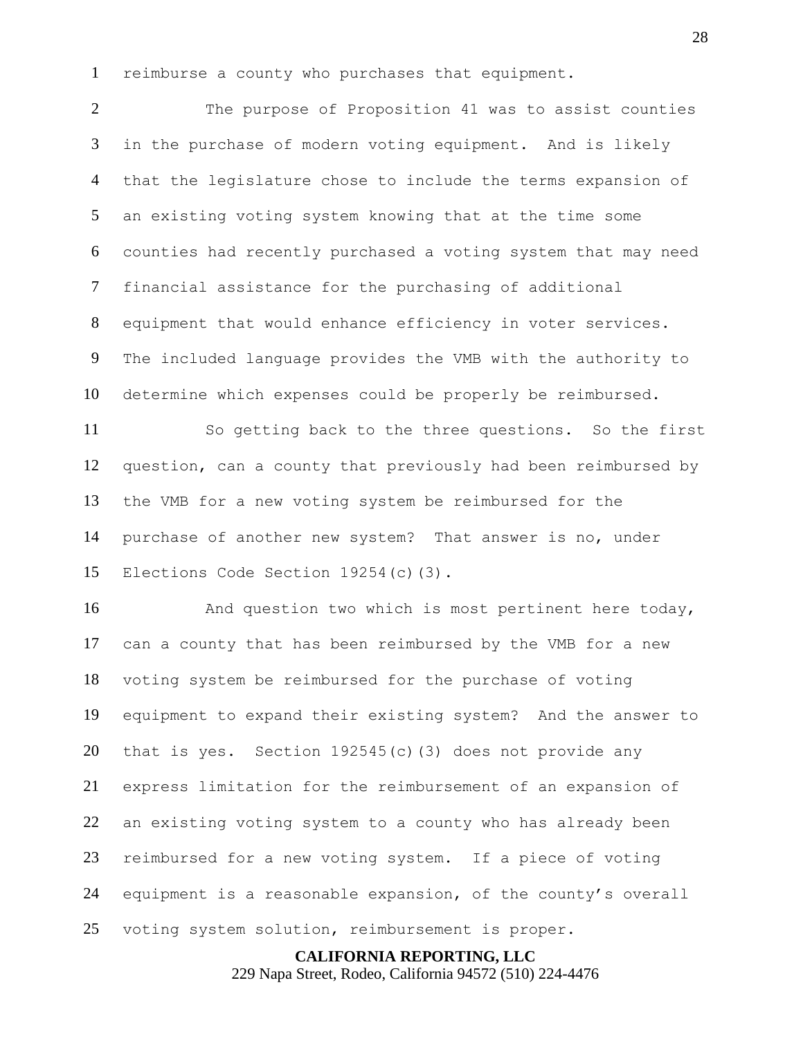reimburse a county who purchases that equipment.

 The purpose of Proposition 41 was to assist counties in the purchase of modern voting equipment. And is likely that the legislature chose to include the terms expansion of an existing voting system knowing that at the time some counties had recently purchased a voting system that may need financial assistance for the purchasing of additional equipment that would enhance efficiency in voter services. The included language provides the VMB with the authority to determine which expenses could be properly be reimbursed.

 So getting back to the three questions. So the first question, can a county that previously had been reimbursed by the VMB for a new voting system be reimbursed for the purchase of another new system? That answer is no, under Elections Code Section 19254(c)(3).

16 And question two which is most pertinent here today, can a county that has been reimbursed by the VMB for a new voting system be reimbursed for the purchase of voting equipment to expand their existing system? And the answer to that is yes. Section 192545(c)(3) does not provide any express limitation for the reimbursement of an expansion of an existing voting system to a county who has already been reimbursed for a new voting system. If a piece of voting equipment is a reasonable expansion, of the county's overall voting system solution, reimbursement is proper.

#### **CALIFORNIA REPORTING, LLC**

229 Napa Street, Rodeo, California 94572 (510) 224-4476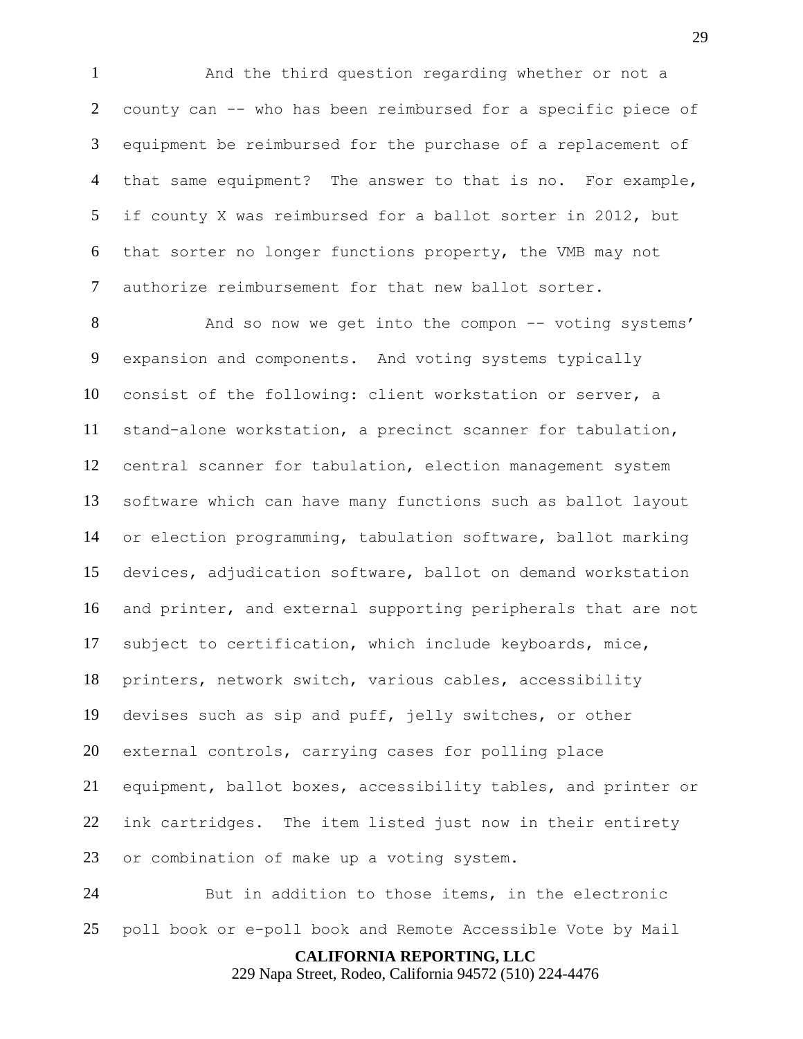And the third question regarding whether or not a county can -- who has been reimbursed for a specific piece of equipment be reimbursed for the purchase of a replacement of that same equipment? The answer to that is no. For example, if county X was reimbursed for a ballot sorter in 2012, but that sorter no longer functions property, the VMB may not authorize reimbursement for that new ballot sorter.

8 And so now we get into the compon -- voting systems' expansion and components. And voting systems typically consist of the following: client workstation or server, a stand-alone workstation, a precinct scanner for tabulation, central scanner for tabulation, election management system software which can have many functions such as ballot layout or election programming, tabulation software, ballot marking devices, adjudication software, ballot on demand workstation and printer, and external supporting peripherals that are not subject to certification, which include keyboards, mice, printers, network switch, various cables, accessibility devises such as sip and puff, jelly switches, or other external controls, carrying cases for polling place equipment, ballot boxes, accessibility tables, and printer or ink cartridges. The item listed just now in their entirety or combination of make up a voting system.

 But in addition to those items, in the electronic poll book or e-poll book and Remote Accessible Vote by Mail

**CALIFORNIA REPORTING, LLC**

229 Napa Street, Rodeo, California 94572 (510) 224-4476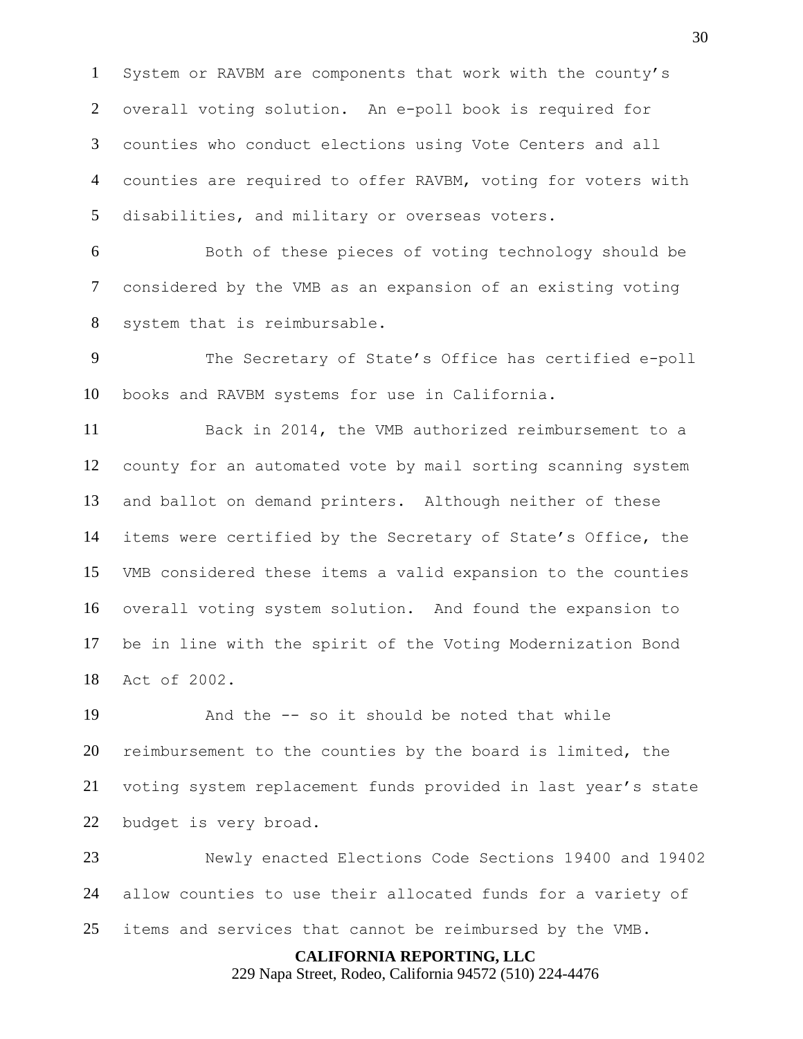System or RAVBM are components that work with the county's overall voting solution. An e-poll book is required for counties who conduct elections using Vote Centers and all counties are required to offer RAVBM, voting for voters with disabilities, and military or overseas voters.

 Both of these pieces of voting technology should be considered by the VMB as an expansion of an existing voting system that is reimbursable.

 The Secretary of State's Office has certified e-poll books and RAVBM systems for use in California.

 Back in 2014, the VMB authorized reimbursement to a county for an automated vote by mail sorting scanning system and ballot on demand printers. Although neither of these items were certified by the Secretary of State's Office, the VMB considered these items a valid expansion to the counties overall voting system solution. And found the expansion to be in line with the spirit of the Voting Modernization Bond Act of 2002.

 And the -- so it should be noted that while reimbursement to the counties by the board is limited, the voting system replacement funds provided in last year's state budget is very broad.

 Newly enacted Elections Code Sections 19400 and 19402 allow counties to use their allocated funds for a variety of items and services that cannot be reimbursed by the VMB.

**CALIFORNIA REPORTING, LLC**

229 Napa Street, Rodeo, California 94572 (510) 224-4476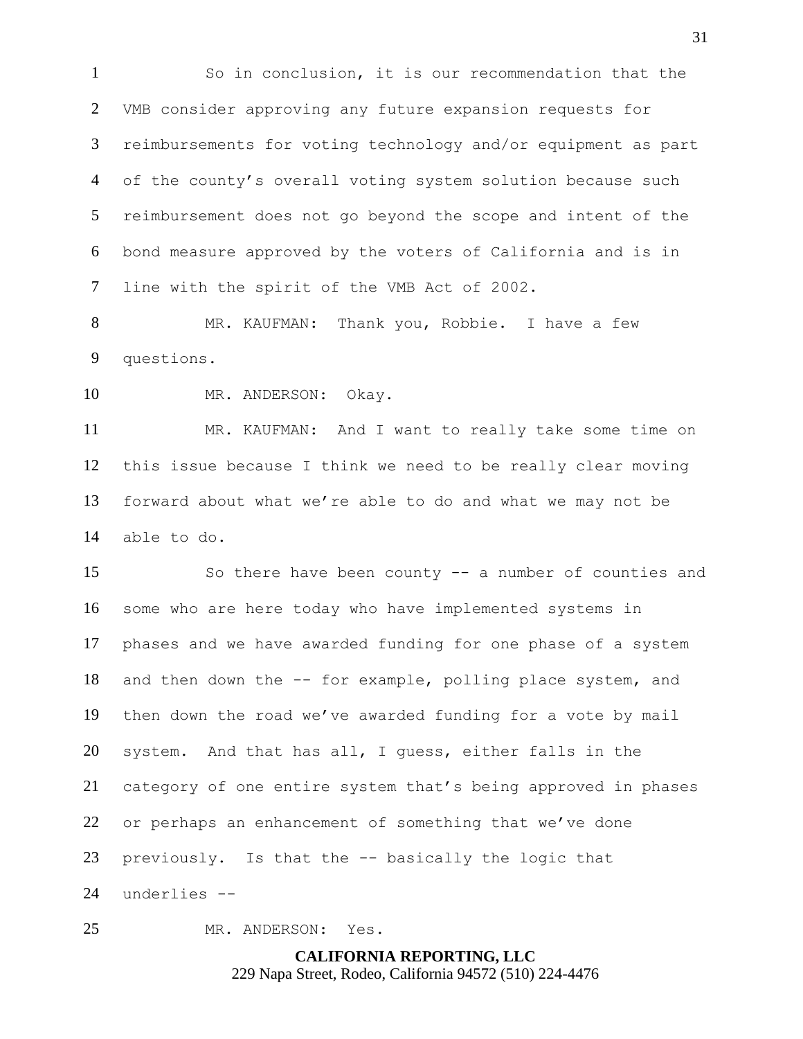So in conclusion, it is our recommendation that the VMB consider approving any future expansion requests for reimbursements for voting technology and/or equipment as part of the county's overall voting system solution because such reimbursement does not go beyond the scope and intent of the bond measure approved by the voters of California and is in line with the spirit of the VMB Act of 2002.

 MR. KAUFMAN: Thank you, Robbie. I have a few questions.

MR. ANDERSON: Okay.

 MR. KAUFMAN: And I want to really take some time on this issue because I think we need to be really clear moving forward about what we're able to do and what we may not be able to do.

 So there have been county -- a number of counties and some who are here today who have implemented systems in phases and we have awarded funding for one phase of a system and then down the -- for example, polling place system, and then down the road we've awarded funding for a vote by mail system. And that has all, I guess, either falls in the category of one entire system that's being approved in phases or perhaps an enhancement of something that we've done previously. Is that the -- basically the logic that underlies --

MR. ANDERSON: Yes.

**CALIFORNIA REPORTING, LLC** 229 Napa Street, Rodeo, California 94572 (510) 224-4476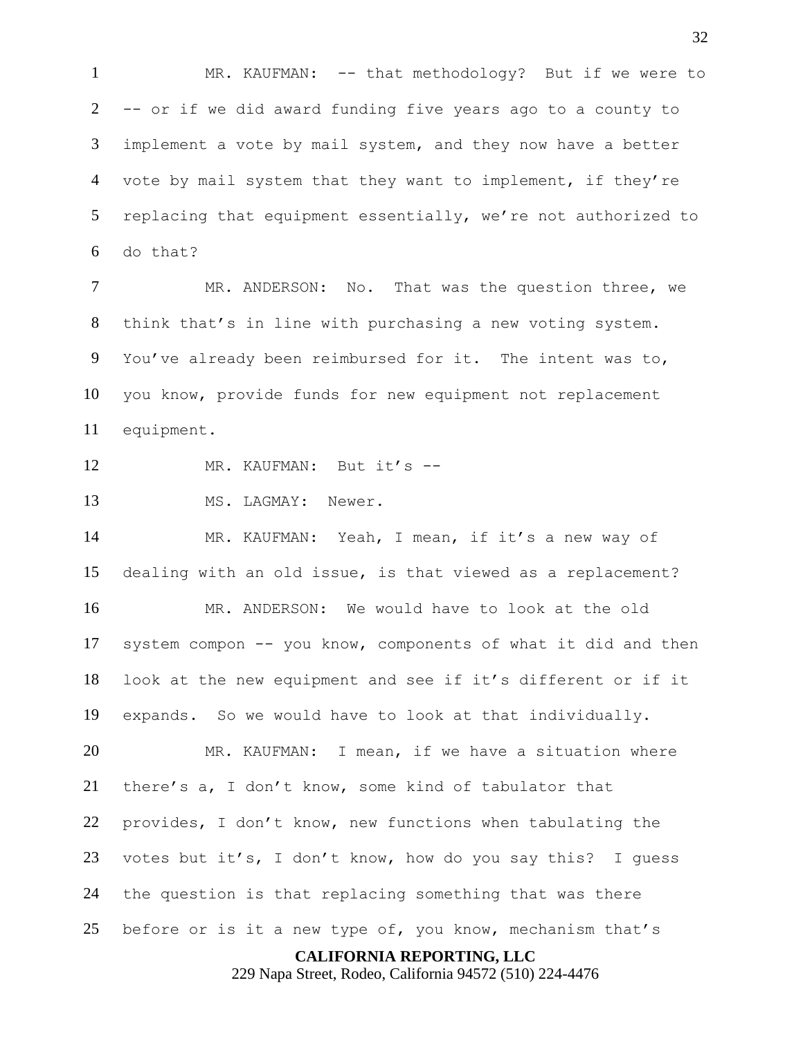MR. KAUFMAN: -- that methodology? But if we were to -- or if we did award funding five years ago to a county to implement a vote by mail system, and they now have a better vote by mail system that they want to implement, if they're replacing that equipment essentially, we're not authorized to do that?

 MR. ANDERSON: No. That was the question three, we think that's in line with purchasing a new voting system. You've already been reimbursed for it. The intent was to, you know, provide funds for new equipment not replacement equipment.

- 12 MR. KAUFMAN: But it's --
- MS. LAGMAY: Newer.

 MR. KAUFMAN: Yeah, I mean, if it's a new way of dealing with an old issue, is that viewed as a replacement? MR. ANDERSON: We would have to look at the old system compon -- you know, components of what it did and then look at the new equipment and see if it's different or if it expands. So we would have to look at that individually. MR. KAUFMAN: I mean, if we have a situation where there's a, I don't know, some kind of tabulator that provides, I don't know, new functions when tabulating the 23 votes but it's, I don't know, how do you say this? I quess the question is that replacing something that was there before or is it a new type of, you know, mechanism that's

**CALIFORNIA REPORTING, LLC**

229 Napa Street, Rodeo, California 94572 (510) 224-4476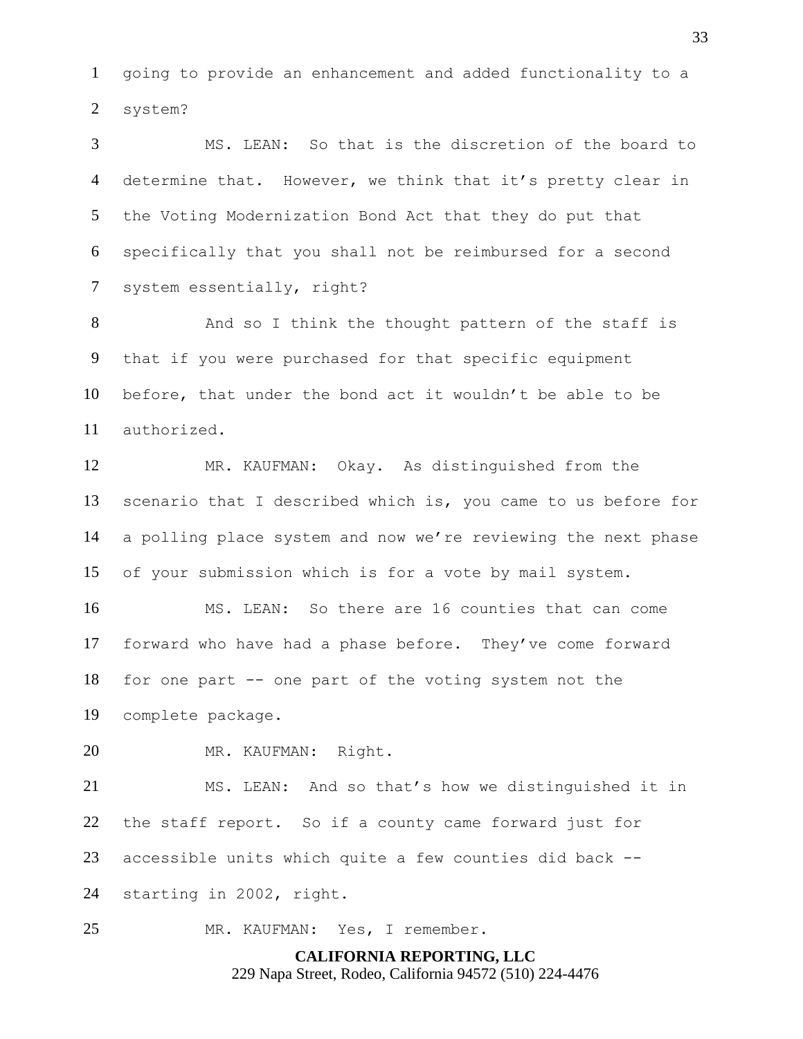going to provide an enhancement and added functionality to a system?

 MS. LEAN: So that is the discretion of the board to determine that. However, we think that it's pretty clear in the Voting Modernization Bond Act that they do put that specifically that you shall not be reimbursed for a second system essentially, right?

 And so I think the thought pattern of the staff is that if you were purchased for that specific equipment before, that under the bond act it wouldn't be able to be authorized.

 MR. KAUFMAN: Okay. As distinguished from the scenario that I described which is, you came to us before for a polling place system and now we're reviewing the next phase of your submission which is for a vote by mail system.

 MS. LEAN: So there are 16 counties that can come forward who have had a phase before. They've come forward for one part -- one part of the voting system not the complete package.

MR. KAUFMAN: Right.

 MS. LEAN: And so that's how we distinguished it in the staff report. So if a county came forward just for accessible units which quite a few counties did back -- starting in 2002, right.

MR. KAUFMAN: Yes, I remember.

**CALIFORNIA REPORTING, LLC** 229 Napa Street, Rodeo, California 94572 (510) 224-4476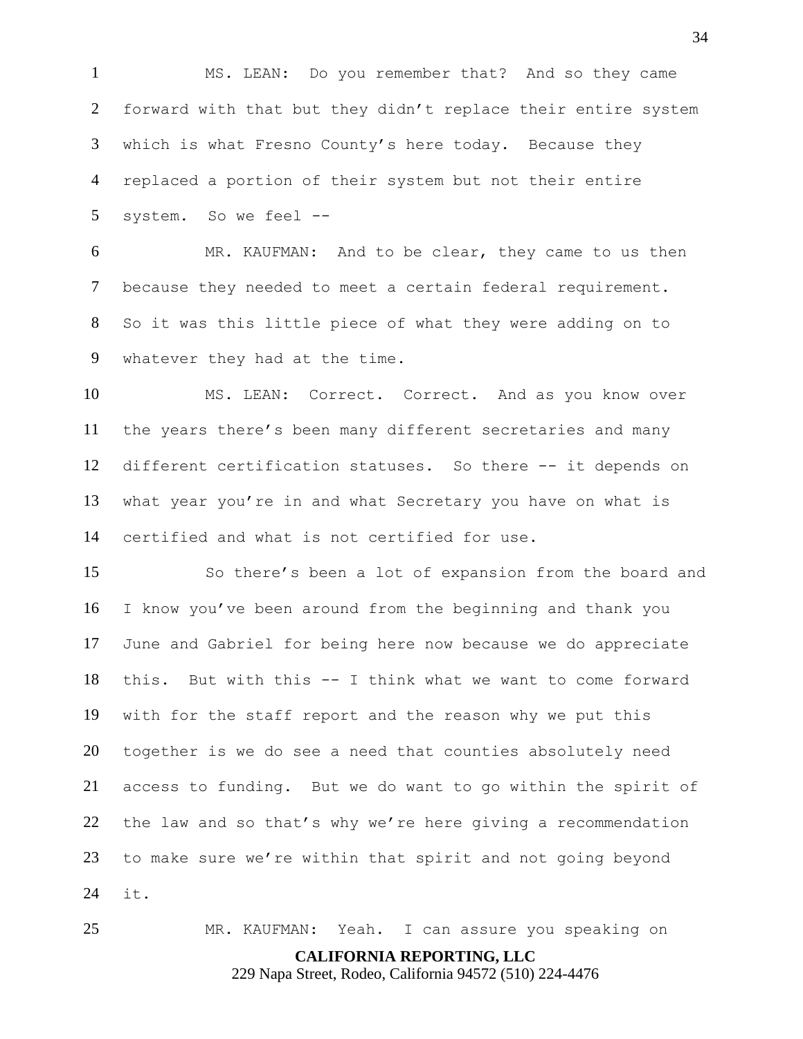MS. LEAN: Do you remember that? And so they came forward with that but they didn't replace their entire system which is what Fresno County's here today. Because they replaced a portion of their system but not their entire system. So we feel --

 MR. KAUFMAN: And to be clear, they came to us then because they needed to meet a certain federal requirement. So it was this little piece of what they were adding on to whatever they had at the time.

 MS. LEAN: Correct. Correct. And as you know over the years there's been many different secretaries and many different certification statuses. So there -- it depends on what year you're in and what Secretary you have on what is certified and what is not certified for use.

 So there's been a lot of expansion from the board and I know you've been around from the beginning and thank you June and Gabriel for being here now because we do appreciate this. But with this -- I think what we want to come forward with for the staff report and the reason why we put this together is we do see a need that counties absolutely need access to funding. But we do want to go within the spirit of the law and so that's why we're here giving a recommendation to make sure we're within that spirit and not going beyond it.

MR. KAUFMAN: Yeah. I can assure you speaking on

**CALIFORNIA REPORTING, LLC**

229 Napa Street, Rodeo, California 94572 (510) 224-4476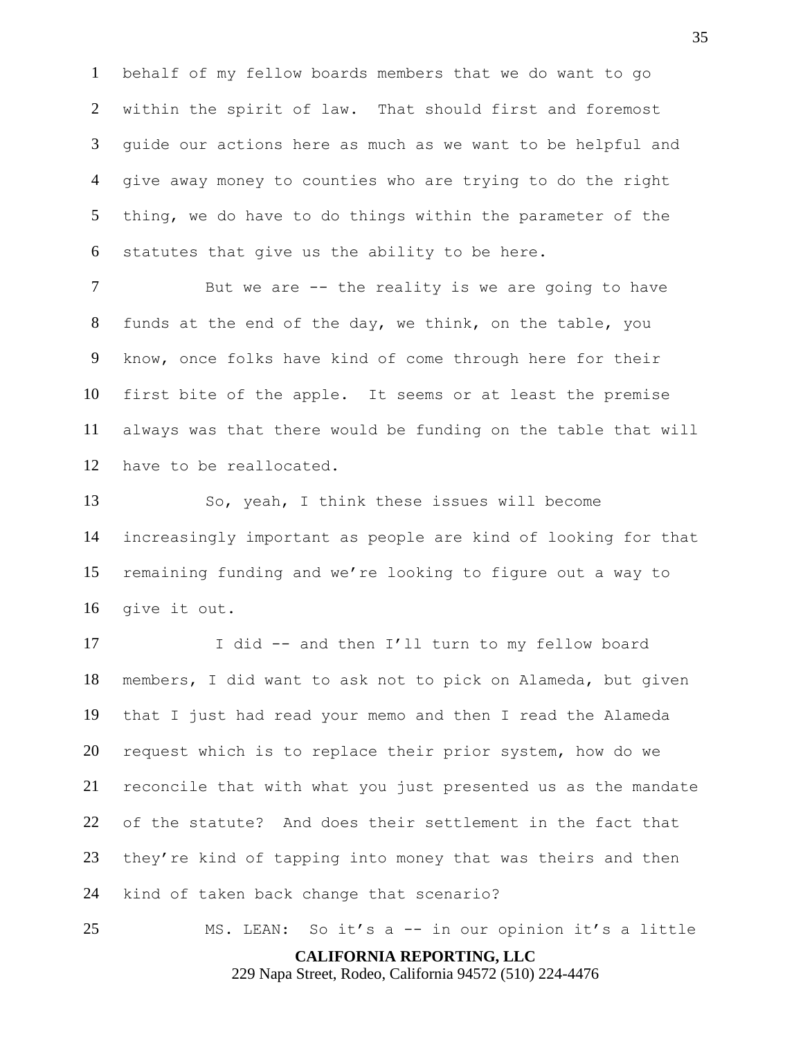behalf of my fellow boards members that we do want to go within the spirit of law. That should first and foremost guide our actions here as much as we want to be helpful and give away money to counties who are trying to do the right thing, we do have to do things within the parameter of the statutes that give us the ability to be here.

7 But we are -- the reality is we are going to have funds at the end of the day, we think, on the table, you know, once folks have kind of come through here for their first bite of the apple. It seems or at least the premise always was that there would be funding on the table that will have to be reallocated.

 So, yeah, I think these issues will become increasingly important as people are kind of looking for that remaining funding and we're looking to figure out a way to give it out.

17 I did -- and then I'll turn to my fellow board members, I did want to ask not to pick on Alameda, but given that I just had read your memo and then I read the Alameda request which is to replace their prior system, how do we reconcile that with what you just presented us as the mandate of the statute? And does their settlement in the fact that they're kind of tapping into money that was theirs and then kind of taken back change that scenario?

**CALIFORNIA REPORTING, LLC** MS. LEAN: So it's a -- in our opinion it's a little

229 Napa Street, Rodeo, California 94572 (510) 224-4476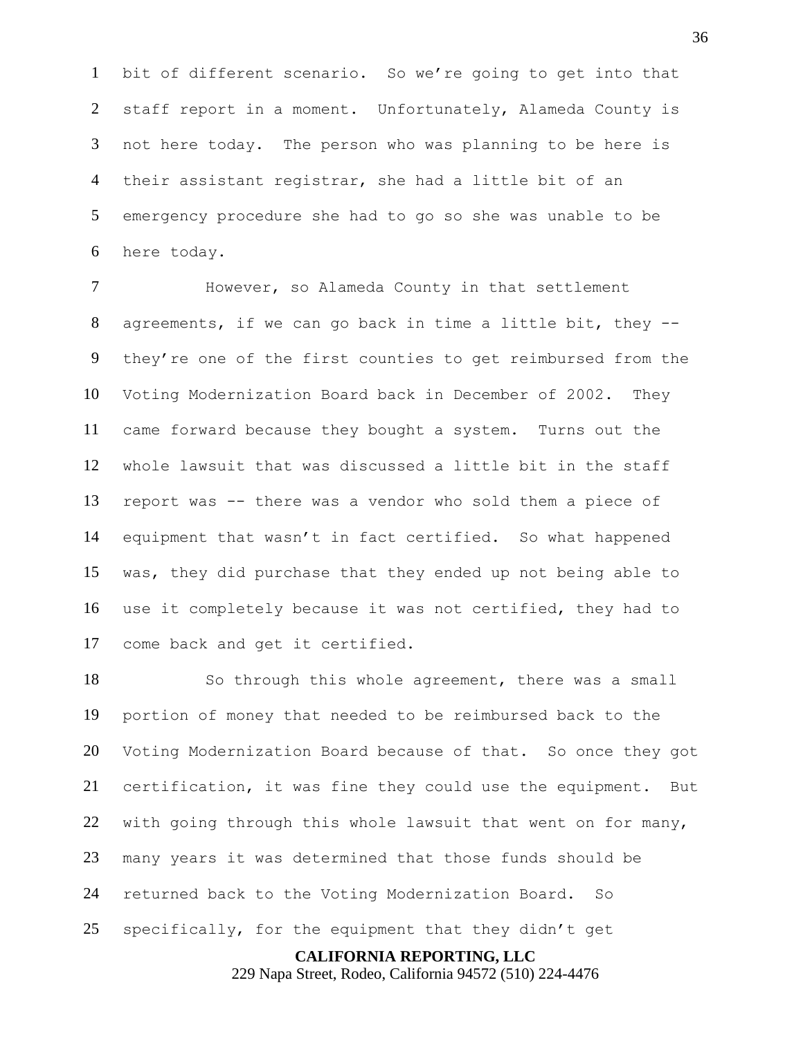bit of different scenario. So we're going to get into that staff report in a moment. Unfortunately, Alameda County is not here today. The person who was planning to be here is their assistant registrar, she had a little bit of an emergency procedure she had to go so she was unable to be here today.

 However, so Alameda County in that settlement agreements, if we can go back in time a little bit, they -- they're one of the first counties to get reimbursed from the Voting Modernization Board back in December of 2002. They came forward because they bought a system. Turns out the whole lawsuit that was discussed a little bit in the staff report was -- there was a vendor who sold them a piece of equipment that wasn't in fact certified. So what happened was, they did purchase that they ended up not being able to use it completely because it was not certified, they had to come back and get it certified.

 So through this whole agreement, there was a small portion of money that needed to be reimbursed back to the Voting Modernization Board because of that. So once they got certification, it was fine they could use the equipment. But with going through this whole lawsuit that went on for many, many years it was determined that those funds should be returned back to the Voting Modernization Board. So specifically, for the equipment that they didn't get

**CALIFORNIA REPORTING, LLC**

229 Napa Street, Rodeo, California 94572 (510) 224-4476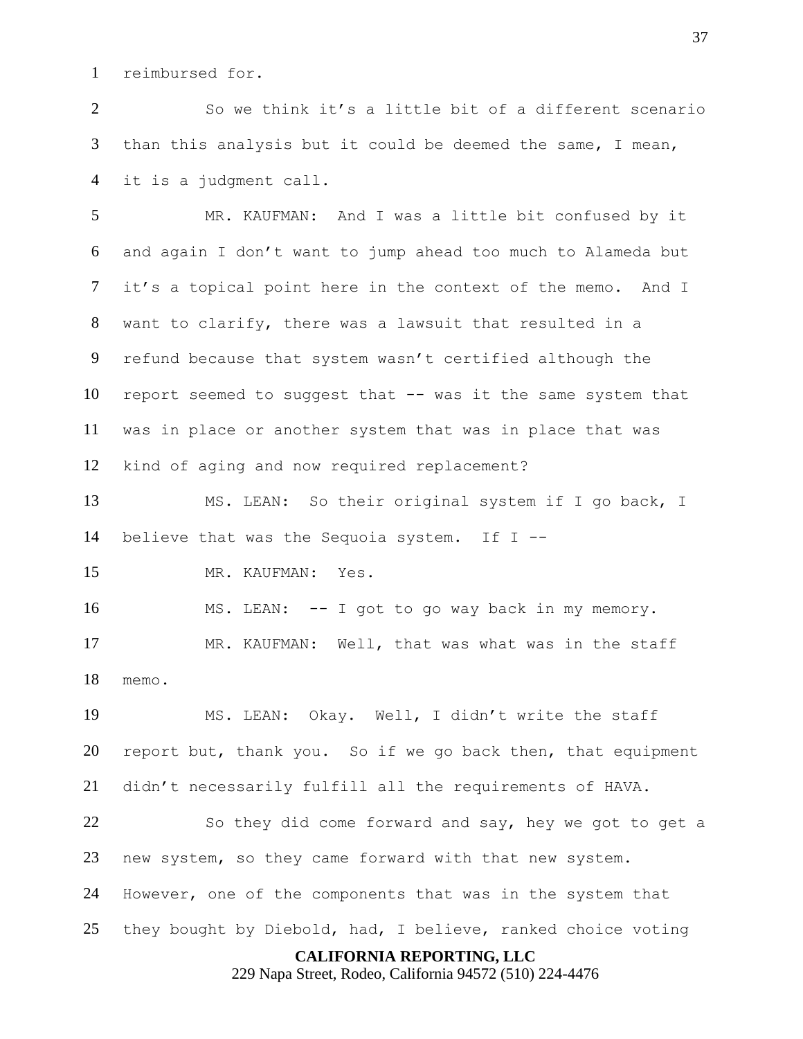reimbursed for.

 So we think it's a little bit of a different scenario than this analysis but it could be deemed the same, I mean, it is a judgment call.

 MR. KAUFMAN: And I was a little bit confused by it and again I don't want to jump ahead too much to Alameda but it's a topical point here in the context of the memo. And I want to clarify, there was a lawsuit that resulted in a refund because that system wasn't certified although the report seemed to suggest that -- was it the same system that was in place or another system that was in place that was kind of aging and now required replacement?

 MS. LEAN: So their original system if I go back, I believe that was the Sequoia system. If I --

MR. KAUFMAN: Yes.

 MS. LEAN: -- I got to go way back in my memory. MR. KAUFMAN: Well, that was what was in the staff memo.

 MS. LEAN: Okay. Well, I didn't write the staff report but, thank you. So if we go back then, that equipment didn't necessarily fulfill all the requirements of HAVA.

 So they did come forward and say, hey we got to get a new system, so they came forward with that new system. However, one of the components that was in the system that they bought by Diebold, had, I believe, ranked choice voting

# **CALIFORNIA REPORTING, LLC**

229 Napa Street, Rodeo, California 94572 (510) 224-4476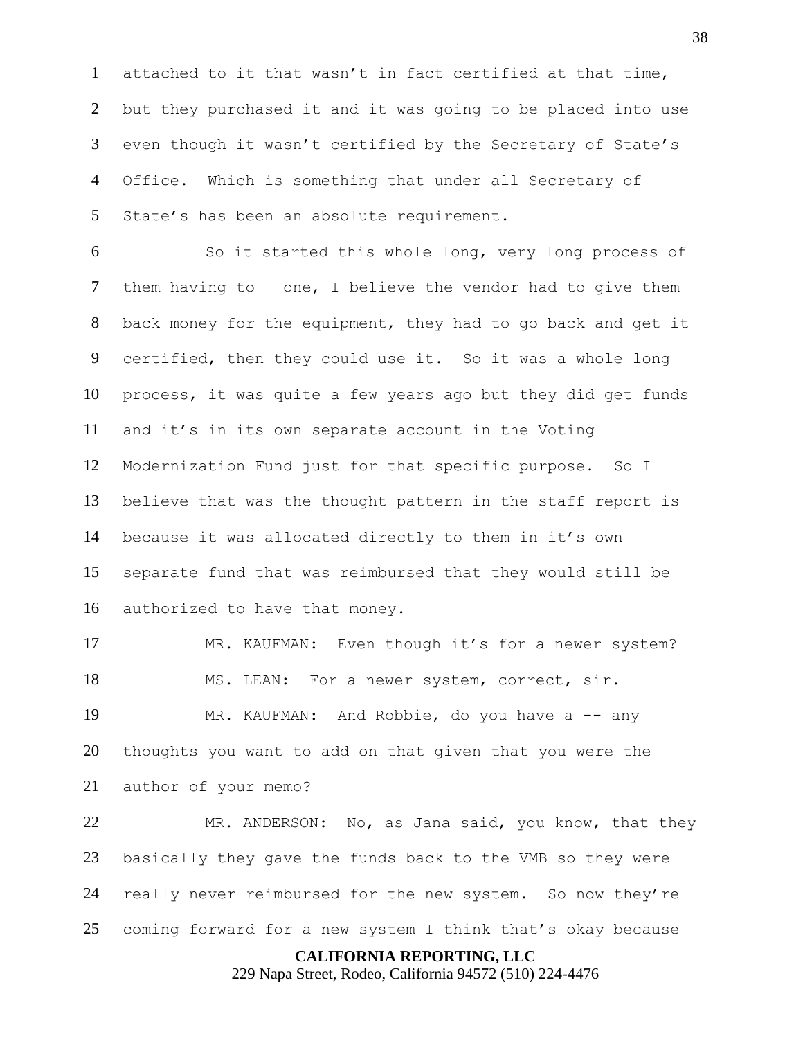attached to it that wasn't in fact certified at that time, but they purchased it and it was going to be placed into use even though it wasn't certified by the Secretary of State's Office. Which is something that under all Secretary of 5 State's has been an absolute requirement.

 So it started this whole long, very long process of them having to – one, I believe the vendor had to give them back money for the equipment, they had to go back and get it certified, then they could use it. So it was a whole long process, it was quite a few years ago but they did get funds and it's in its own separate account in the Voting Modernization Fund just for that specific purpose. So I believe that was the thought pattern in the staff report is because it was allocated directly to them in it's own separate fund that was reimbursed that they would still be authorized to have that money.

 MR. KAUFMAN: Even though it's for a newer system? MS. LEAN: For a newer system, correct, sir. MR. KAUFMAN: And Robbie, do you have a -- any thoughts you want to add on that given that you were the author of your memo?

 MR. ANDERSON: No, as Jana said, you know, that they basically they gave the funds back to the VMB so they were really never reimbursed for the new system. So now they're coming forward for a new system I think that's okay because

# **CALIFORNIA REPORTING, LLC**

229 Napa Street, Rodeo, California 94572 (510) 224-4476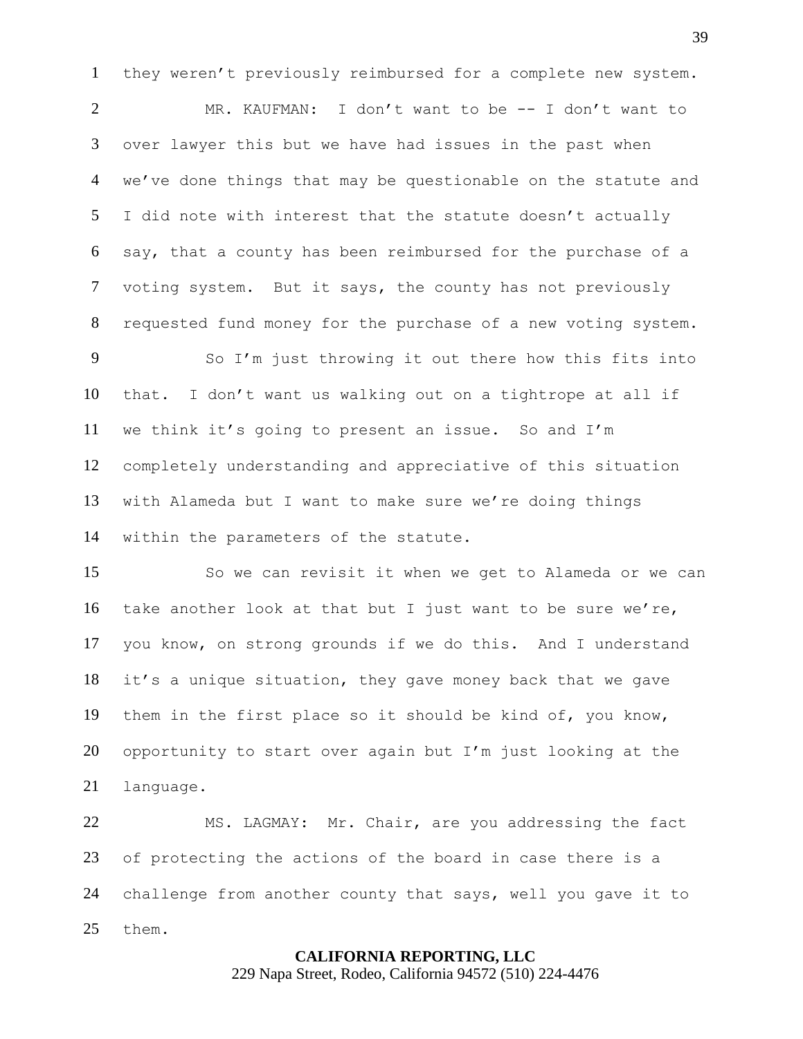they weren't previously reimbursed for a complete new system.

 MR. KAUFMAN: I don't want to be -- I don't want to over lawyer this but we have had issues in the past when we've done things that may be questionable on the statute and I did note with interest that the statute doesn't actually say, that a county has been reimbursed for the purchase of a voting system. But it says, the county has not previously requested fund money for the purchase of a new voting system.

 So I'm just throwing it out there how this fits into that. I don't want us walking out on a tightrope at all if we think it's going to present an issue. So and I'm completely understanding and appreciative of this situation with Alameda but I want to make sure we're doing things within the parameters of the statute.

 So we can revisit it when we get to Alameda or we can take another look at that but I just want to be sure we're, you know, on strong grounds if we do this. And I understand it's a unique situation, they gave money back that we gave them in the first place so it should be kind of, you know, opportunity to start over again but I'm just looking at the language.

 MS. LAGMAY: Mr. Chair, are you addressing the fact of protecting the actions of the board in case there is a challenge from another county that says, well you gave it to them.

# **CALIFORNIA REPORTING, LLC**

229 Napa Street, Rodeo, California 94572 (510) 224-4476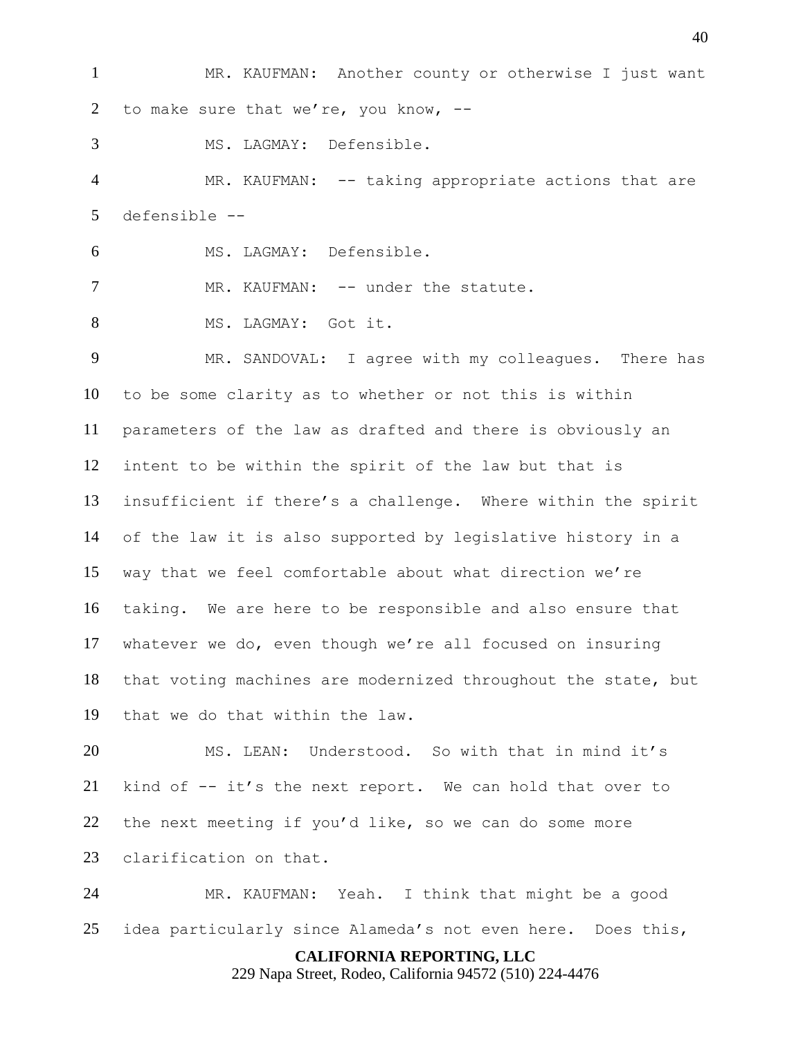MR. KAUFMAN: Another county or otherwise I just want 2 to make sure that we're, you know, --

MS. LAGMAY: Defensible.

 MR. KAUFMAN: -- taking appropriate actions that are defensible --

MS. LAGMAY: Defensible.

MR. KAUFMAN: -- under the statute.

8 MS. LAGMAY: Got it.

 MR. SANDOVAL: I agree with my colleagues. There has to be some clarity as to whether or not this is within parameters of the law as drafted and there is obviously an intent to be within the spirit of the law but that is insufficient if there's a challenge. Where within the spirit of the law it is also supported by legislative history in a way that we feel comfortable about what direction we're taking. We are here to be responsible and also ensure that whatever we do, even though we're all focused on insuring that voting machines are modernized throughout the state, but that we do that within the law.

 MS. LEAN: Understood. So with that in mind it's kind of -- it's the next report. We can hold that over to the next meeting if you'd like, so we can do some more clarification on that.

 MR. KAUFMAN: Yeah. I think that might be a good idea particularly since Alameda's not even here. Does this,

**CALIFORNIA REPORTING, LLC**

229 Napa Street, Rodeo, California 94572 (510) 224-4476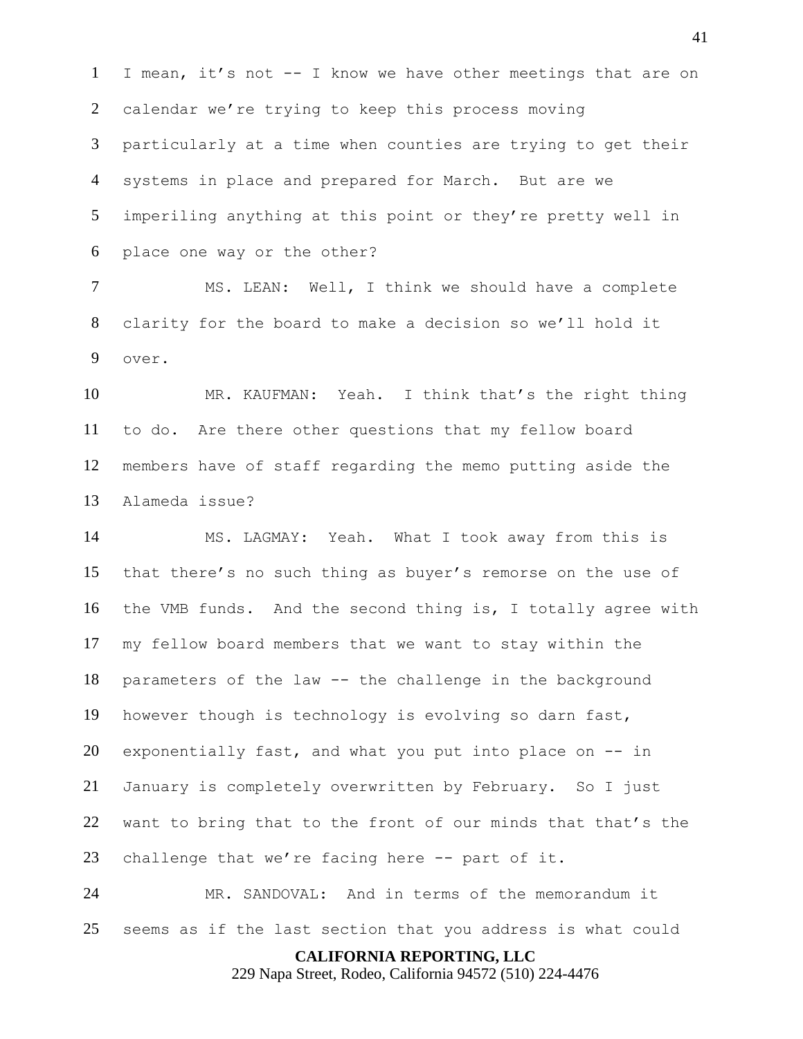I mean, it's not -- I know we have other meetings that are on calendar we're trying to keep this process moving particularly at a time when counties are trying to get their systems in place and prepared for March. But are we imperiling anything at this point or they're pretty well in place one way or the other?

 MS. LEAN: Well, I think we should have a complete clarity for the board to make a decision so we'll hold it over.

 MR. KAUFMAN: Yeah. I think that's the right thing to do. Are there other questions that my fellow board members have of staff regarding the memo putting aside the Alameda issue?

 MS. LAGMAY: Yeah. What I took away from this is that there's no such thing as buyer's remorse on the use of the VMB funds. And the second thing is, I totally agree with my fellow board members that we want to stay within the parameters of the law -- the challenge in the background however though is technology is evolving so darn fast, exponentially fast, and what you put into place on -- in January is completely overwritten by February. So I just want to bring that to the front of our minds that that's the challenge that we're facing here -- part of it.

 MR. SANDOVAL: And in terms of the memorandum it seems as if the last section that you address is what could

**CALIFORNIA REPORTING, LLC**

229 Napa Street, Rodeo, California 94572 (510) 224-4476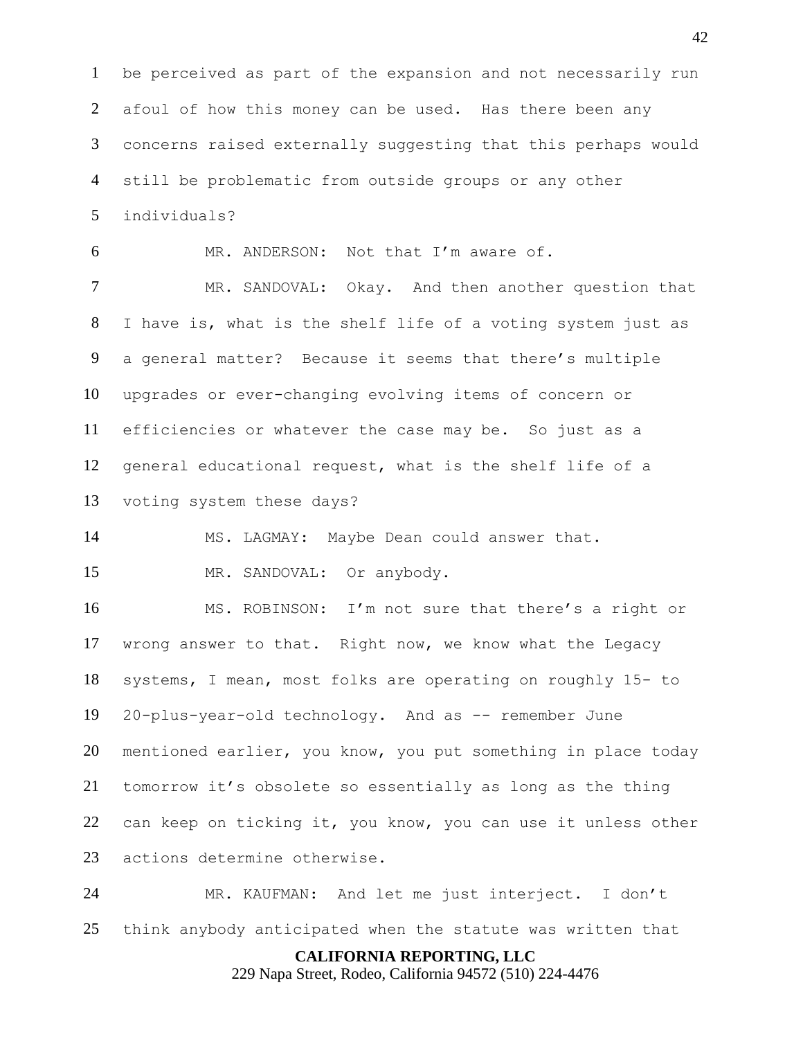be perceived as part of the expansion and not necessarily run afoul of how this money can be used. Has there been any concerns raised externally suggesting that this perhaps would still be problematic from outside groups or any other individuals?

MR. ANDERSON: Not that I'm aware of.

 MR. SANDOVAL: Okay. And then another question that I have is, what is the shelf life of a voting system just as a general matter? Because it seems that there's multiple upgrades or ever-changing evolving items of concern or efficiencies or whatever the case may be. So just as a general educational request, what is the shelf life of a voting system these days?

MS. LAGMAY: Maybe Dean could answer that.

MR. SANDOVAL: Or anybody.

 MS. ROBINSON: I'm not sure that there's a right or wrong answer to that. Right now, we know what the Legacy systems, I mean, most folks are operating on roughly 15- to 20-plus-year-old technology. And as -- remember June mentioned earlier, you know, you put something in place today tomorrow it's obsolete so essentially as long as the thing can keep on ticking it, you know, you can use it unless other actions determine otherwise.

 MR. KAUFMAN: And let me just interject. I don't think anybody anticipated when the statute was written that

**CALIFORNIA REPORTING, LLC**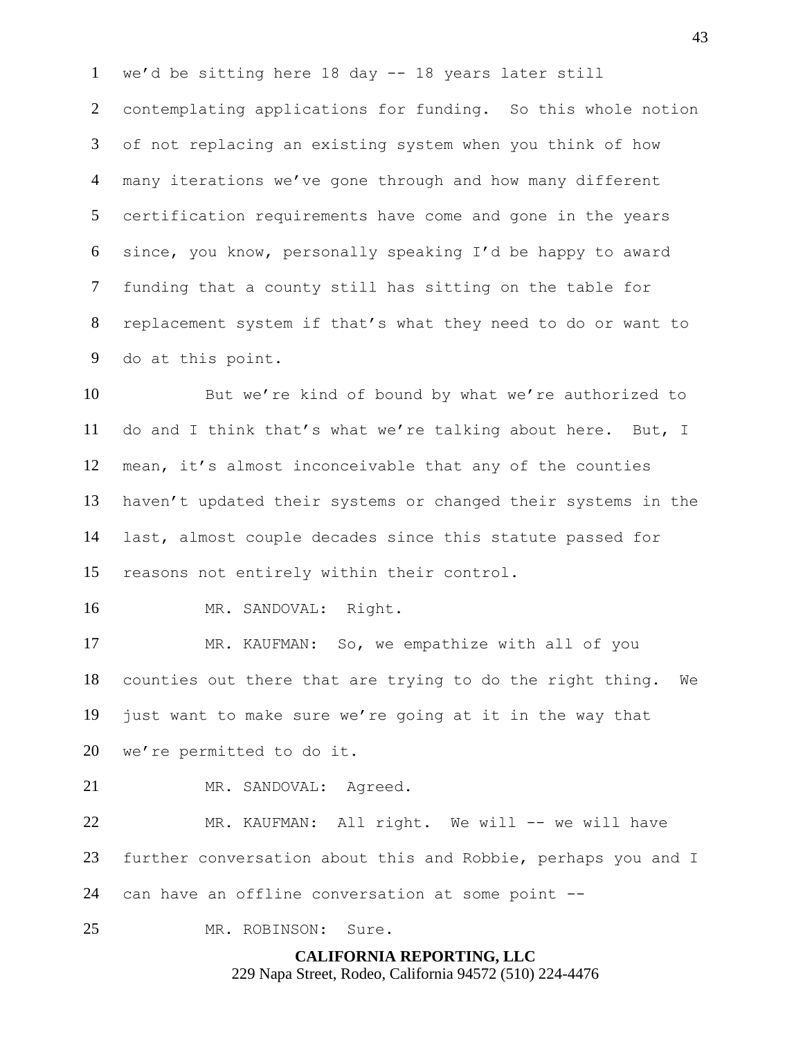we'd be sitting here 18 day -- 18 years later still contemplating applications for funding. So this whole notion of not replacing an existing system when you think of how many iterations we've gone through and how many different certification requirements have come and gone in the years since, you know, personally speaking I'd be happy to award funding that a county still has sitting on the table for replacement system if that's what they need to do or want to do at this point.

 But we're kind of bound by what we're authorized to do and I think that's what we're talking about here. But, I mean, it's almost inconceivable that any of the counties haven't updated their systems or changed their systems in the last, almost couple decades since this statute passed for reasons not entirely within their control.

MR. SANDOVAL: Right.

 MR. KAUFMAN: So, we empathize with all of you counties out there that are trying to do the right thing. We just want to make sure we're going at it in the way that we're permitted to do it.

21 MR. SANDOVAL: Agreed.

22 MR. KAUFMAN: All right. We will -- we will have further conversation about this and Robbie, perhaps you and I can have an offline conversation at some point --

MR. ROBINSON: Sure.

**CALIFORNIA REPORTING, LLC** 229 Napa Street, Rodeo, California 94572 (510) 224-4476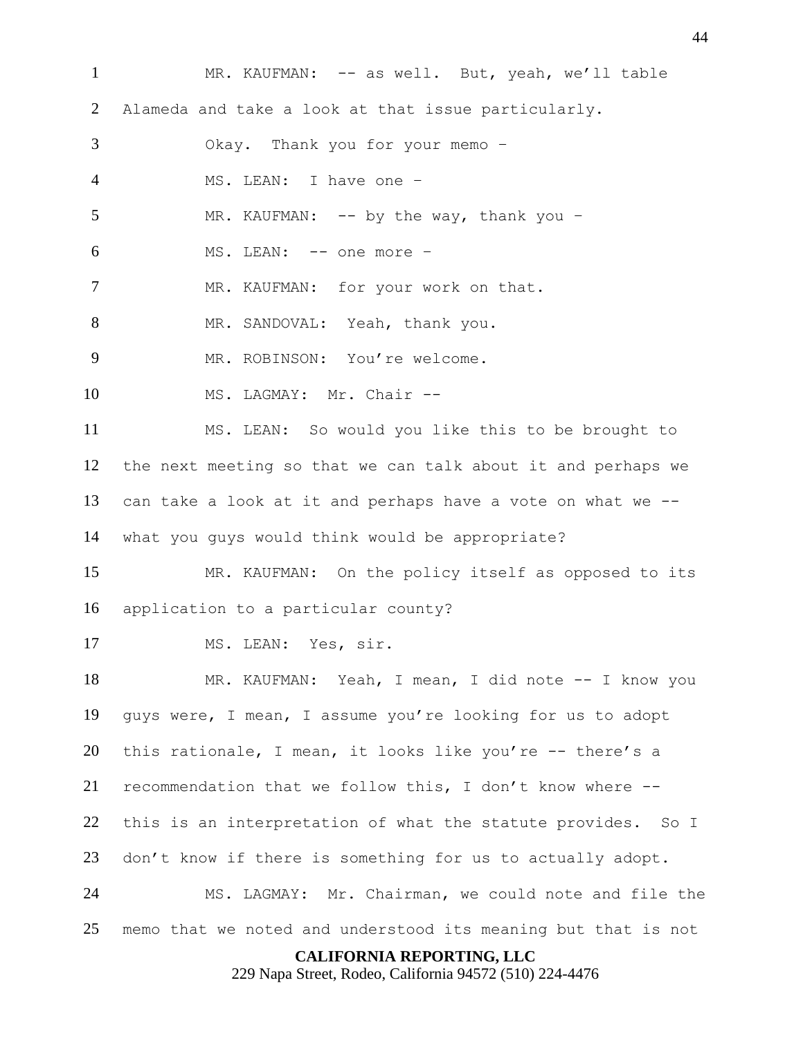**CALIFORNIA REPORTING, LLC** MR. KAUFMAN: -- as well. But, yeah, we'll table Alameda and take a look at that issue particularly. Okay. Thank you for your memo – MS. LEAN: I have one – 5 MR. KAUFMAN: -- by the way, thank you - MS. LEAN: -- one more – 7 MR. KAUFMAN: for your work on that. 8 MR. SANDOVAL: Yeah, thank you. MR. ROBINSON: You're welcome. 10 MS. LAGMAY: Mr. Chair -- MS. LEAN: So would you like this to be brought to the next meeting so that we can talk about it and perhaps we can take a look at it and perhaps have a vote on what we -- what you guys would think would be appropriate? MR. KAUFMAN: On the policy itself as opposed to its application to a particular county? MS. LEAN: Yes, sir. MR. KAUFMAN: Yeah, I mean, I did note -- I know you guys were, I mean, I assume you're looking for us to adopt this rationale, I mean, it looks like you're -- there's a recommendation that we follow this, I don't know where -- this is an interpretation of what the statute provides. So I don't know if there is something for us to actually adopt. MS. LAGMAY: Mr. Chairman, we could note and file the memo that we noted and understood its meaning but that is not

229 Napa Street, Rodeo, California 94572 (510) 224-4476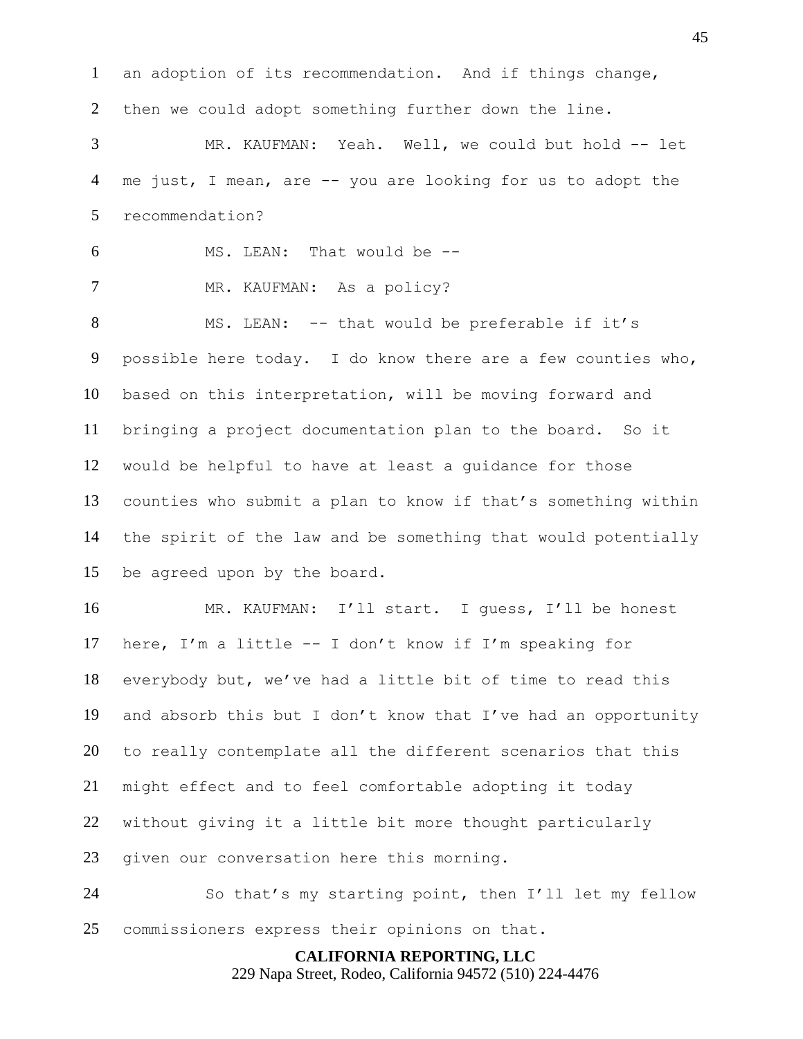an adoption of its recommendation. And if things change, then we could adopt something further down the line.

 MR. KAUFMAN: Yeah. Well, we could but hold -- let me just, I mean, are -- you are looking for us to adopt the recommendation?

 MS. LEAN: That would be -- 7 MR. KAUFMAN: As a policy?

 MS. LEAN: -- that would be preferable if it's possible here today. I do know there are a few counties who, based on this interpretation, will be moving forward and bringing a project documentation plan to the board. So it would be helpful to have at least a guidance for those counties who submit a plan to know if that's something within the spirit of the law and be something that would potentially be agreed upon by the board.

 MR. KAUFMAN: I'll start. I guess, I'll be honest here, I'm a little -- I don't know if I'm speaking for everybody but, we've had a little bit of time to read this and absorb this but I don't know that I've had an opportunity to really contemplate all the different scenarios that this might effect and to feel comfortable adopting it today without giving it a little bit more thought particularly given our conversation here this morning.

 So that's my starting point, then I'll let my fellow commissioners express their opinions on that.

> **CALIFORNIA REPORTING, LLC** 229 Napa Street, Rodeo, California 94572 (510) 224-4476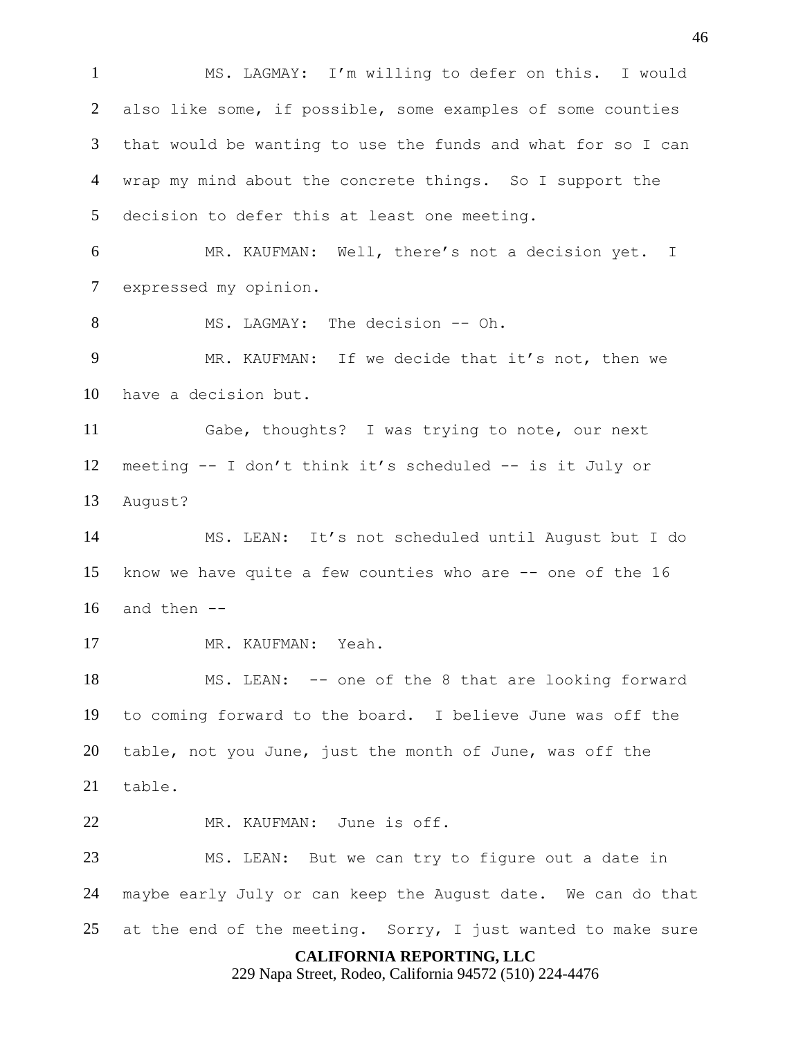**CALIFORNIA REPORTING, LLC** 229 Napa Street, Rodeo, California 94572 (510) 224-4476 MS. LAGMAY: I'm willing to defer on this. I would also like some, if possible, some examples of some counties that would be wanting to use the funds and what for so I can wrap my mind about the concrete things. So I support the decision to defer this at least one meeting. MR. KAUFMAN: Well, there's not a decision yet. I expressed my opinion. 8 MS. LAGMAY: The decision -- Oh. MR. KAUFMAN: If we decide that it's not, then we have a decision but. Gabe, thoughts? I was trying to note, our next meeting -- I don't think it's scheduled -- is it July or August? MS. LEAN: It's not scheduled until August but I do know we have quite a few counties who are -- one of the 16 and then  $-$  MR. KAUFMAN: Yeah. MS. LEAN: -- one of the 8 that are looking forward to coming forward to the board. I believe June was off the table, not you June, just the month of June, was off the table. 22 MR. KAUFMAN: June is off. MS. LEAN: But we can try to figure out a date in maybe early July or can keep the August date. We can do that 25 at the end of the meeting. Sorry, I just wanted to make sure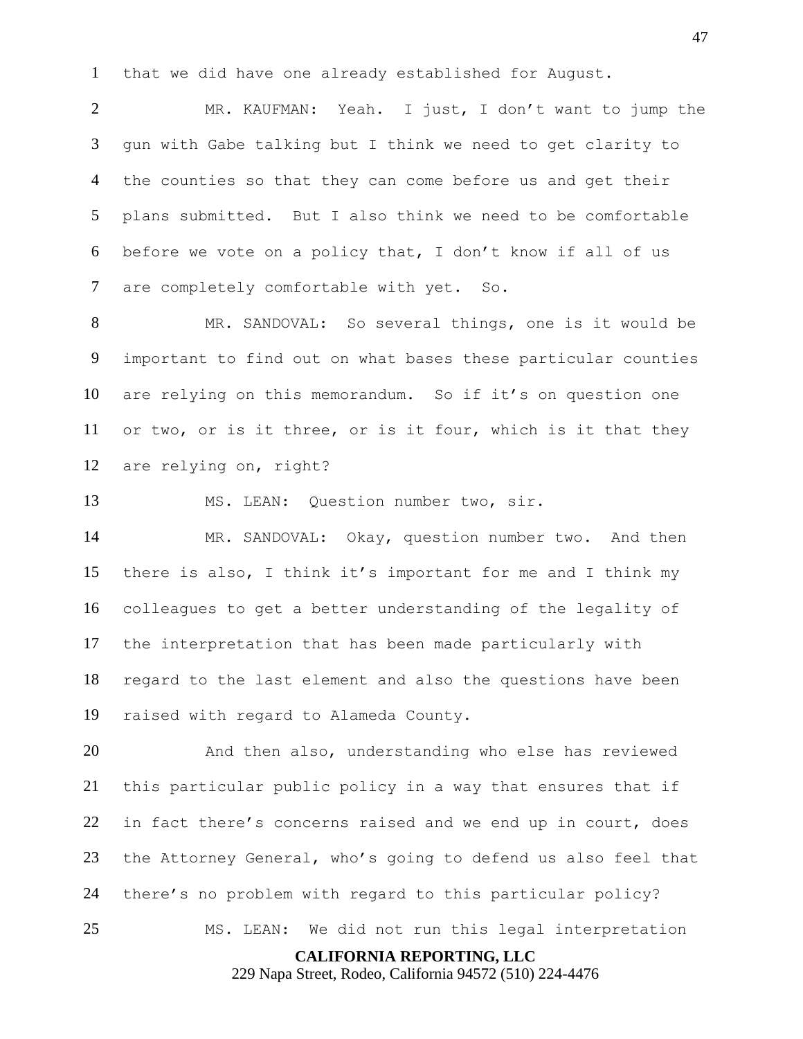that we did have one already established for August.

 MR. KAUFMAN: Yeah. I just, I don't want to jump the gun with Gabe talking but I think we need to get clarity to the counties so that they can come before us and get their plans submitted. But I also think we need to be comfortable before we vote on a policy that, I don't know if all of us are completely comfortable with yet. So.

 MR. SANDOVAL: So several things, one is it would be important to find out on what bases these particular counties are relying on this memorandum. So if it's on question one or two, or is it three, or is it four, which is it that they are relying on, right?

MS. LEAN: Question number two, sir.

 MR. SANDOVAL: Okay, question number two. And then there is also, I think it's important for me and I think my colleagues to get a better understanding of the legality of the interpretation that has been made particularly with regard to the last element and also the questions have been raised with regard to Alameda County.

 And then also, understanding who else has reviewed this particular public policy in a way that ensures that if in fact there's concerns raised and we end up in court, does the Attorney General, who's going to defend us also feel that there's no problem with regard to this particular policy? MS. LEAN: We did not run this legal interpretation

**CALIFORNIA REPORTING, LLC**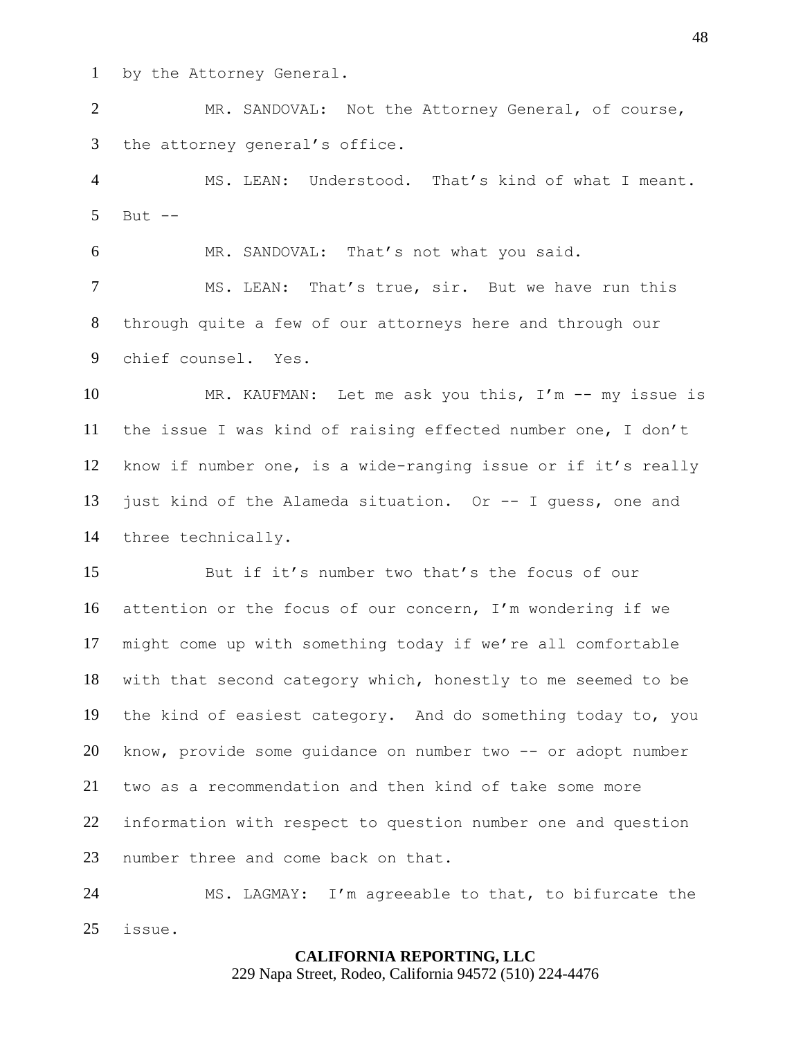by the Attorney General.

 MR. SANDOVAL: Not the Attorney General, of course, the attorney general's office.

 MS. LEAN: Understood. That's kind of what I meant. But  $-$ 

MR. SANDOVAL: That's not what you said.

 MS. LEAN: That's true, sir. But we have run this through quite a few of our attorneys here and through our chief counsel. Yes.

 MR. KAUFMAN: Let me ask you this, I'm -- my issue is the issue I was kind of raising effected number one, I don't know if number one, is a wide-ranging issue or if it's really just kind of the Alameda situation. Or -- I guess, one and three technically.

 But if it's number two that's the focus of our attention or the focus of our concern, I'm wondering if we might come up with something today if we're all comfortable with that second category which, honestly to me seemed to be the kind of easiest category. And do something today to, you know, provide some guidance on number two -- or adopt number two as a recommendation and then kind of take some more information with respect to question number one and question number three and come back on that.

 MS. LAGMAY: I'm agreeable to that, to bifurcate the issue.

# **CALIFORNIA REPORTING, LLC**

229 Napa Street, Rodeo, California 94572 (510) 224-4476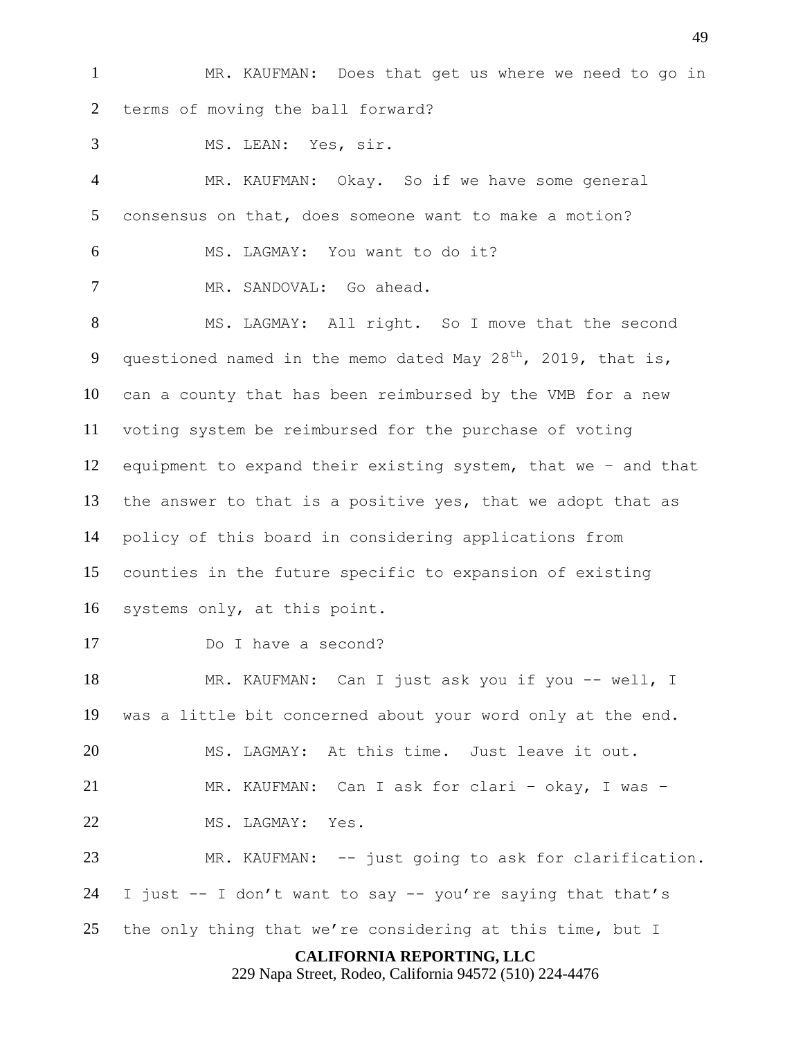MR. KAUFMAN: Does that get us where we need to go in terms of moving the ball forward?

MS. LEAN: Yes, sir.

 MR. KAUFMAN: Okay. So if we have some general consensus on that, does someone want to make a motion? MS. LAGMAY: You want to do it? MR. SANDOVAL: Go ahead.

 MS. LAGMAY: All right. So I move that the second 9 questioned named in the memo dated May 28<sup>th</sup>, 2019, that is, can a county that has been reimbursed by the VMB for a new voting system be reimbursed for the purchase of voting equipment to expand their existing system, that we – and that the answer to that is a positive yes, that we adopt that as policy of this board in considering applications from counties in the future specific to expansion of existing systems only, at this point.

Do I have a second?

 MR. KAUFMAN: Can I just ask you if you -- well, I was a little bit concerned about your word only at the end.

MS. LAGMAY: At this time. Just leave it out.

MR. KAUFMAN: Can I ask for clari – okay, I was –

MS. LAGMAY: Yes.

 MR. KAUFMAN: -- just going to ask for clarification. 24 I just  $-$  I don't want to say  $-$  you're saying that that's the only thing that we're considering at this time, but I

# **CALIFORNIA REPORTING, LLC**

229 Napa Street, Rodeo, California 94572 (510) 224-4476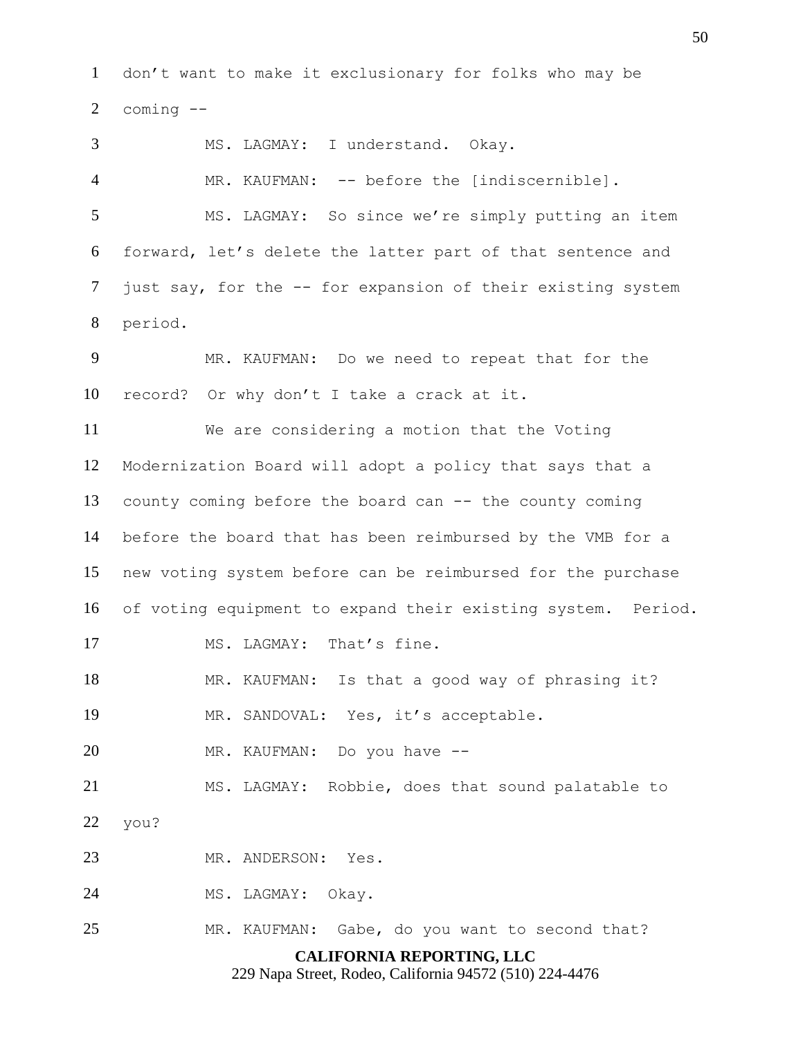don't want to make it exclusionary for folks who may be coming --

**CALIFORNIA REPORTING, LLC** MS. LAGMAY: I understand. Okay. MR. KAUFMAN: -- before the [indiscernible]. MS. LAGMAY: So since we're simply putting an item forward, let's delete the latter part of that sentence and just say, for the -- for expansion of their existing system period. MR. KAUFMAN: Do we need to repeat that for the record? Or why don't I take a crack at it. We are considering a motion that the Voting Modernization Board will adopt a policy that says that a county coming before the board can -- the county coming before the board that has been reimbursed by the VMB for a new voting system before can be reimbursed for the purchase of voting equipment to expand their existing system. Period. 17 MS. LAGMAY: That's fine. MR. KAUFMAN: Is that a good way of phrasing it? MR. SANDOVAL: Yes, it's acceptable. MR. KAUFMAN: Do you have -- MS. LAGMAY: Robbie, does that sound palatable to you? MR. ANDERSON: Yes. MS. LAGMAY: Okay. MR. KAUFMAN: Gabe, do you want to second that?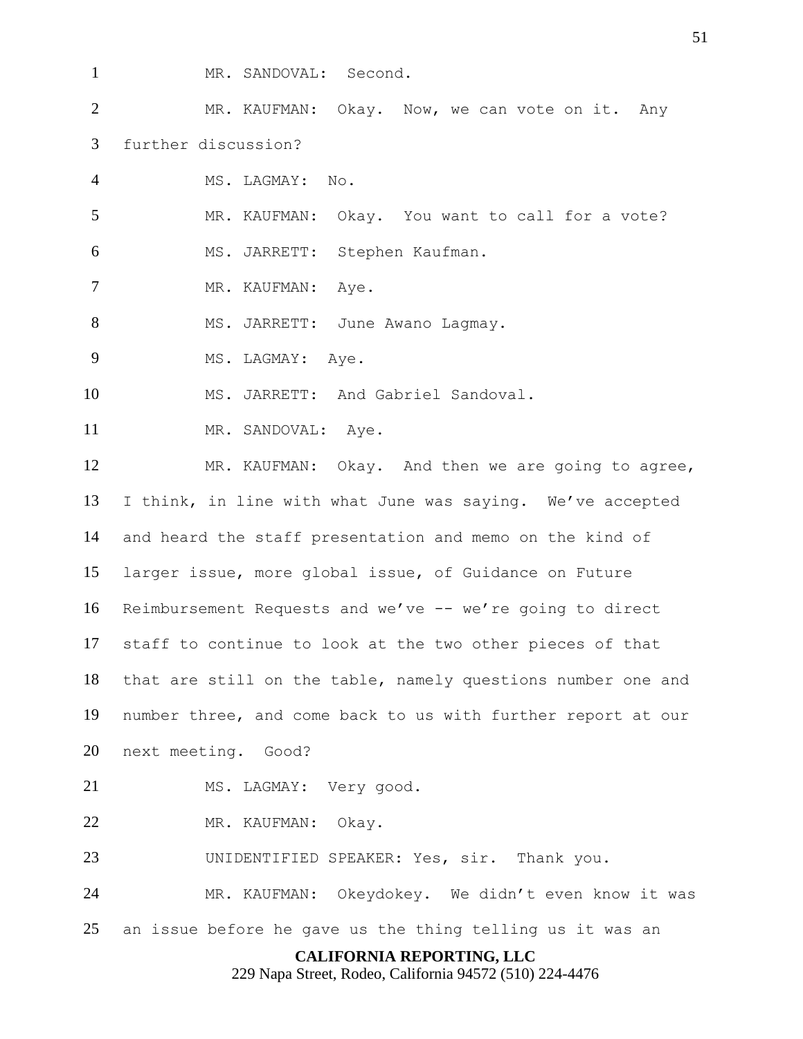- 
- MR. SANDOVAL: Second.

 MR. KAUFMAN: Okay. Now, we can vote on it. Any further discussion?

MS. LAGMAY: No.

5 MR. KAUFMAN: Okay. You want to call for a vote?

MS. JARRETT: Stephen Kaufman.

7 MR. KAUFMAN: Aye.

8 MS. JARRETT: June Awano Lagmay.

9 MS. LAGMAY: Ave.

MS. JARRETT: And Gabriel Sandoval.

11 MR. SANDOVAL: Aye.

 MR. KAUFMAN: Okay. And then we are going to agree, I think, in line with what June was saying. We've accepted and heard the staff presentation and memo on the kind of larger issue, more global issue, of Guidance on Future Reimbursement Requests and we've -- we're going to direct staff to continue to look at the two other pieces of that that are still on the table, namely questions number one and number three, and come back to us with further report at our next meeting. Good?

21 MS. LAGMAY: Very good.

MR. KAUFMAN: Okay.

UNIDENTIFIED SPEAKER: Yes, sir. Thank you.

MR. KAUFMAN: Okeydokey. We didn't even know it was

an issue before he gave us the thing telling us it was an

# **CALIFORNIA REPORTING, LLC**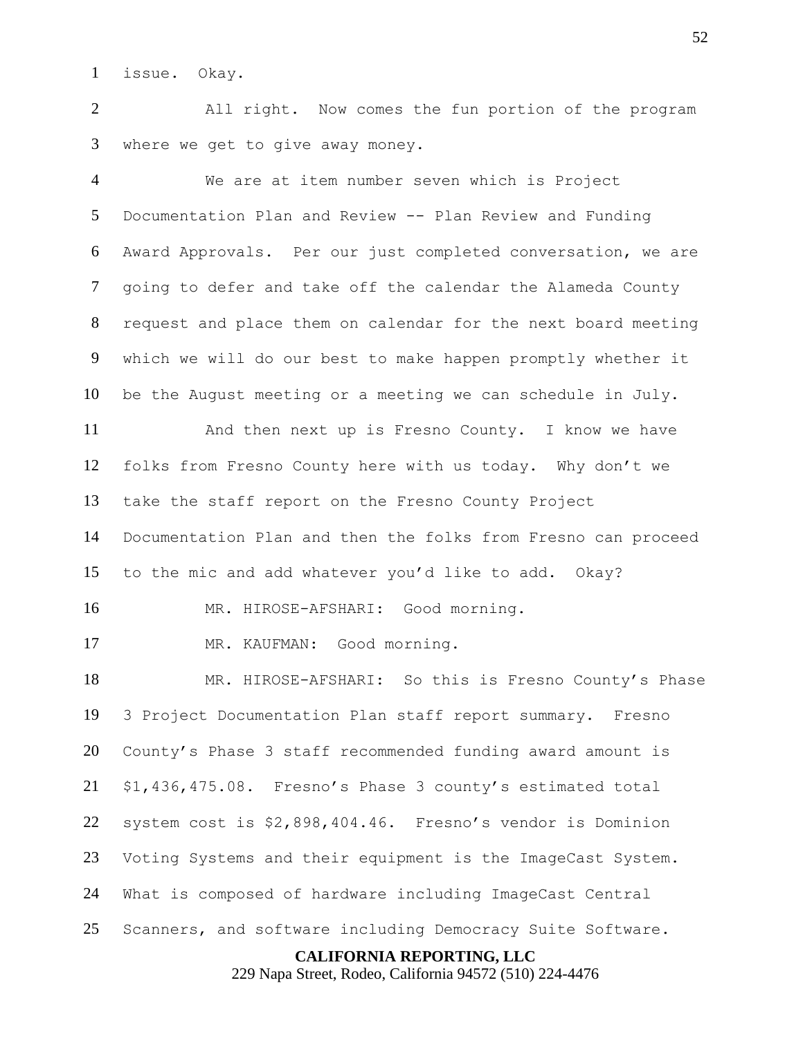issue. Okay.

 All right. Now comes the fun portion of the program where we get to give away money.

 We are at item number seven which is Project Documentation Plan and Review -- Plan Review and Funding Award Approvals. Per our just completed conversation, we are going to defer and take off the calendar the Alameda County request and place them on calendar for the next board meeting which we will do our best to make happen promptly whether it be the August meeting or a meeting we can schedule in July. And then next up is Fresno County. I know we have folks from Fresno County here with us today. Why don't we take the staff report on the Fresno County Project Documentation Plan and then the folks from Fresno can proceed to the mic and add whatever you'd like to add. Okay? MR. HIROSE-AFSHARI: Good morning. MR. KAUFMAN: Good morning. MR. HIROSE-AFSHARI: So this is Fresno County's Phase 3 Project Documentation Plan staff report summary. Fresno County's Phase 3 staff recommended funding award amount is \$1,436,475.08. Fresno's Phase 3 county's estimated total system cost is \$2,898,404.46. Fresno's vendor is Dominion Voting Systems and their equipment is the ImageCast System. What is composed of hardware including ImageCast Central Scanners, and software including Democracy Suite Software.

#### **CALIFORNIA REPORTING, LLC**

229 Napa Street, Rodeo, California 94572 (510) 224-4476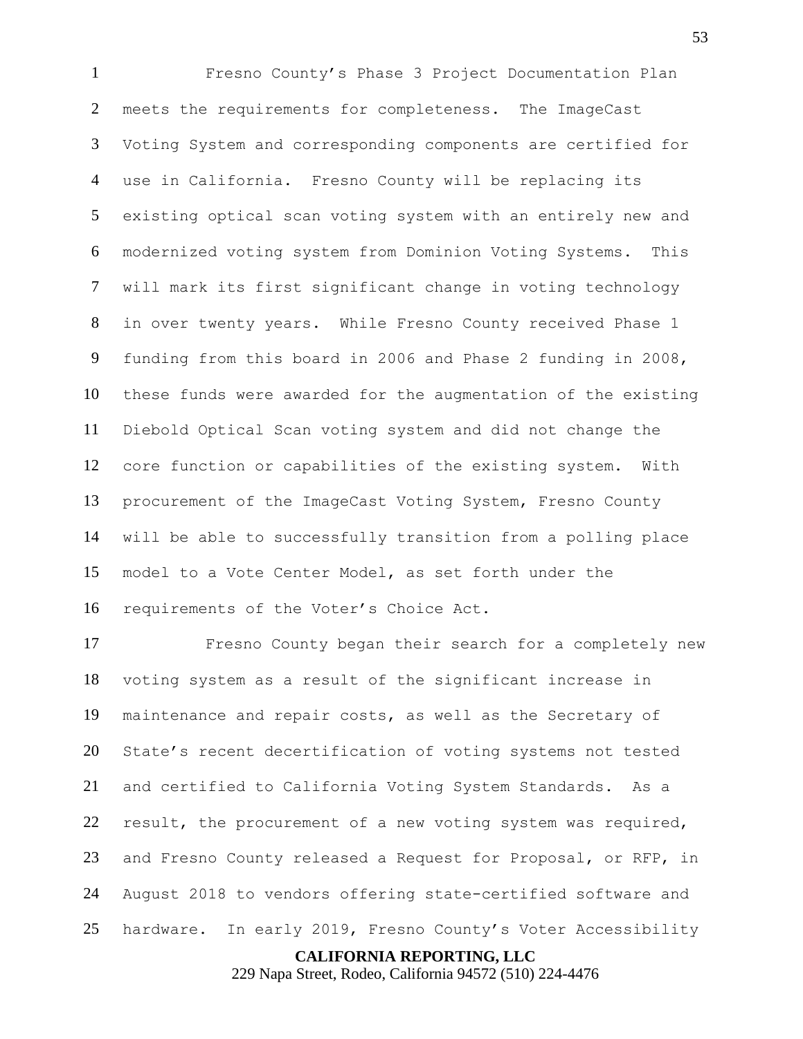Fresno County's Phase 3 Project Documentation Plan meets the requirements for completeness. The ImageCast Voting System and corresponding components are certified for use in California. Fresno County will be replacing its existing optical scan voting system with an entirely new and modernized voting system from Dominion Voting Systems. This will mark its first significant change in voting technology in over twenty years. While Fresno County received Phase 1 funding from this board in 2006 and Phase 2 funding in 2008, these funds were awarded for the augmentation of the existing Diebold Optical Scan voting system and did not change the core function or capabilities of the existing system. With procurement of the ImageCast Voting System, Fresno County will be able to successfully transition from a polling place model to a Vote Center Model, as set forth under the requirements of the Voter's Choice Act.

 Fresno County began their search for a completely new voting system as a result of the significant increase in maintenance and repair costs, as well as the Secretary of State's recent decertification of voting systems not tested and certified to California Voting System Standards. As a result, the procurement of a new voting system was required, and Fresno County released a Request for Proposal, or RFP, in August 2018 to vendors offering state-certified software and hardware. In early 2019, Fresno County's Voter Accessibility

**CALIFORNIA REPORTING, LLC**

229 Napa Street, Rodeo, California 94572 (510) 224-4476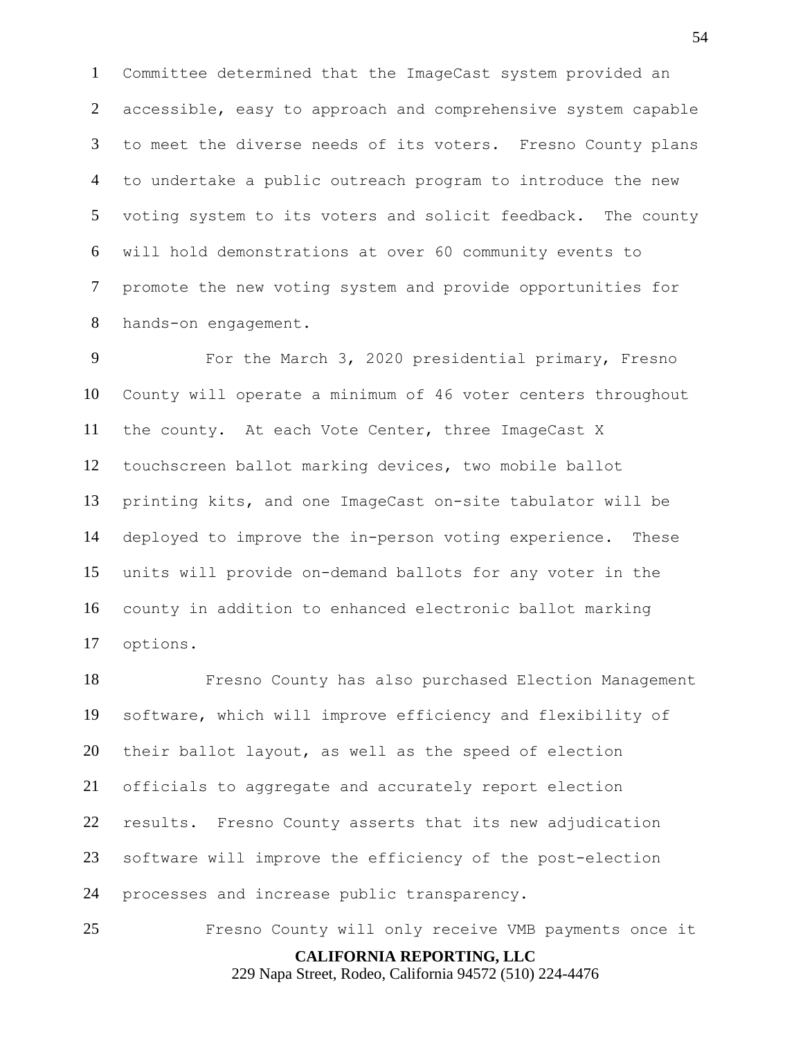Committee determined that the ImageCast system provided an accessible, easy to approach and comprehensive system capable to meet the diverse needs of its voters. Fresno County plans to undertake a public outreach program to introduce the new voting system to its voters and solicit feedback. The county will hold demonstrations at over 60 community events to promote the new voting system and provide opportunities for hands-on engagement.

 For the March 3, 2020 presidential primary, Fresno County will operate a minimum of 46 voter centers throughout the county. At each Vote Center, three ImageCast X touchscreen ballot marking devices, two mobile ballot printing kits, and one ImageCast on-site tabulator will be deployed to improve the in-person voting experience. These units will provide on-demand ballots for any voter in the county in addition to enhanced electronic ballot marking options.

 Fresno County has also purchased Election Management software, which will improve efficiency and flexibility of their ballot layout, as well as the speed of election officials to aggregate and accurately report election results. Fresno County asserts that its new adjudication software will improve the efficiency of the post-election processes and increase public transparency.

**CALIFORNIA REPORTING, LLC** Fresno County will only receive VMB payments once it

229 Napa Street, Rodeo, California 94572 (510) 224-4476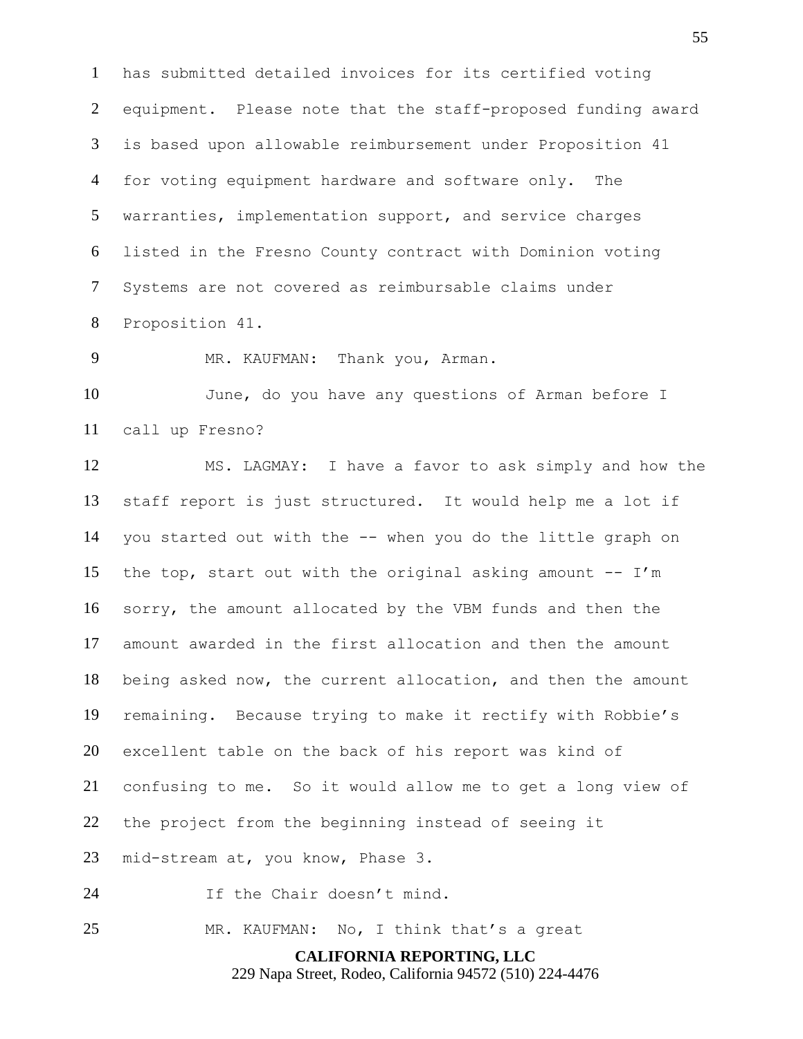has submitted detailed invoices for its certified voting equipment. Please note that the staff-proposed funding award is based upon allowable reimbursement under Proposition 41 for voting equipment hardware and software only. The warranties, implementation support, and service charges listed in the Fresno County contract with Dominion voting Systems are not covered as reimbursable claims under Proposition 41.

MR. KAUFMAN: Thank you, Arman.

 June, do you have any questions of Arman before I call up Fresno?

 MS. LAGMAY: I have a favor to ask simply and how the staff report is just structured. It would help me a lot if you started out with the -- when you do the little graph on 15 the top, start out with the original asking amount  $-- I'm$  sorry, the amount allocated by the VBM funds and then the amount awarded in the first allocation and then the amount being asked now, the current allocation, and then the amount remaining. Because trying to make it rectify with Robbie's excellent table on the back of his report was kind of confusing to me. So it would allow me to get a long view of the project from the beginning instead of seeing it mid-stream at, you know, Phase 3. If the Chair doesn't mind.

MR. KAUFMAN: No, I think that's a great

**CALIFORNIA REPORTING, LLC**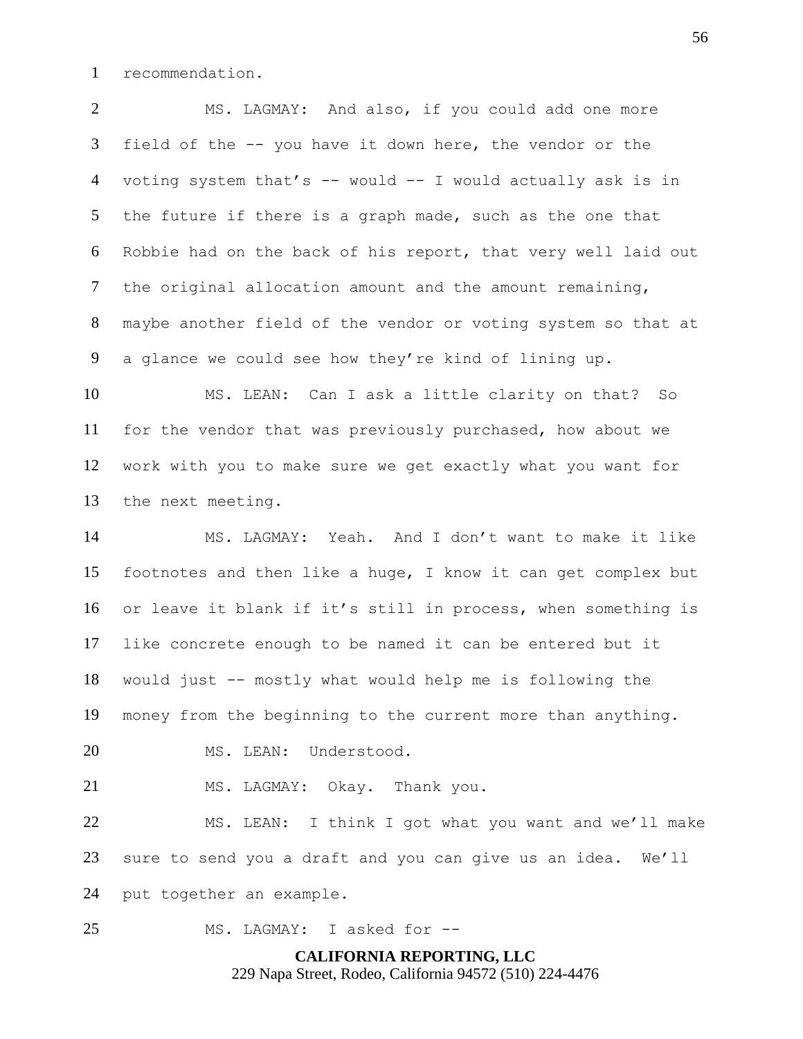recommendation.

 MS. LAGMAY: And also, if you could add one more field of the -- you have it down here, the vendor or the voting system that's -- would -- I would actually ask is in the future if there is a graph made, such as the one that Robbie had on the back of his report, that very well laid out the original allocation amount and the amount remaining, maybe another field of the vendor or voting system so that at a glance we could see how they're kind of lining up.

 MS. LEAN: Can I ask a little clarity on that? So for the vendor that was previously purchased, how about we work with you to make sure we get exactly what you want for the next meeting.

 MS. LAGMAY: Yeah. And I don't want to make it like footnotes and then like a huge, I know it can get complex but or leave it blank if it's still in process, when something is like concrete enough to be named it can be entered but it would just -- mostly what would help me is following the money from the beginning to the current more than anything.

MS. LEAN: Understood.

MS. LAGMAY: Okay. Thank you.

 MS. LEAN: I think I got what you want and we'll make sure to send you a draft and you can give us an idea. We'll put together an example.

MS. LAGMAY: I asked for --

# **CALIFORNIA REPORTING, LLC** 229 Napa Street, Rodeo, California 94572 (510) 224-4476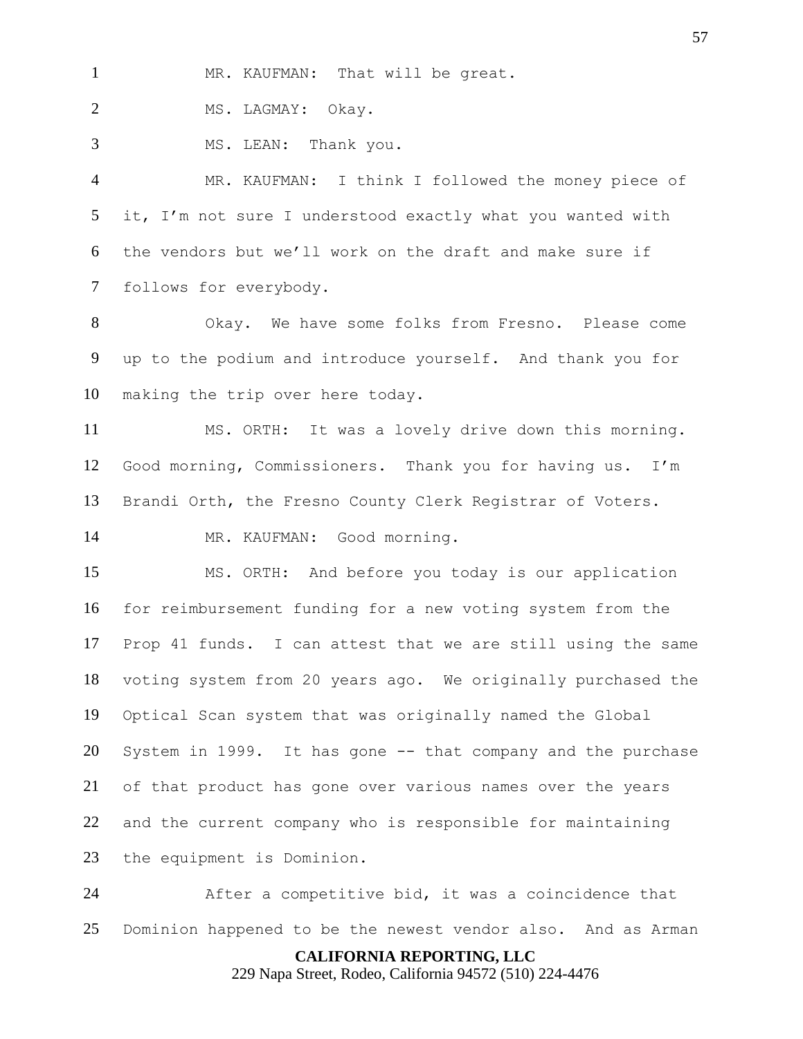MR. KAUFMAN: That will be great.

2 MS. LAGMAY: Okay.

MS. LEAN: Thank you.

 MR. KAUFMAN: I think I followed the money piece of it, I'm not sure I understood exactly what you wanted with the vendors but we'll work on the draft and make sure if follows for everybody.

 Okay. We have some folks from Fresno. Please come up to the podium and introduce yourself. And thank you for making the trip over here today.

 MS. ORTH: It was a lovely drive down this morning. Good morning, Commissioners. Thank you for having us. I'm Brandi Orth, the Fresno County Clerk Registrar of Voters.

MR. KAUFMAN: Good morning.

 MS. ORTH: And before you today is our application for reimbursement funding for a new voting system from the Prop 41 funds. I can attest that we are still using the same voting system from 20 years ago. We originally purchased the Optical Scan system that was originally named the Global System in 1999. It has gone -- that company and the purchase of that product has gone over various names over the years and the current company who is responsible for maintaining the equipment is Dominion.

 After a competitive bid, it was a coincidence that Dominion happened to be the newest vendor also. And as Arman

**CALIFORNIA REPORTING, LLC**

229 Napa Street, Rodeo, California 94572 (510) 224-4476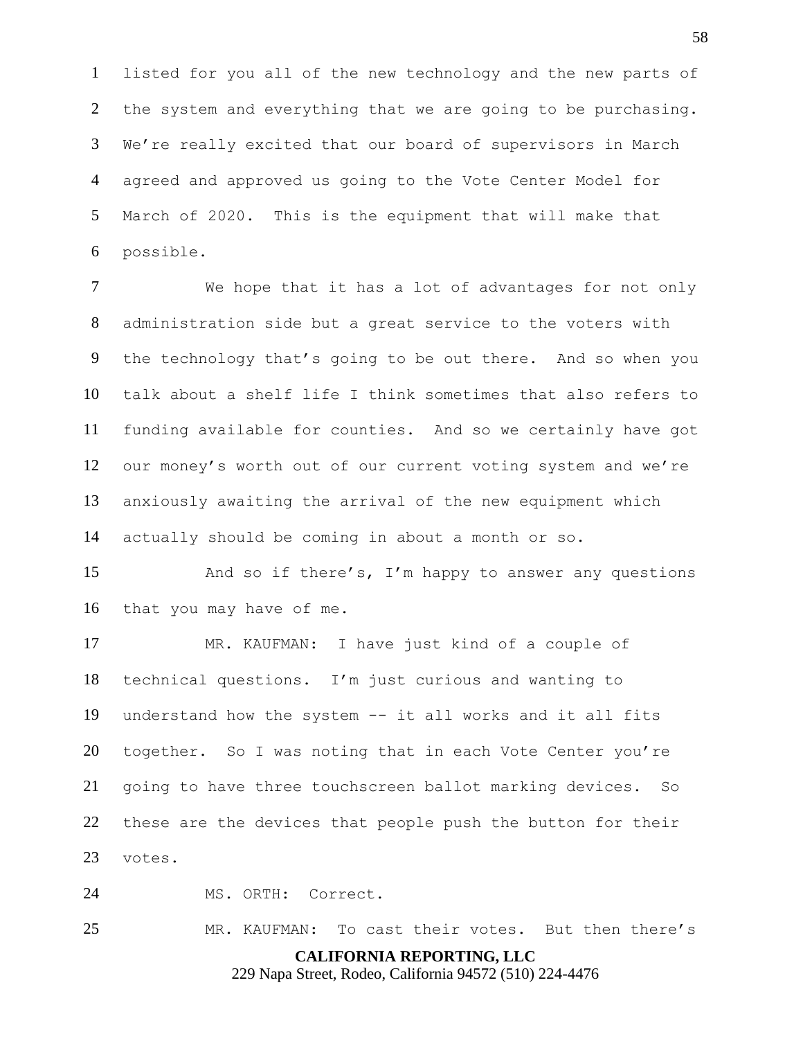listed for you all of the new technology and the new parts of the system and everything that we are going to be purchasing. We're really excited that our board of supervisors in March agreed and approved us going to the Vote Center Model for March of 2020. This is the equipment that will make that possible.

 We hope that it has a lot of advantages for not only administration side but a great service to the voters with the technology that's going to be out there. And so when you talk about a shelf life I think sometimes that also refers to funding available for counties. And so we certainly have got our money's worth out of our current voting system and we're anxiously awaiting the arrival of the new equipment which actually should be coming in about a month or so.

15 And so if there's, I'm happy to answer any questions that you may have of me.

 MR. KAUFMAN: I have just kind of a couple of technical questions. I'm just curious and wanting to understand how the system -- it all works and it all fits together. So I was noting that in each Vote Center you're going to have three touchscreen ballot marking devices. So these are the devices that people push the button for their votes.

MS. ORTH: Correct.

MR. KAUFMAN: To cast their votes. But then there's

**CALIFORNIA REPORTING, LLC**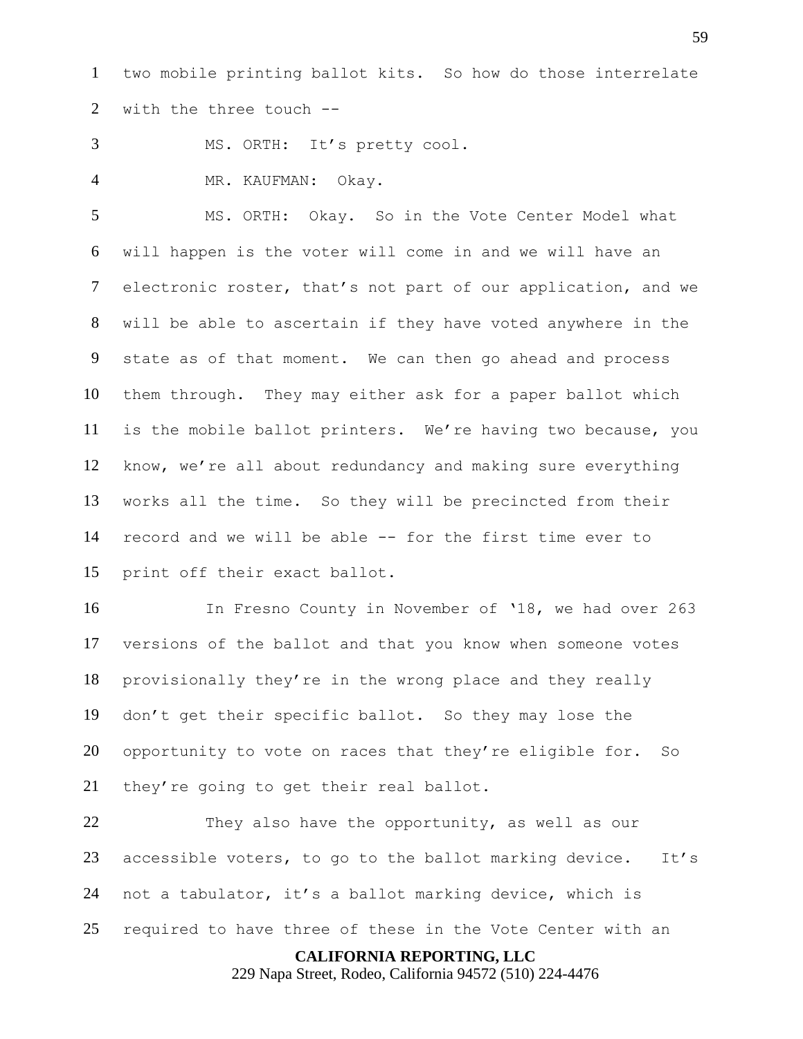two mobile printing ballot kits. So how do those interrelate with the three touch --

MS. ORTH: It's pretty cool.

4 MR. KAUFMAN: Okay.

 MS. ORTH: Okay. So in the Vote Center Model what will happen is the voter will come in and we will have an electronic roster, that's not part of our application, and we will be able to ascertain if they have voted anywhere in the state as of that moment. We can then go ahead and process them through. They may either ask for a paper ballot which is the mobile ballot printers. We're having two because, you know, we're all about redundancy and making sure everything works all the time. So they will be precincted from their record and we will be able -- for the first time ever to print off their exact ballot.

 In Fresno County in November of '18, we had over 263 versions of the ballot and that you know when someone votes provisionally they're in the wrong place and they really don't get their specific ballot. So they may lose the opportunity to vote on races that they're eligible for. So they're going to get their real ballot.

22 They also have the opportunity, as well as our accessible voters, to go to the ballot marking device. It's not a tabulator, it's a ballot marking device, which is required to have three of these in the Vote Center with an

**CALIFORNIA REPORTING, LLC**

229 Napa Street, Rodeo, California 94572 (510) 224-4476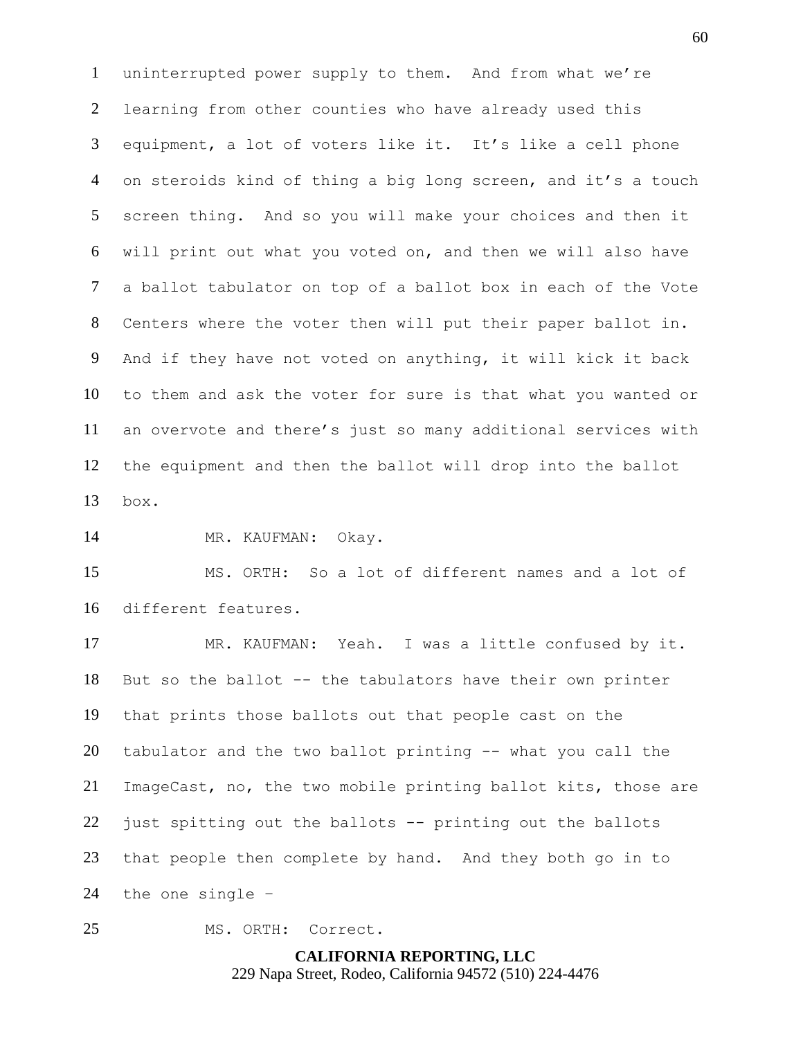uninterrupted power supply to them. And from what we're learning from other counties who have already used this equipment, a lot of voters like it. It's like a cell phone on steroids kind of thing a big long screen, and it's a touch screen thing. And so you will make your choices and then it will print out what you voted on, and then we will also have a ballot tabulator on top of a ballot box in each of the Vote Centers where the voter then will put their paper ballot in. And if they have not voted on anything, it will kick it back to them and ask the voter for sure is that what you wanted or an overvote and there's just so many additional services with the equipment and then the ballot will drop into the ballot box.

MR. KAUFMAN: Okay.

 MS. ORTH: So a lot of different names and a lot of different features.

 MR. KAUFMAN: Yeah. I was a little confused by it. But so the ballot -- the tabulators have their own printer that prints those ballots out that people cast on the tabulator and the two ballot printing -- what you call the ImageCast, no, the two mobile printing ballot kits, those are just spitting out the ballots -- printing out the ballots that people then complete by hand. And they both go in to the one single –

MS. ORTH: Correct.

**CALIFORNIA REPORTING, LLC** 229 Napa Street, Rodeo, California 94572 (510) 224-4476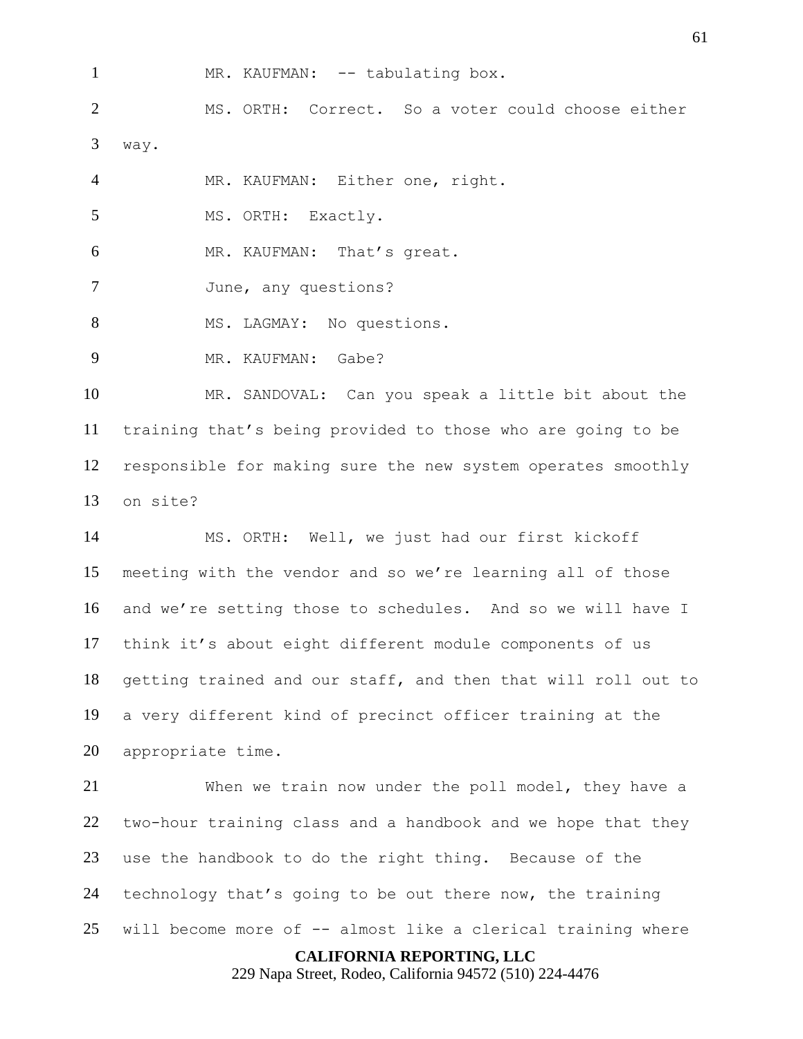1 MR. KAUFMAN: -- tabulating box.

 MS. ORTH: Correct. So a voter could choose either way.

MR. KAUFMAN: Either one, right.

MS. ORTH: Exactly.

MR. KAUFMAN: That's great.

June, any questions?

8 MS. LAGMAY: No questions.

9 MR. KAUFMAN: Gabe?

 MR. SANDOVAL: Can you speak a little bit about the training that's being provided to those who are going to be responsible for making sure the new system operates smoothly on site?

 MS. ORTH: Well, we just had our first kickoff meeting with the vendor and so we're learning all of those and we're setting those to schedules. And so we will have I think it's about eight different module components of us getting trained and our staff, and then that will roll out to a very different kind of precinct officer training at the appropriate time.

 When we train now under the poll model, they have a two-hour training class and a handbook and we hope that they use the handbook to do the right thing. Because of the technology that's going to be out there now, the training will become more of -- almost like a clerical training where

## **CALIFORNIA REPORTING, LLC**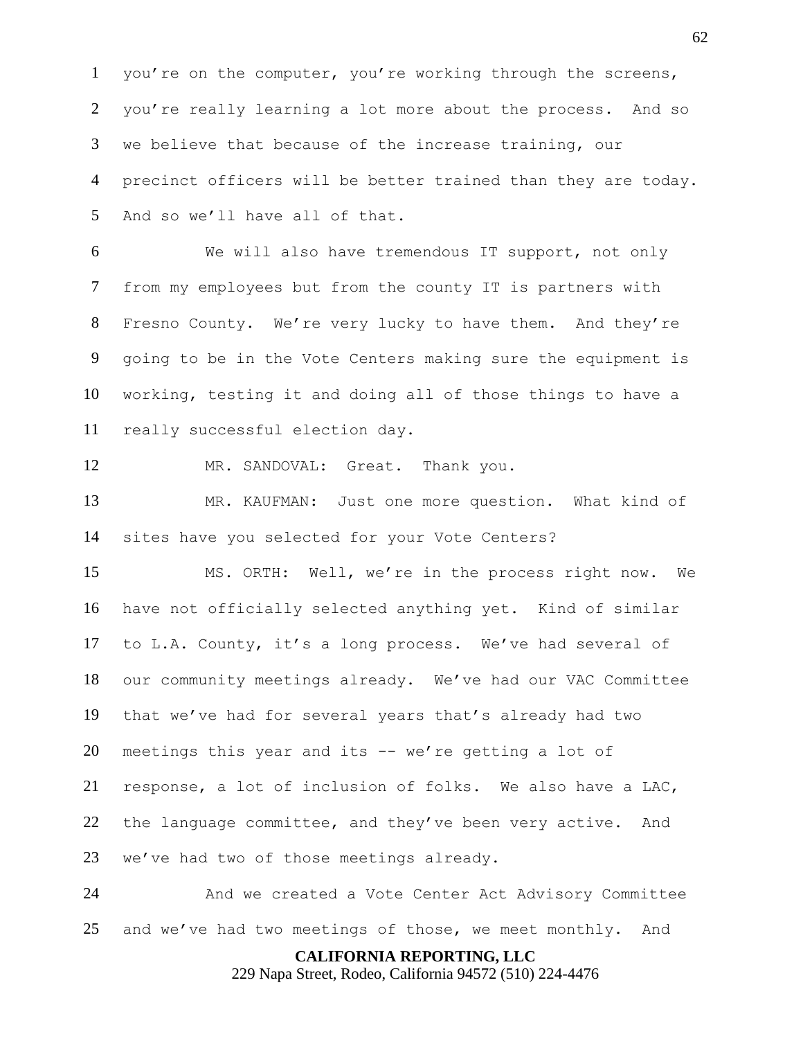you're on the computer, you're working through the screens, you're really learning a lot more about the process. And so we believe that because of the increase training, our precinct officers will be better trained than they are today. And so we'll have all of that.

 We will also have tremendous IT support, not only from my employees but from the county IT is partners with Fresno County. We're very lucky to have them. And they're going to be in the Vote Centers making sure the equipment is working, testing it and doing all of those things to have a really successful election day.

MR. SANDOVAL: Great. Thank you.

 MR. KAUFMAN: Just one more question. What kind of sites have you selected for your Vote Centers?

 MS. ORTH: Well, we're in the process right now. We have not officially selected anything yet. Kind of similar to L.A. County, it's a long process. We've had several of our community meetings already. We've had our VAC Committee that we've had for several years that's already had two meetings this year and its -- we're getting a lot of response, a lot of inclusion of folks. We also have a LAC, the language committee, and they've been very active. And we've had two of those meetings already.

 And we created a Vote Center Act Advisory Committee 25 and we've had two meetings of those, we meet monthly. And

**CALIFORNIA REPORTING, LLC**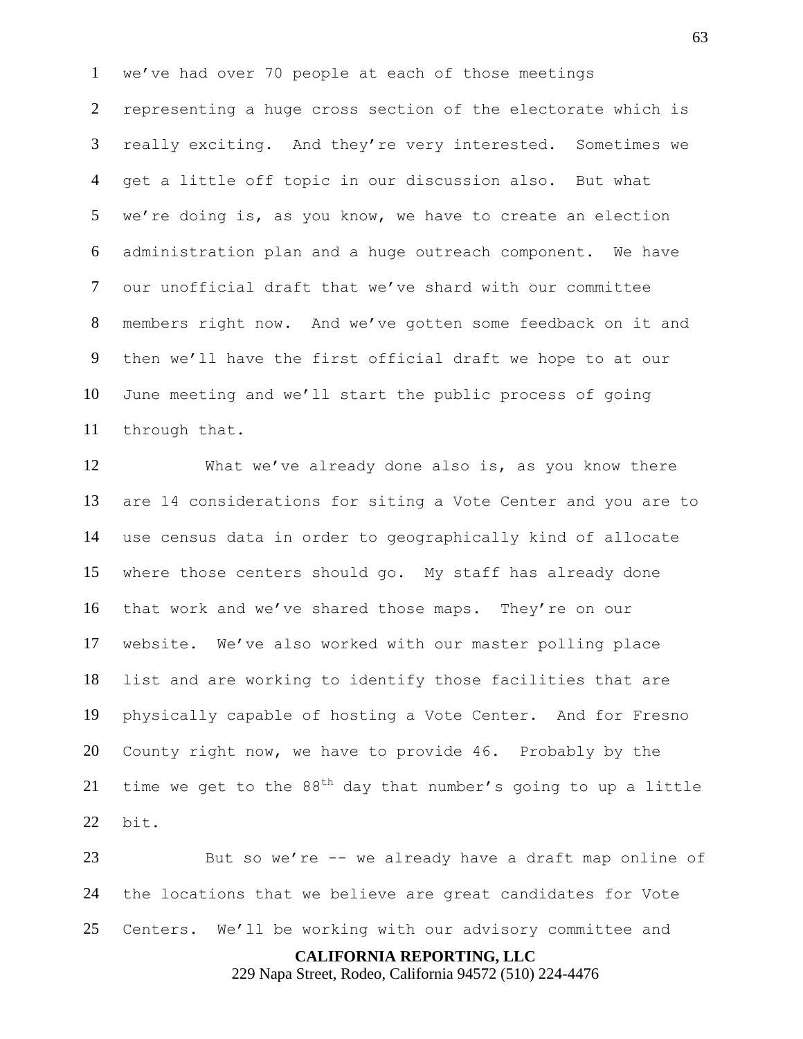we've had over 70 people at each of those meetings representing a huge cross section of the electorate which is really exciting. And they're very interested. Sometimes we get a little off topic in our discussion also. But what we're doing is, as you know, we have to create an election administration plan and a huge outreach component. We have our unofficial draft that we've shard with our committee members right now. And we've gotten some feedback on it and then we'll have the first official draft we hope to at our June meeting and we'll start the public process of going through that.

 What we've already done also is, as you know there are 14 considerations for siting a Vote Center and you are to use census data in order to geographically kind of allocate where those centers should go. My staff has already done that work and we've shared those maps. They're on our website. We've also worked with our master polling place list and are working to identify those facilities that are physically capable of hosting a Vote Center. And for Fresno County right now, we have to provide 46. Probably by the 21 time we get to the  $88<sup>th</sup>$  day that number's going to up a little bit.

 But so we're -- we already have a draft map online of the locations that we believe are great candidates for Vote Centers. We'll be working with our advisory committee and

**CALIFORNIA REPORTING, LLC**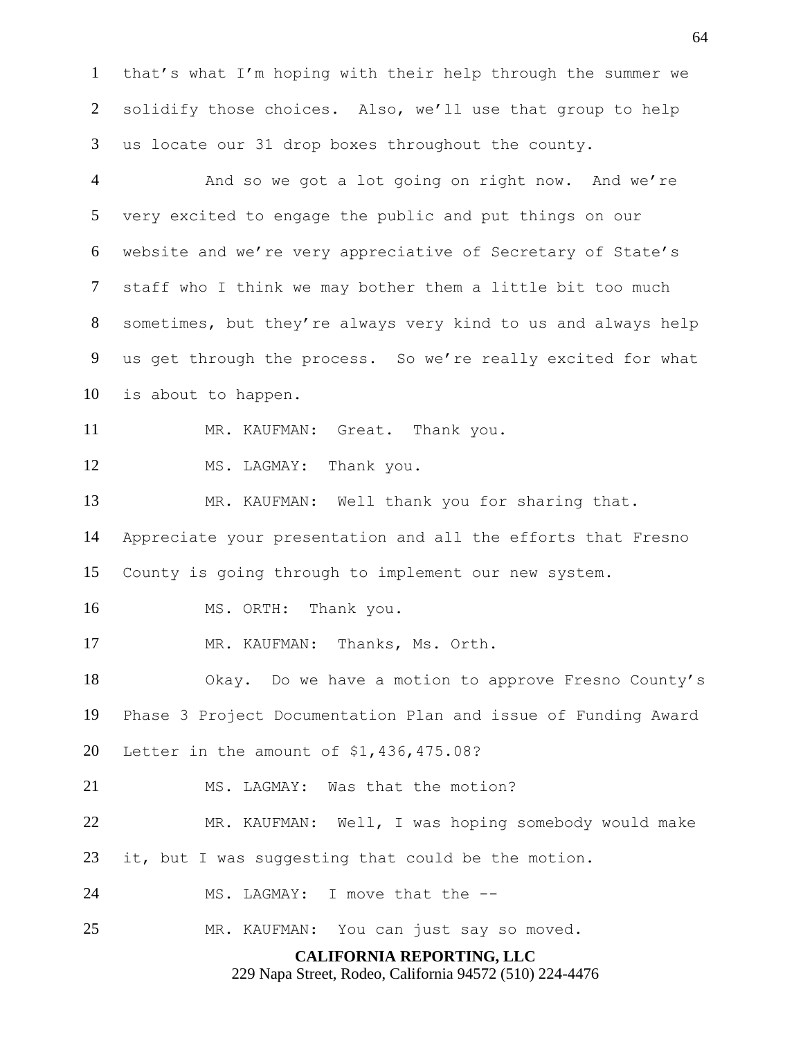that's what I'm hoping with their help through the summer we solidify those choices. Also, we'll use that group to help us locate our 31 drop boxes throughout the county.

**CALIFORNIA REPORTING, LLC** And so we got a lot going on right now. And we're very excited to engage the public and put things on our website and we're very appreciative of Secretary of State's staff who I think we may bother them a little bit too much sometimes, but they're always very kind to us and always help us get through the process. So we're really excited for what is about to happen. 11 MR. KAUFMAN: Great. Thank you. 12 MS. LAGMAY: Thank you. MR. KAUFMAN: Well thank you for sharing that. Appreciate your presentation and all the efforts that Fresno County is going through to implement our new system. MS. ORTH: Thank you. MR. KAUFMAN: Thanks, Ms. Orth. Okay. Do we have a motion to approve Fresno County's Phase 3 Project Documentation Plan and issue of Funding Award Letter in the amount of \$1,436,475.08? 21 MS. LAGMAY: Was that the motion? MR. KAUFMAN: Well, I was hoping somebody would make it, but I was suggesting that could be the motion. MS. LAGMAY: I move that the -- MR. KAUFMAN: You can just say so moved.

229 Napa Street, Rodeo, California 94572 (510) 224-4476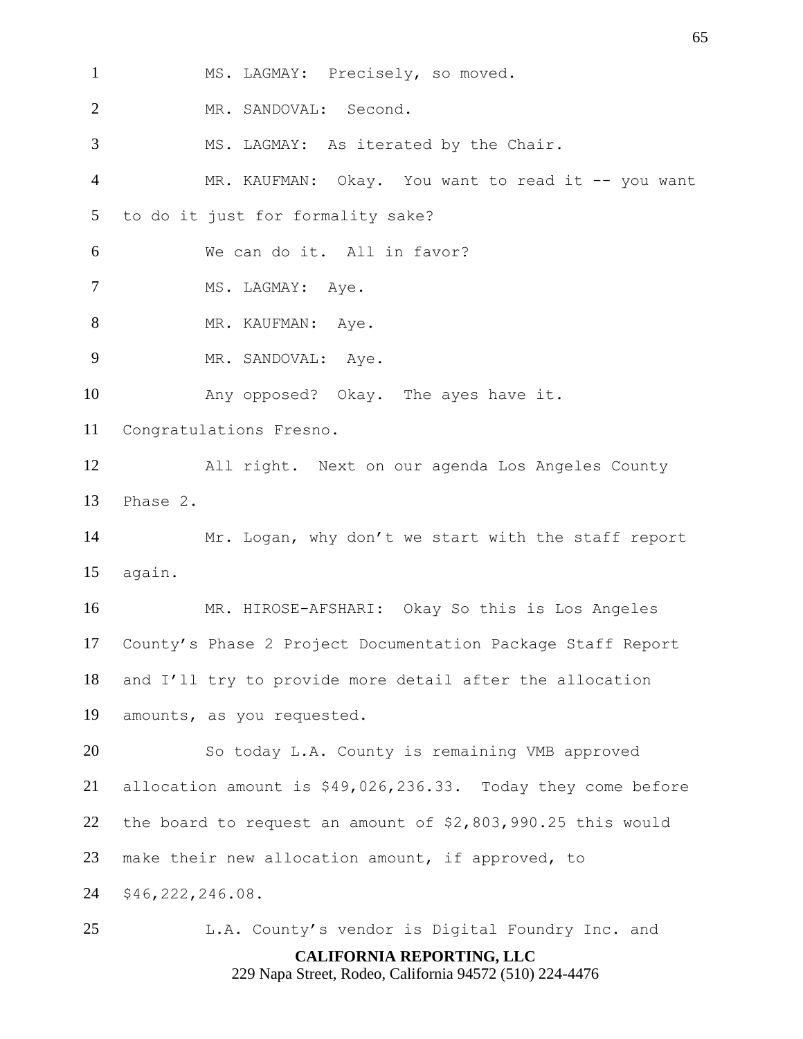**CALIFORNIA REPORTING, LLC** MS. LAGMAY: Precisely, so moved. MR. SANDOVAL: Second. MS. LAGMAY: As iterated by the Chair. 4 MR. KAUFMAN: Okay. You want to read it -- you want to do it just for formality sake? We can do it. All in favor? 7 MS. LAGMAY: Aye. 8 MR. KAUFMAN: Aye. 9 MR. SANDOVAL: Aye. Any opposed? Okay. The ayes have it. Congratulations Fresno. All right. Next on our agenda Los Angeles County Phase 2. Mr. Logan, why don't we start with the staff report again. MR. HIROSE-AFSHARI: Okay So this is Los Angeles County's Phase 2 Project Documentation Package Staff Report and I'll try to provide more detail after the allocation amounts, as you requested. So today L.A. County is remaining VMB approved allocation amount is \$49,026,236.33. Today they come before the board to request an amount of \$2,803,990.25 this would make their new allocation amount, if approved, to \$46,222,246.08. L.A. County's vendor is Digital Foundry Inc. and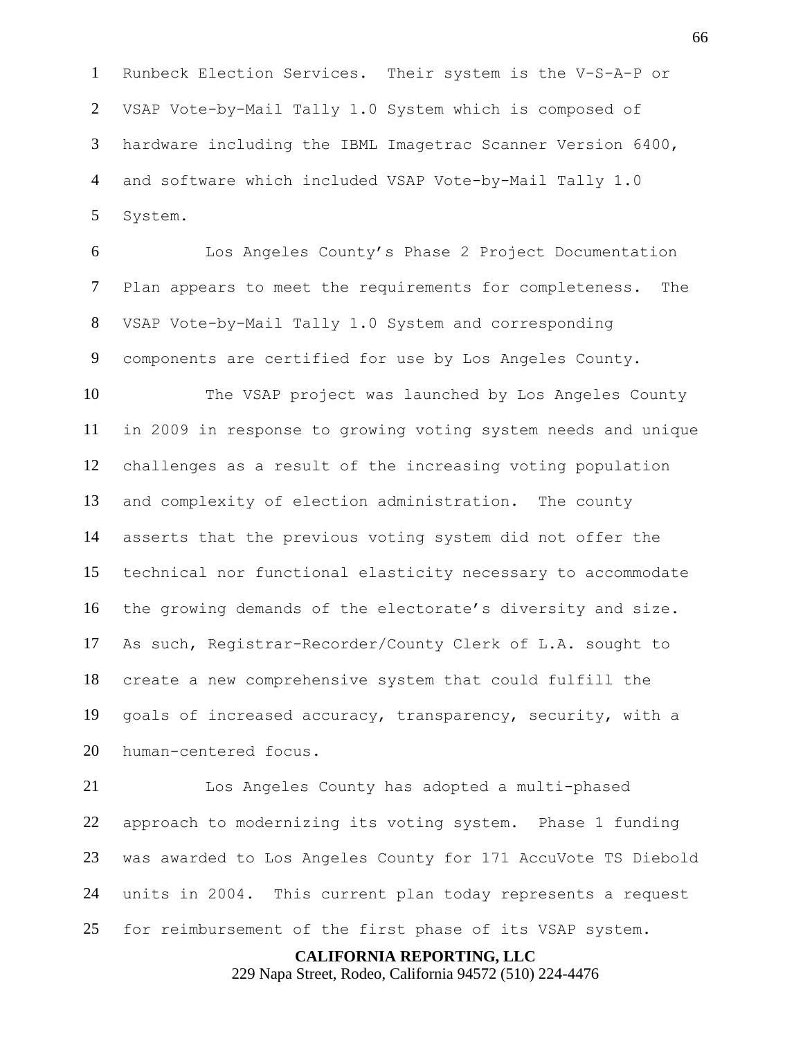Runbeck Election Services. Their system is the V-S-A-P or VSAP Vote-by-Mail Tally 1.0 System which is composed of hardware including the IBML Imagetrac Scanner Version 6400, and software which included VSAP Vote-by-Mail Tally 1.0 System.

 Los Angeles County's Phase 2 Project Documentation Plan appears to meet the requirements for completeness. The VSAP Vote-by-Mail Tally 1.0 System and corresponding components are certified for use by Los Angeles County.

 The VSAP project was launched by Los Angeles County in 2009 in response to growing voting system needs and unique challenges as a result of the increasing voting population and complexity of election administration. The county asserts that the previous voting system did not offer the technical nor functional elasticity necessary to accommodate the growing demands of the electorate's diversity and size. As such, Registrar-Recorder/County Clerk of L.A. sought to create a new comprehensive system that could fulfill the goals of increased accuracy, transparency, security, with a human-centered focus.

 Los Angeles County has adopted a multi-phased approach to modernizing its voting system. Phase 1 funding was awarded to Los Angeles County for 171 AccuVote TS Diebold units in 2004. This current plan today represents a request for reimbursement of the first phase of its VSAP system.

#### **CALIFORNIA REPORTING, LLC**

229 Napa Street, Rodeo, California 94572 (510) 224-4476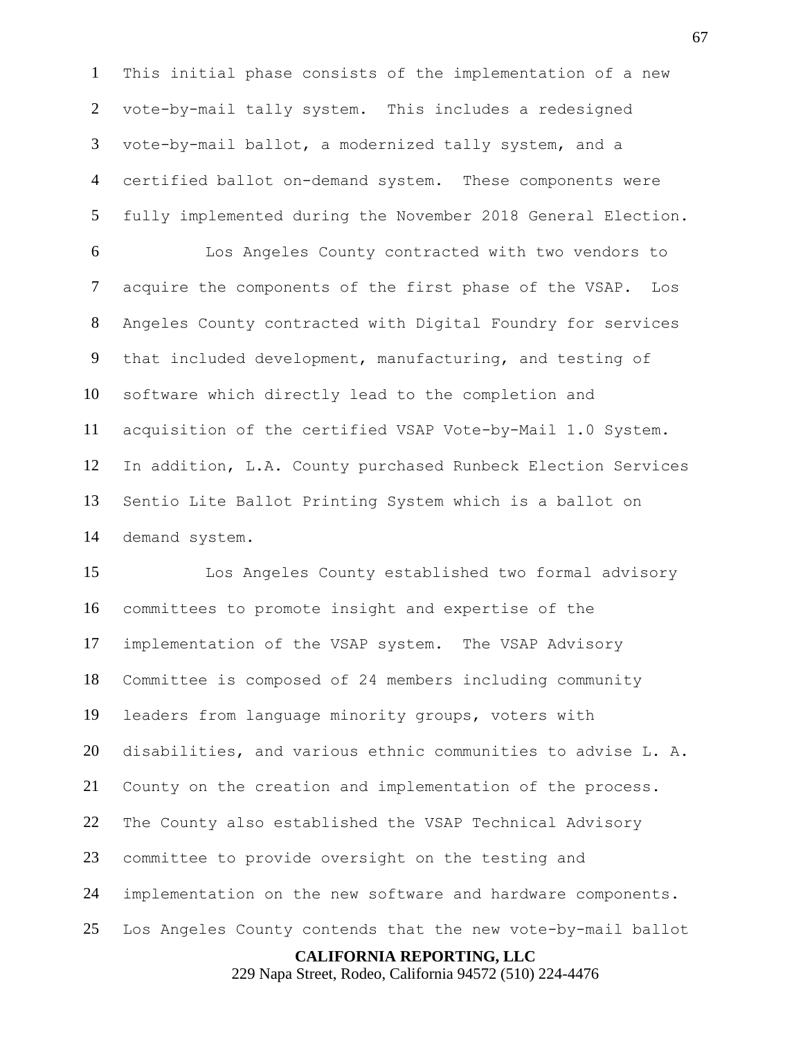This initial phase consists of the implementation of a new vote-by-mail tally system. This includes a redesigned vote-by-mail ballot, a modernized tally system, and a certified ballot on-demand system. These components were fully implemented during the November 2018 General Election.

 Los Angeles County contracted with two vendors to acquire the components of the first phase of the VSAP. Los Angeles County contracted with Digital Foundry for services that included development, manufacturing, and testing of software which directly lead to the completion and acquisition of the certified VSAP Vote-by-Mail 1.0 System. In addition, L.A. County purchased Runbeck Election Services Sentio Lite Ballot Printing System which is a ballot on demand system.

**CALIFORNIA REPORTING, LLC** Los Angeles County established two formal advisory committees to promote insight and expertise of the implementation of the VSAP system. The VSAP Advisory Committee is composed of 24 members including community leaders from language minority groups, voters with disabilities, and various ethnic communities to advise L. A. County on the creation and implementation of the process. The County also established the VSAP Technical Advisory committee to provide oversight on the testing and implementation on the new software and hardware components. Los Angeles County contends that the new vote-by-mail ballot

229 Napa Street, Rodeo, California 94572 (510) 224-4476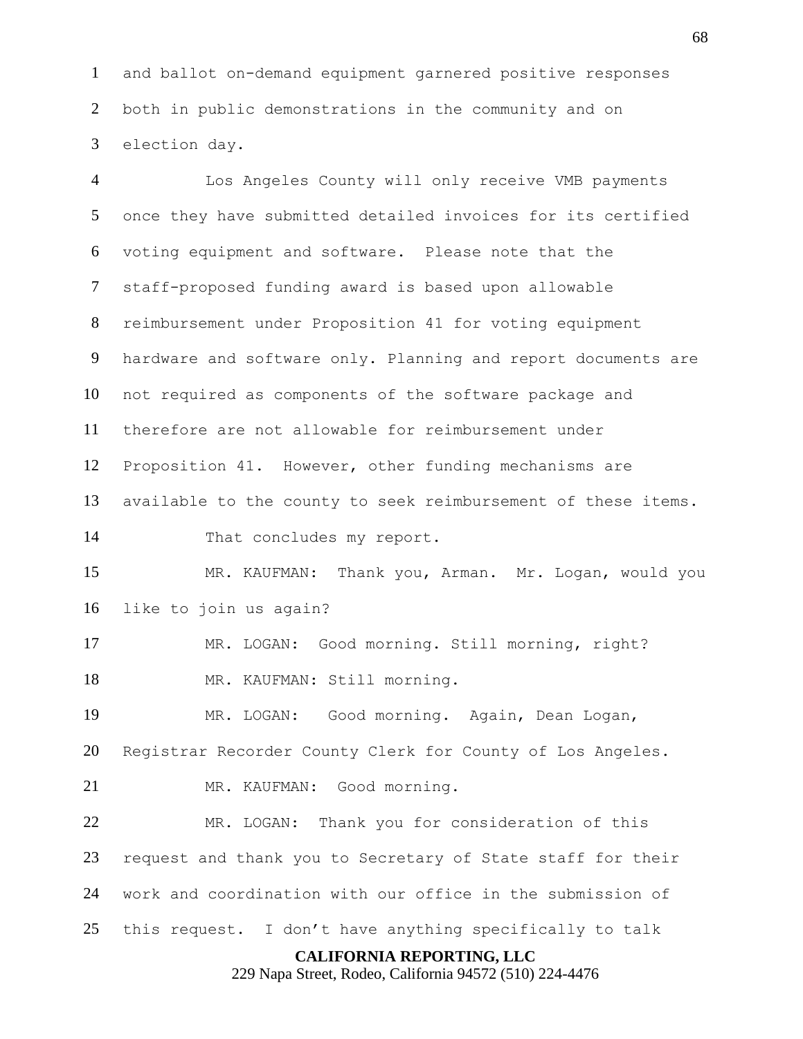and ballot on-demand equipment garnered positive responses both in public demonstrations in the community and on election day.

 Los Angeles County will only receive VMB payments once they have submitted detailed invoices for its certified voting equipment and software. Please note that the staff-proposed funding award is based upon allowable reimbursement under Proposition 41 for voting equipment hardware and software only. Planning and report documents are not required as components of the software package and therefore are not allowable for reimbursement under Proposition 41. However, other funding mechanisms are available to the county to seek reimbursement of these items. That concludes my report. MR. KAUFMAN: Thank you, Arman. Mr. Logan, would you like to join us again? MR. LOGAN: Good morning. Still morning, right? 18 MR. KAUFMAN: Still morning. MR. LOGAN: Good morning. Again, Dean Logan, Registrar Recorder County Clerk for County of Los Angeles. MR. KAUFMAN: Good morning. MR. LOGAN: Thank you for consideration of this request and thank you to Secretary of State staff for their work and coordination with our office in the submission of this request. I don't have anything specifically to talk

# **CALIFORNIA REPORTING, LLC**

229 Napa Street, Rodeo, California 94572 (510) 224-4476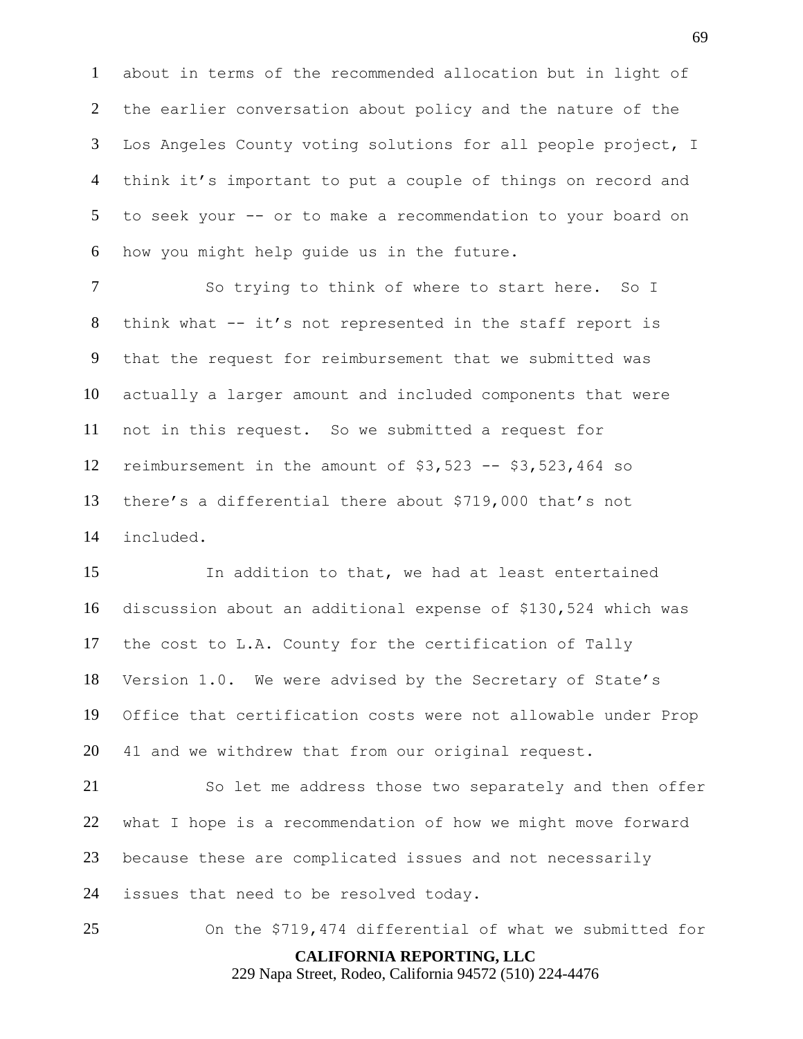about in terms of the recommended allocation but in light of the earlier conversation about policy and the nature of the Los Angeles County voting solutions for all people project, I think it's important to put a couple of things on record and to seek your -- or to make a recommendation to your board on how you might help guide us in the future.

7 So trying to think of where to start here. So I think what -- it's not represented in the staff report is that the request for reimbursement that we submitted was actually a larger amount and included components that were not in this request. So we submitted a request for reimbursement in the amount of \$3,523 -- \$3,523,464 so there's a differential there about \$719,000 that's not included.

 In addition to that, we had at least entertained discussion about an additional expense of \$130,524 which was the cost to L.A. County for the certification of Tally Version 1.0. We were advised by the Secretary of State's Office that certification costs were not allowable under Prop 41 and we withdrew that from our original request.

 So let me address those two separately and then offer what I hope is a recommendation of how we might move forward because these are complicated issues and not necessarily issues that need to be resolved today.

**CALIFORNIA REPORTING, LLC** On the \$719,474 differential of what we submitted for

229 Napa Street, Rodeo, California 94572 (510) 224-4476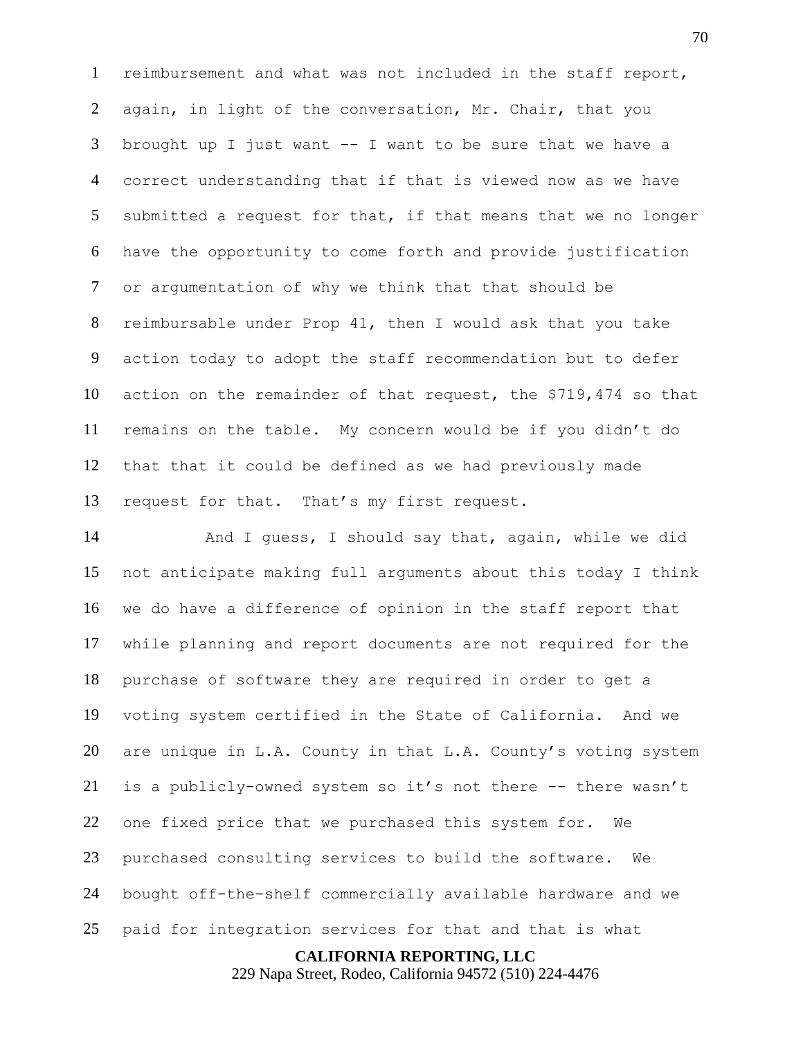reimbursement and what was not included in the staff report, again, in light of the conversation, Mr. Chair, that you brought up I just want -- I want to be sure that we have a correct understanding that if that is viewed now as we have submitted a request for that, if that means that we no longer have the opportunity to come forth and provide justification or argumentation of why we think that that should be reimbursable under Prop 41, then I would ask that you take action today to adopt the staff recommendation but to defer action on the remainder of that request, the \$719,474 so that remains on the table. My concern would be if you didn't do that that it could be defined as we had previously made request for that. That's my first request.

 And I guess, I should say that, again, while we did not anticipate making full arguments about this today I think we do have a difference of opinion in the staff report that while planning and report documents are not required for the purchase of software they are required in order to get a voting system certified in the State of California. And we are unique in L.A. County in that L.A. County's voting system is a publicly-owned system so it's not there -- there wasn't one fixed price that we purchased this system for. We purchased consulting services to build the software. We bought off-the-shelf commercially available hardware and we paid for integration services for that and that is what

**CALIFORNIA REPORTING, LLC**

229 Napa Street, Rodeo, California 94572 (510) 224-4476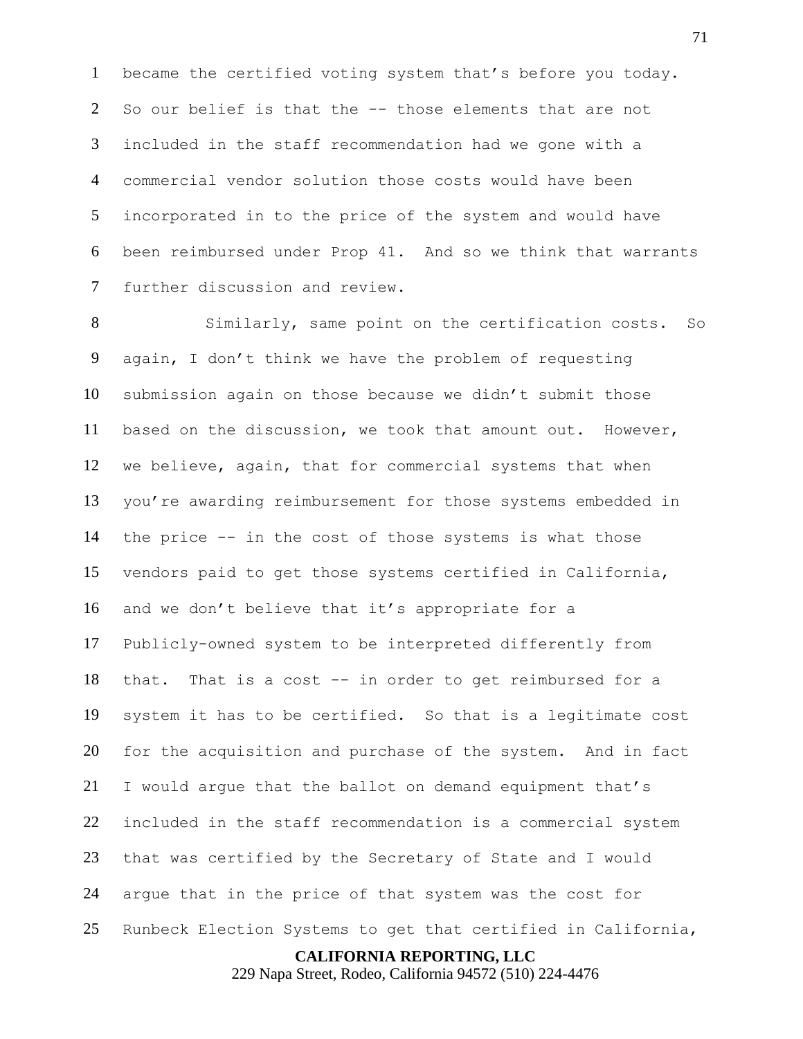became the certified voting system that's before you today. So our belief is that the -- those elements that are not included in the staff recommendation had we gone with a commercial vendor solution those costs would have been incorporated in to the price of the system and would have been reimbursed under Prop 41. And so we think that warrants further discussion and review.

 Similarly, same point on the certification costs. So again, I don't think we have the problem of requesting submission again on those because we didn't submit those based on the discussion, we took that amount out. However, we believe, again, that for commercial systems that when you're awarding reimbursement for those systems embedded in the price -- in the cost of those systems is what those vendors paid to get those systems certified in California, and we don't believe that it's appropriate for a Publicly-owned system to be interpreted differently from that. That is a cost -- in order to get reimbursed for a system it has to be certified. So that is a legitimate cost for the acquisition and purchase of the system. And in fact I would argue that the ballot on demand equipment that's included in the staff recommendation is a commercial system that was certified by the Secretary of State and I would argue that in the price of that system was the cost for Runbeck Election Systems to get that certified in California,

## **CALIFORNIA REPORTING, LLC**

229 Napa Street, Rodeo, California 94572 (510) 224-4476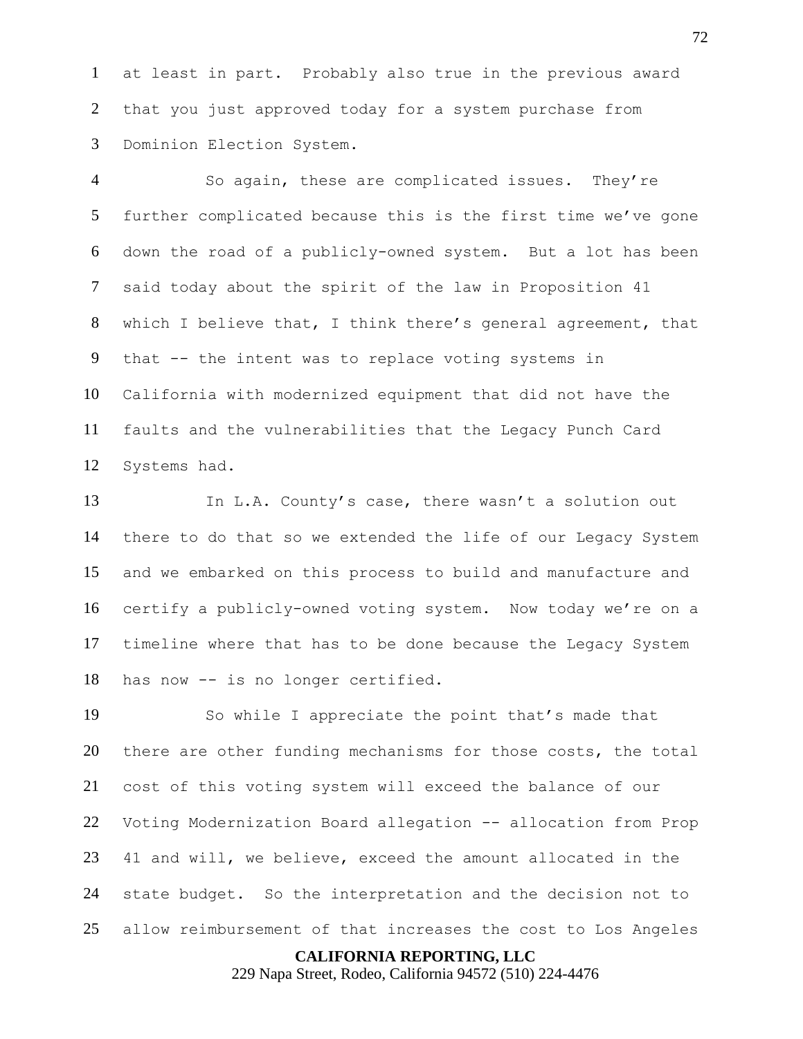at least in part. Probably also true in the previous award that you just approved today for a system purchase from Dominion Election System.

 So again, these are complicated issues. They're further complicated because this is the first time we've gone down the road of a publicly-owned system. But a lot has been said today about the spirit of the law in Proposition 41 which I believe that, I think there's general agreement, that that -- the intent was to replace voting systems in California with modernized equipment that did not have the faults and the vulnerabilities that the Legacy Punch Card Systems had.

 In L.A. County's case, there wasn't a solution out there to do that so we extended the life of our Legacy System and we embarked on this process to build and manufacture and certify a publicly-owned voting system. Now today we're on a timeline where that has to be done because the Legacy System has now -- is no longer certified.

 So while I appreciate the point that's made that there are other funding mechanisms for those costs, the total cost of this voting system will exceed the balance of our Voting Modernization Board allegation -- allocation from Prop 41 and will, we believe, exceed the amount allocated in the state budget. So the interpretation and the decision not to allow reimbursement of that increases the cost to Los Angeles

# **CALIFORNIA REPORTING, LLC**

229 Napa Street, Rodeo, California 94572 (510) 224-4476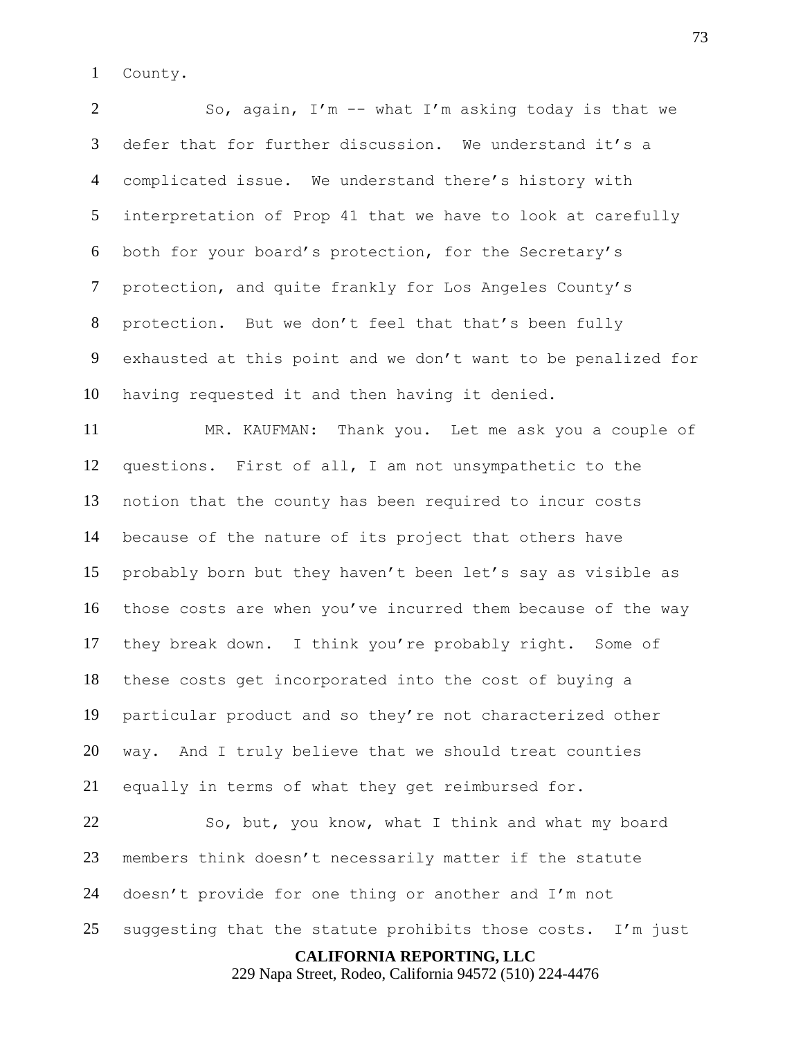County.

 So, again, I'm -- what I'm asking today is that we defer that for further discussion. We understand it's a complicated issue. We understand there's history with interpretation of Prop 41 that we have to look at carefully both for your board's protection, for the Secretary's protection, and quite frankly for Los Angeles County's protection. But we don't feel that that's been fully exhausted at this point and we don't want to be penalized for having requested it and then having it denied.

 MR. KAUFMAN: Thank you. Let me ask you a couple of questions. First of all, I am not unsympathetic to the notion that the county has been required to incur costs because of the nature of its project that others have probably born but they haven't been let's say as visible as those costs are when you've incurred them because of the way they break down. I think you're probably right. Some of these costs get incorporated into the cost of buying a particular product and so they're not characterized other way. And I truly believe that we should treat counties equally in terms of what they get reimbursed for.

 So, but, you know, what I think and what my board members think doesn't necessarily matter if the statute doesn't provide for one thing or another and I'm not suggesting that the statute prohibits those costs. I'm just

**CALIFORNIA REPORTING, LLC**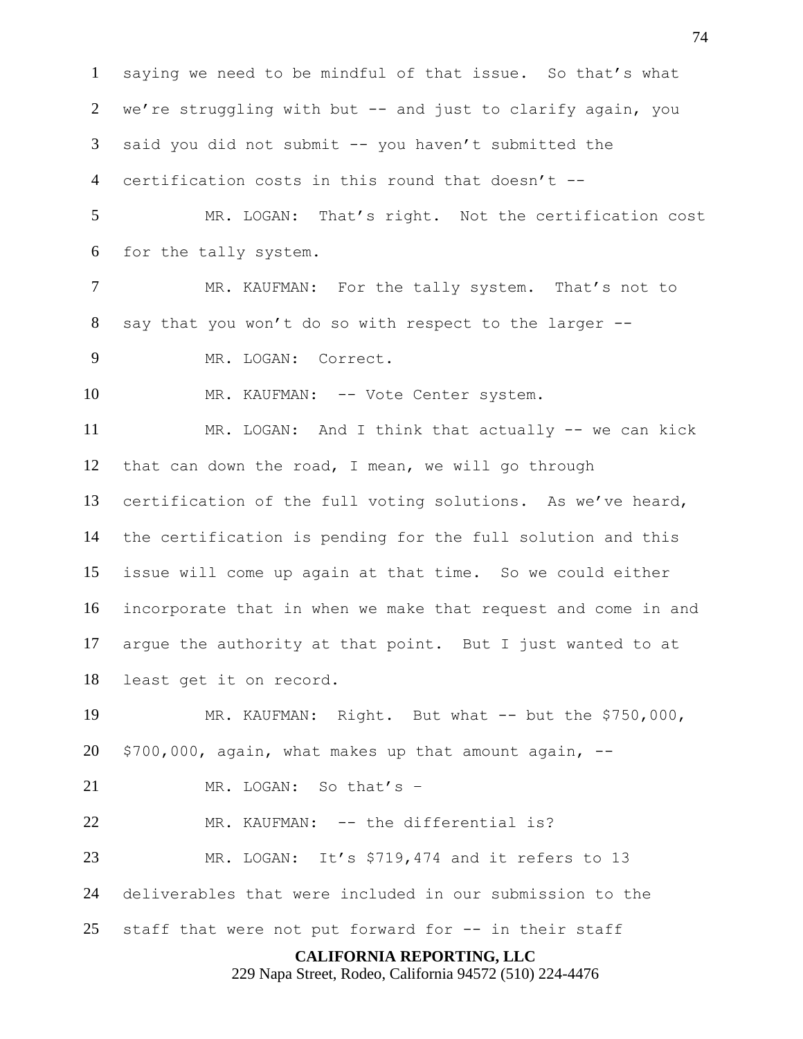saying we need to be mindful of that issue. So that's what 2 we're struggling with but -- and just to clarify again, you said you did not submit -- you haven't submitted the certification costs in this round that doesn't --

 MR. LOGAN: That's right. Not the certification cost for the tally system.

7 MR. KAUFMAN: For the tally system. That's not to say that you won't do so with respect to the larger --

MR. LOGAN: Correct.

10 MR. KAUFMAN: -- Vote Center system.

 MR. LOGAN: And I think that actually -- we can kick that can down the road, I mean, we will go through certification of the full voting solutions. As we've heard, the certification is pending for the full solution and this issue will come up again at that time. So we could either incorporate that in when we make that request and come in and argue the authority at that point. But I just wanted to at least get it on record.

 MR. KAUFMAN: Right. But what -- but the \$750,000, \$700,000, again, what makes up that amount again,  $-$ 

MR. LOGAN: So that's –

22 MR. KAUFMAN: -- the differential is?

MR. LOGAN: It's \$719,474 and it refers to 13

deliverables that were included in our submission to the

staff that were not put forward for -- in their staff

### **CALIFORNIA REPORTING, LLC**

229 Napa Street, Rodeo, California 94572 (510) 224-4476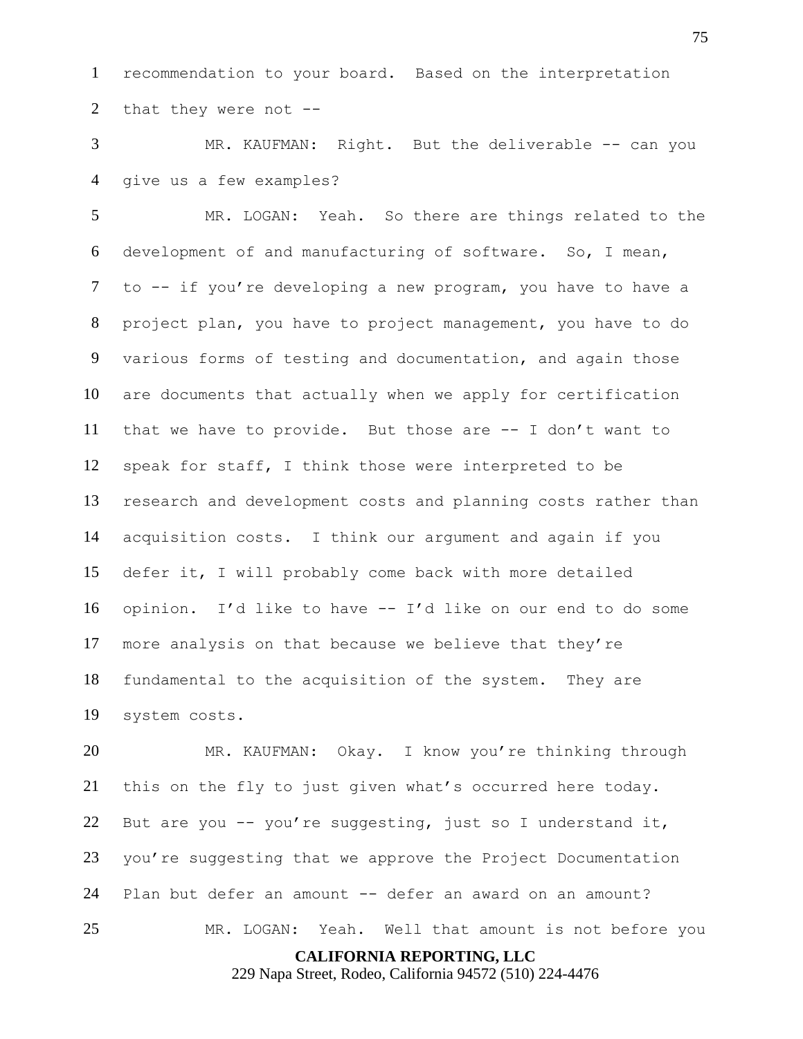recommendation to your board. Based on the interpretation that they were not --

 MR. KAUFMAN: Right. But the deliverable -- can you give us a few examples?

 MR. LOGAN: Yeah. So there are things related to the development of and manufacturing of software. So, I mean, to -- if you're developing a new program, you have to have a project plan, you have to project management, you have to do various forms of testing and documentation, and again those are documents that actually when we apply for certification that we have to provide. But those are -- I don't want to speak for staff, I think those were interpreted to be research and development costs and planning costs rather than acquisition costs. I think our argument and again if you defer it, I will probably come back with more detailed opinion. I'd like to have -- I'd like on our end to do some more analysis on that because we believe that they're fundamental to the acquisition of the system. They are system costs.

 MR. KAUFMAN: Okay. I know you're thinking through this on the fly to just given what's occurred here today. But are you -- you're suggesting, just so I understand it, you're suggesting that we approve the Project Documentation Plan but defer an amount -- defer an award on an amount? MR. LOGAN: Yeah. Well that amount is not before you

**CALIFORNIA REPORTING, LLC**

229 Napa Street, Rodeo, California 94572 (510) 224-4476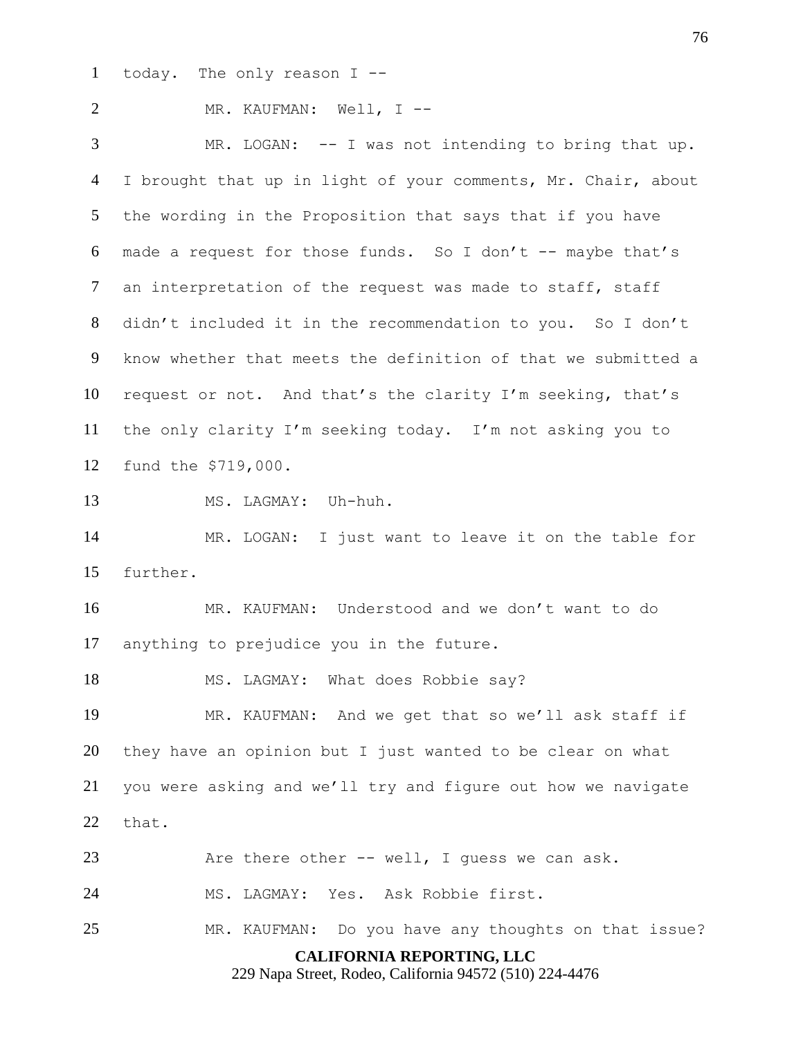today. The only reason I --

 MR. KAUFMAN: Well, I -- MR. LOGAN: -- I was not intending to bring that up.

4 I brought that up in light of your comments, Mr. Chair, about the wording in the Proposition that says that if you have made a request for those funds. So I don't -- maybe that's an interpretation of the request was made to staff, staff didn't included it in the recommendation to you. So I don't know whether that meets the definition of that we submitted a request or not. And that's the clarity I'm seeking, that's the only clarity I'm seeking today. I'm not asking you to fund the \$719,000.

MS. LAGMAY: Uh-huh.

 MR. LOGAN: I just want to leave it on the table for further.

 MR. KAUFMAN: Understood and we don't want to do anything to prejudice you in the future.

18 MS. LAGMAY: What does Robbie say?

 MR. KAUFMAN: And we get that so we'll ask staff if they have an opinion but I just wanted to be clear on what you were asking and we'll try and figure out how we navigate that.

Are there other -- well, I guess we can ask.

MS. LAGMAY: Yes. Ask Robbie first.

MR. KAUFMAN: Do you have any thoughts on that issue?

**CALIFORNIA REPORTING, LLC**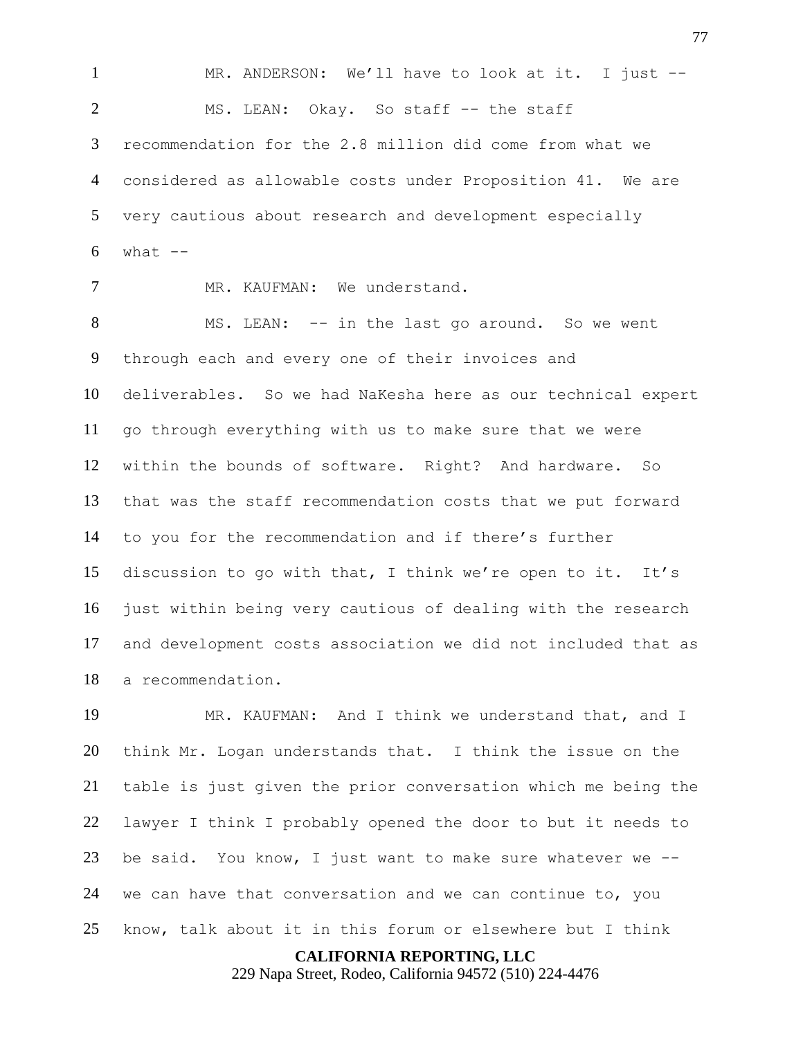MR. ANDERSON: We'll have to look at it. I just -- MS. LEAN: Okay. So staff -- the staff recommendation for the 2.8 million did come from what we considered as allowable costs under Proposition 41. We are very cautious about research and development especially what  $-$ 

MR. KAUFMAN: We understand.

 MS. LEAN: -- in the last go around. So we went through each and every one of their invoices and deliverables. So we had NaKesha here as our technical expert go through everything with us to make sure that we were within the bounds of software. Right? And hardware. So that was the staff recommendation costs that we put forward to you for the recommendation and if there's further discussion to go with that, I think we're open to it. It's just within being very cautious of dealing with the research and development costs association we did not included that as a recommendation.

 MR. KAUFMAN: And I think we understand that, and I think Mr. Logan understands that. I think the issue on the table is just given the prior conversation which me being the lawyer I think I probably opened the door to but it needs to be said. You know, I just want to make sure whatever we -- we can have that conversation and we can continue to, you know, talk about it in this forum or elsewhere but I think

**CALIFORNIA REPORTING, LLC**

229 Napa Street, Rodeo, California 94572 (510) 224-4476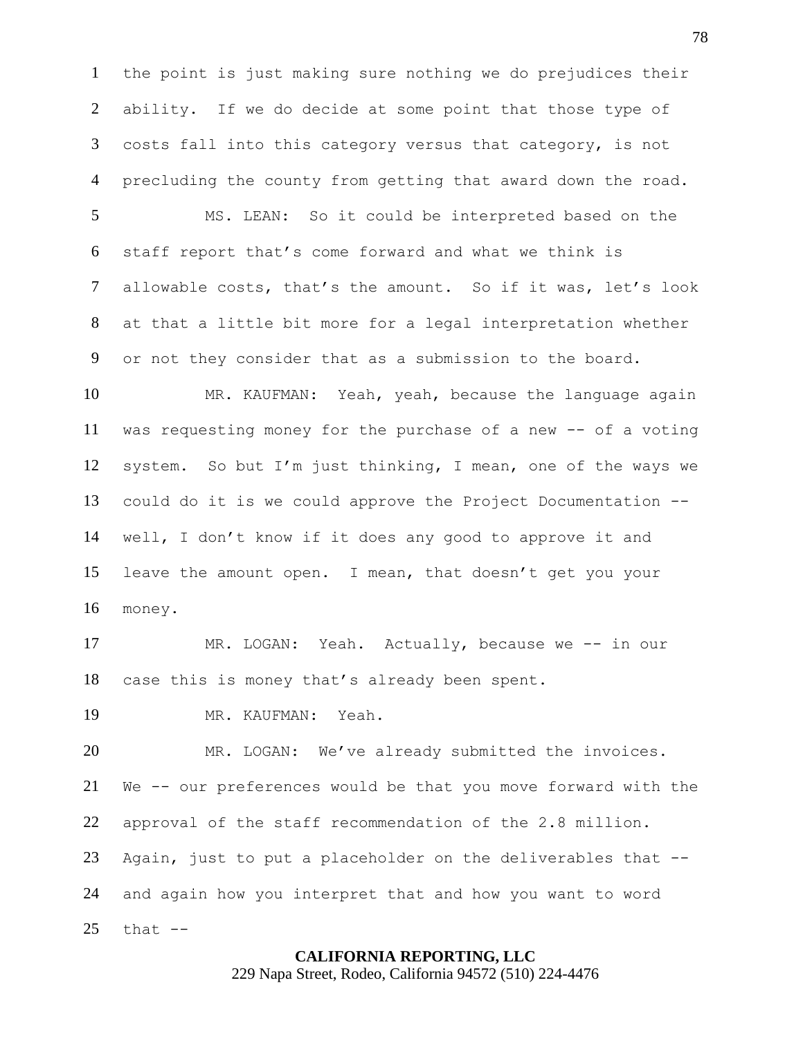the point is just making sure nothing we do prejudices their ability. If we do decide at some point that those type of costs fall into this category versus that category, is not precluding the county from getting that award down the road.

 MS. LEAN: So it could be interpreted based on the staff report that's come forward and what we think is allowable costs, that's the amount. So if it was, let's look at that a little bit more for a legal interpretation whether or not they consider that as a submission to the board.

 MR. KAUFMAN: Yeah, yeah, because the language again was requesting money for the purchase of a new -- of a voting system. So but I'm just thinking, I mean, one of the ways we could do it is we could approve the Project Documentation -- well, I don't know if it does any good to approve it and leave the amount open. I mean, that doesn't get you your money.

 MR. LOGAN: Yeah. Actually, because we -- in our case this is money that's already been spent.

MR. KAUFMAN: Yeah.

 MR. LOGAN: We've already submitted the invoices. We -- our preferences would be that you move forward with the approval of the staff recommendation of the 2.8 million. Again, just to put a placeholder on the deliverables that -- and again how you interpret that and how you want to word that  $-$ 

### **CALIFORNIA REPORTING, LLC**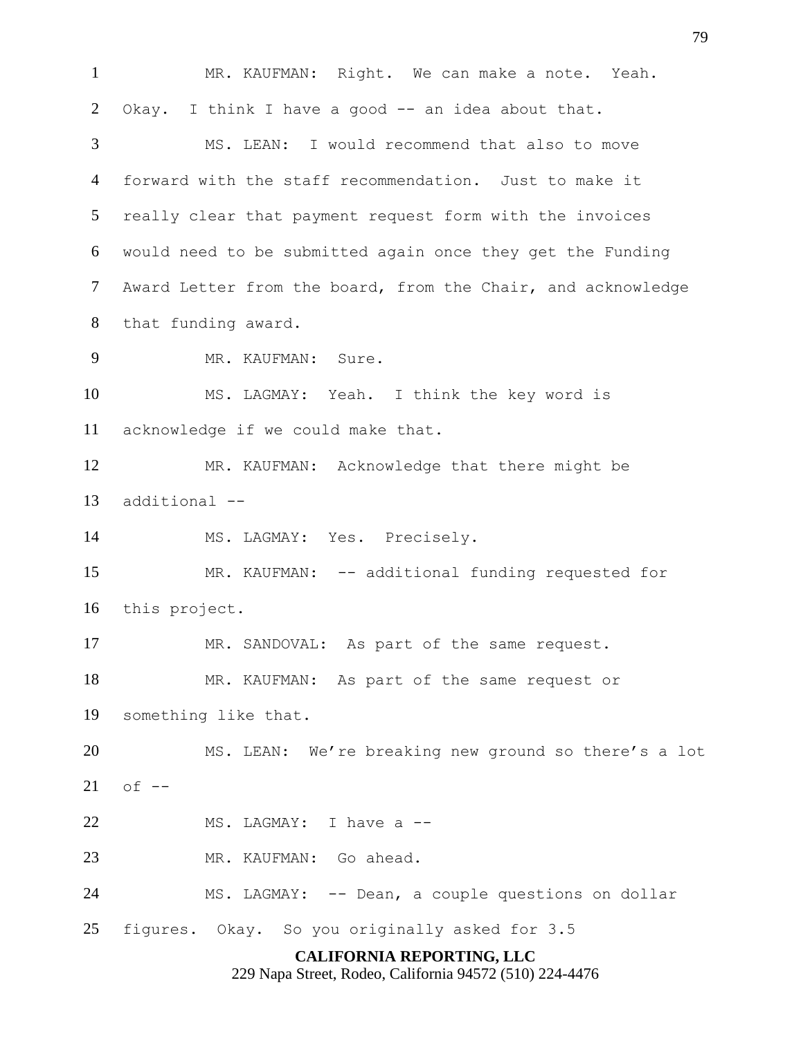**CALIFORNIA REPORTING, LLC** MR. KAUFMAN: Right. We can make a note. Yeah. 2 Okay. I think I have a good -- an idea about that. MS. LEAN: I would recommend that also to move forward with the staff recommendation. Just to make it really clear that payment request form with the invoices would need to be submitted again once they get the Funding Award Letter from the board, from the Chair, and acknowledge that funding award. MR. KAUFMAN: Sure. MS. LAGMAY: Yeah. I think the key word is acknowledge if we could make that. MR. KAUFMAN: Acknowledge that there might be additional -- MS. LAGMAY: Yes. Precisely. MR. KAUFMAN: -- additional funding requested for this project. MR. SANDOVAL: As part of the same request. MR. KAUFMAN: As part of the same request or something like that. MS. LEAN: We're breaking new ground so there's a lot of  $-$ 22 MS. LAGMAY: I have a -- MR. KAUFMAN: Go ahead. MS. LAGMAY: -- Dean, a couple questions on dollar figures. Okay. So you originally asked for 3.5

229 Napa Street, Rodeo, California 94572 (510) 224-4476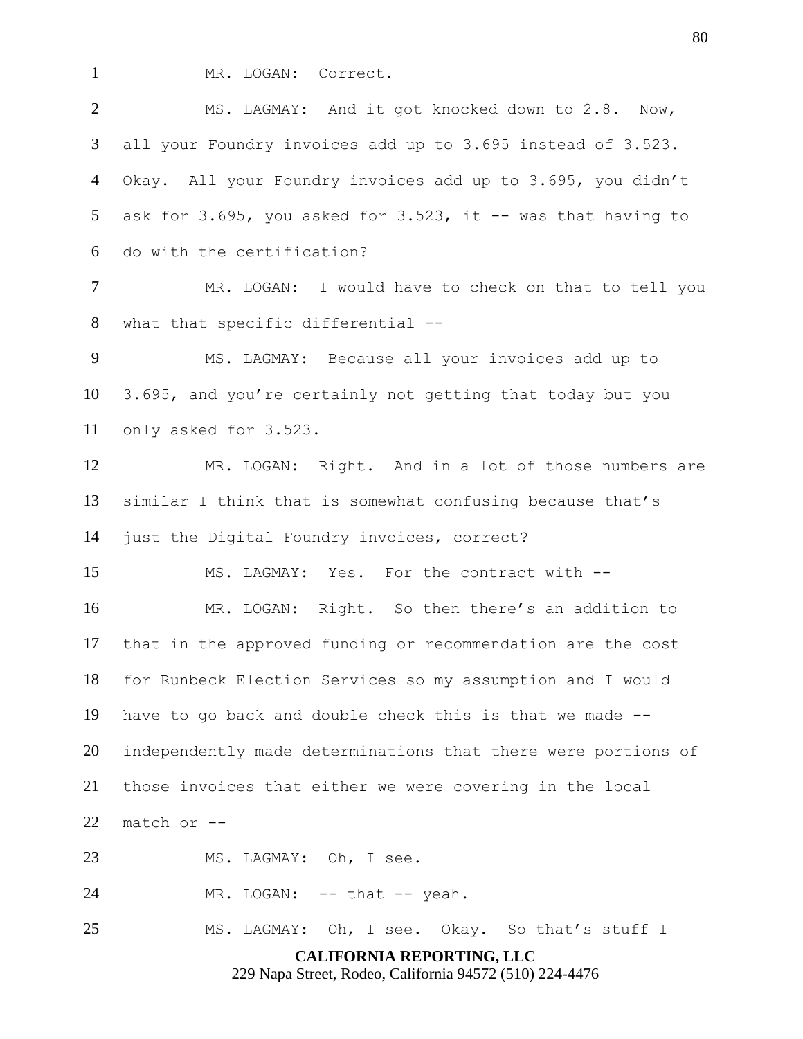MR. LOGAN: Correct.

 MS. LAGMAY: And it got knocked down to 2.8. Now, all your Foundry invoices add up to 3.695 instead of 3.523. Okay. All your Foundry invoices add up to 3.695, you didn't 5 ask for  $3.695$ , you asked for  $3.523$ , it  $-$  was that having to do with the certification? MR. LOGAN: I would have to check on that to tell you what that specific differential -- MS. LAGMAY: Because all your invoices add up to 3.695, and you're certainly not getting that today but you only asked for 3.523. MR. LOGAN: Right. And in a lot of those numbers are similar I think that is somewhat confusing because that's just the Digital Foundry invoices, correct?

MS. LAGMAY: Yes. For the contract with --

 MR. LOGAN: Right. So then there's an addition to that in the approved funding or recommendation are the cost for Runbeck Election Services so my assumption and I would have to go back and double check this is that we made -- independently made determinations that there were portions of those invoices that either we were covering in the local match or --

23 MS. LAGMAY: Oh, I see.

24 MR. LOGAN: -- that -- yeah.

MS. LAGMAY: Oh, I see. Okay. So that's stuff I

**CALIFORNIA REPORTING, LLC**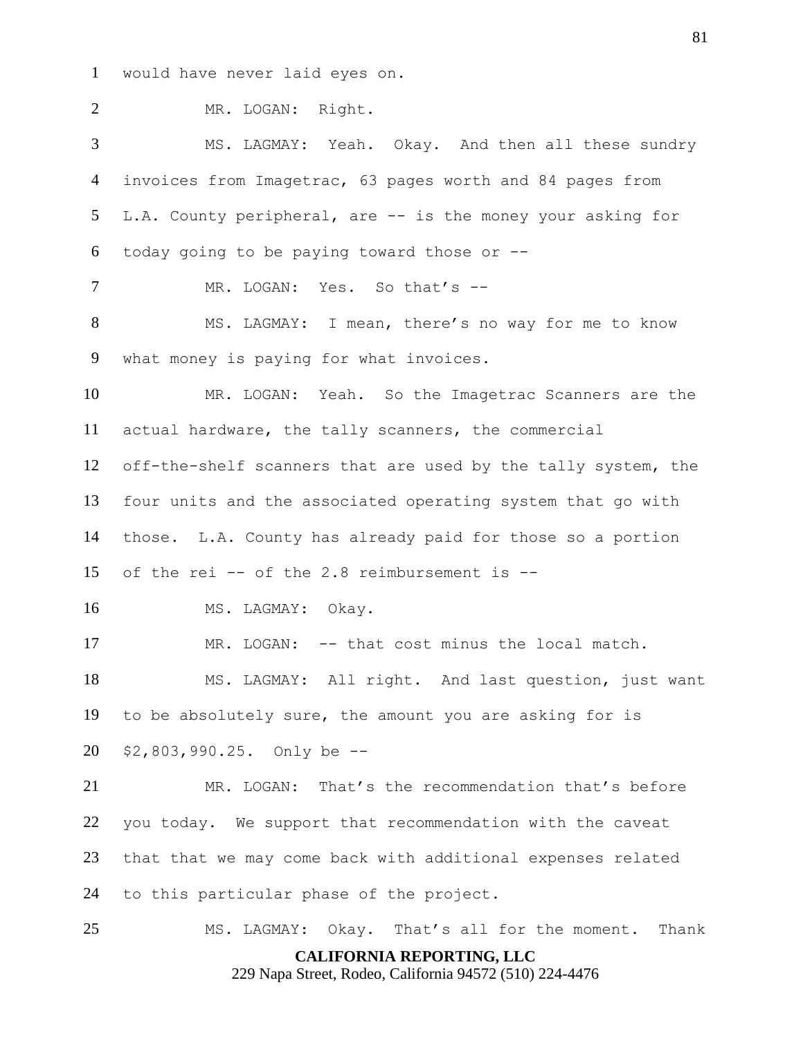would have never laid eyes on.

 MR. LOGAN: Right. MS. LAGMAY: Yeah. Okay. And then all these sundry invoices from Imagetrac, 63 pages worth and 84 pages from L.A. County peripheral, are -- is the money your asking for today going to be paying toward those or -- 7 MR. LOGAN: Yes. So that's -- MS. LAGMAY: I mean, there's no way for me to know what money is paying for what invoices. MR. LOGAN: Yeah. So the Imagetrac Scanners are the actual hardware, the tally scanners, the commercial off-the-shelf scanners that are used by the tally system, the four units and the associated operating system that go with those. L.A. County has already paid for those so a portion 15 of the rei  $-$ - of the 2.8 reimbursement is  $-$ - MS. LAGMAY: Okay. MR. LOGAN: -- that cost minus the local match. MS. LAGMAY: All right. And last question, just want to be absolutely sure, the amount you are asking for is \$2,803,990.25. Only be -- MR. LOGAN: That's the recommendation that's before you today. We support that recommendation with the caveat that that we may come back with additional expenses related to this particular phase of the project.

**CALIFORNIA REPORTING, LLC** 229 Napa Street, Rodeo, California 94572 (510) 224-4476 MS. LAGMAY: Okay. That's all for the moment. Thank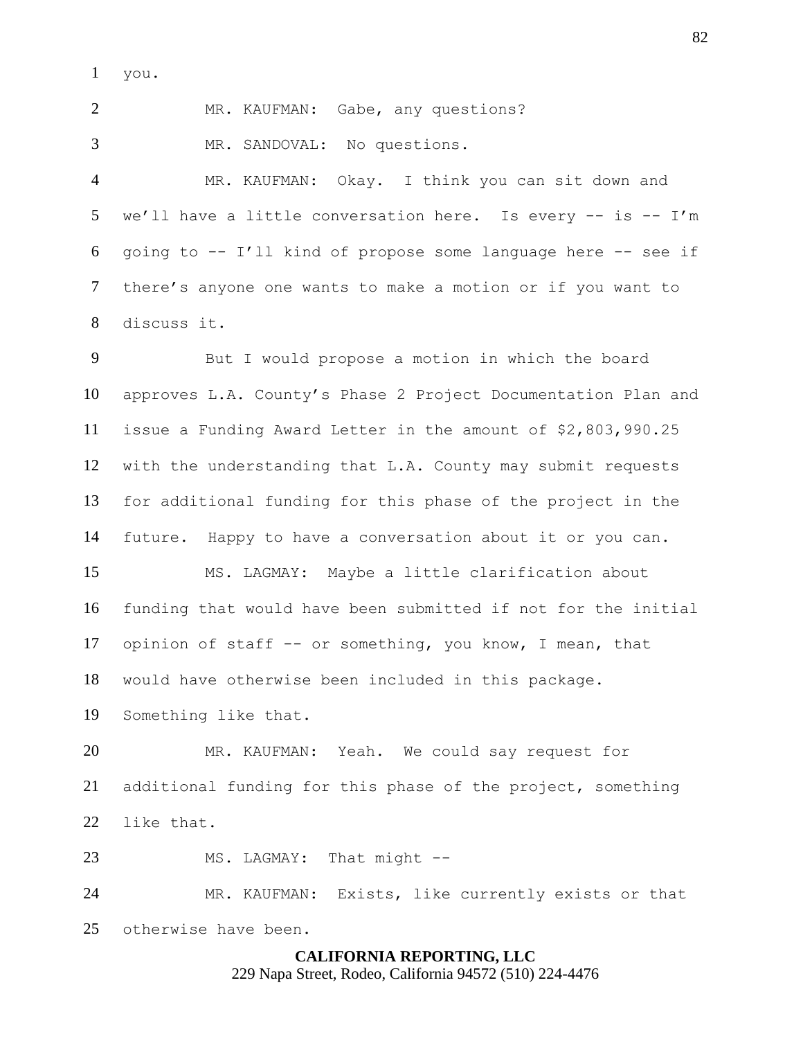you.

MR. KAUFMAN: Gabe, any questions?

MR. SANDOVAL: No questions.

 MR. KAUFMAN: Okay. I think you can sit down and we'll have a little conversation here. Is every -- is -- I'm going to -- I'll kind of propose some language here -- see if there's anyone one wants to make a motion or if you want to discuss it.

 But I would propose a motion in which the board approves L.A. County's Phase 2 Project Documentation Plan and issue a Funding Award Letter in the amount of \$2,803,990.25 with the understanding that L.A. County may submit requests for additional funding for this phase of the project in the future. Happy to have a conversation about it or you can. MS. LAGMAY: Maybe a little clarification about funding that would have been submitted if not for the initial opinion of staff -- or something, you know, I mean, that would have otherwise been included in this package. Something like that. MR. KAUFMAN: Yeah. We could say request for additional funding for this phase of the project, something like that. 23 MS. LAGMAY: That might --MR. KAUFMAN: Exists, like currently exists or that

otherwise have been.

# **CALIFORNIA REPORTING, LLC**

229 Napa Street, Rodeo, California 94572 (510) 224-4476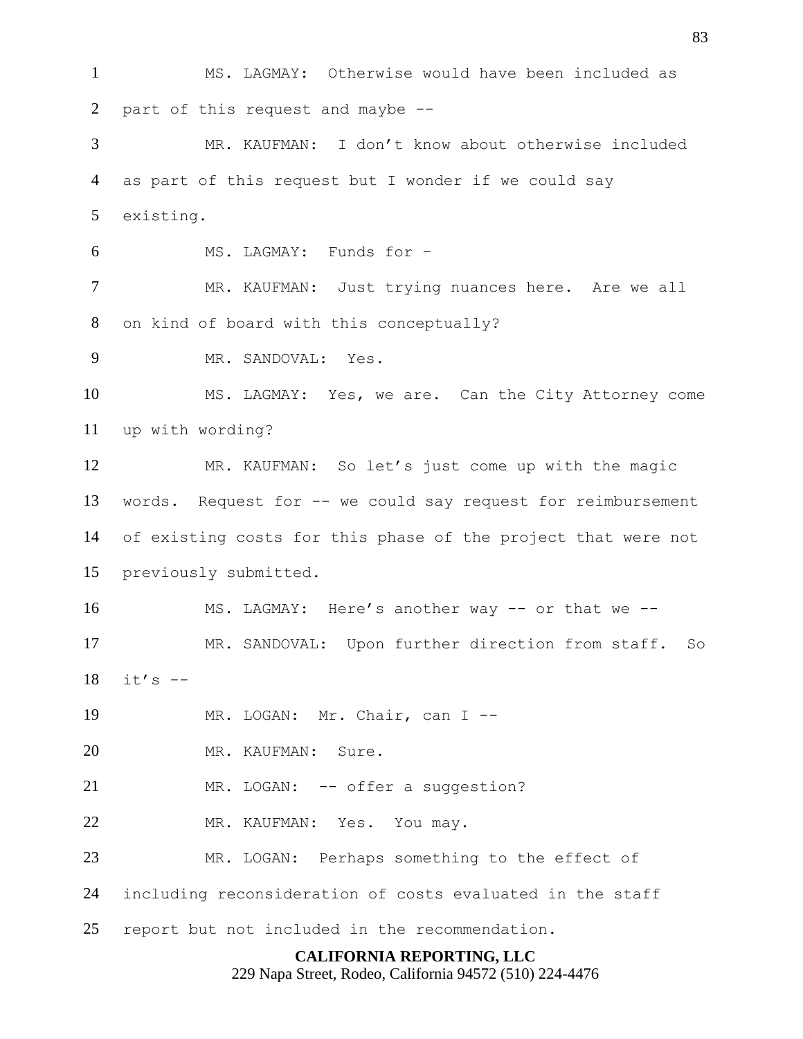**CALIFORNIA REPORTING, LLC** 229 Napa Street, Rodeo, California 94572 (510) 224-4476 MS. LAGMAY: Otherwise would have been included as part of this request and maybe -- MR. KAUFMAN: I don't know about otherwise included as part of this request but I wonder if we could say existing. MS. LAGMAY: Funds for – MR. KAUFMAN: Just trying nuances here. Are we all on kind of board with this conceptually? MR. SANDOVAL: Yes. MS. LAGMAY: Yes, we are. Can the City Attorney come up with wording? MR. KAUFMAN: So let's just come up with the magic words. Request for -- we could say request for reimbursement of existing costs for this phase of the project that were not previously submitted. 16 MS. LAGMAY: Here's another way -- or that we -- MR. SANDOVAL: Upon further direction from staff. So it's  $-$  MR. LOGAN: Mr. Chair, can I -- MR. KAUFMAN: Sure. 21 MR. LOGAN: -- offer a suggestion? MR. KAUFMAN: Yes. You may. MR. LOGAN: Perhaps something to the effect of including reconsideration of costs evaluated in the staff report but not included in the recommendation.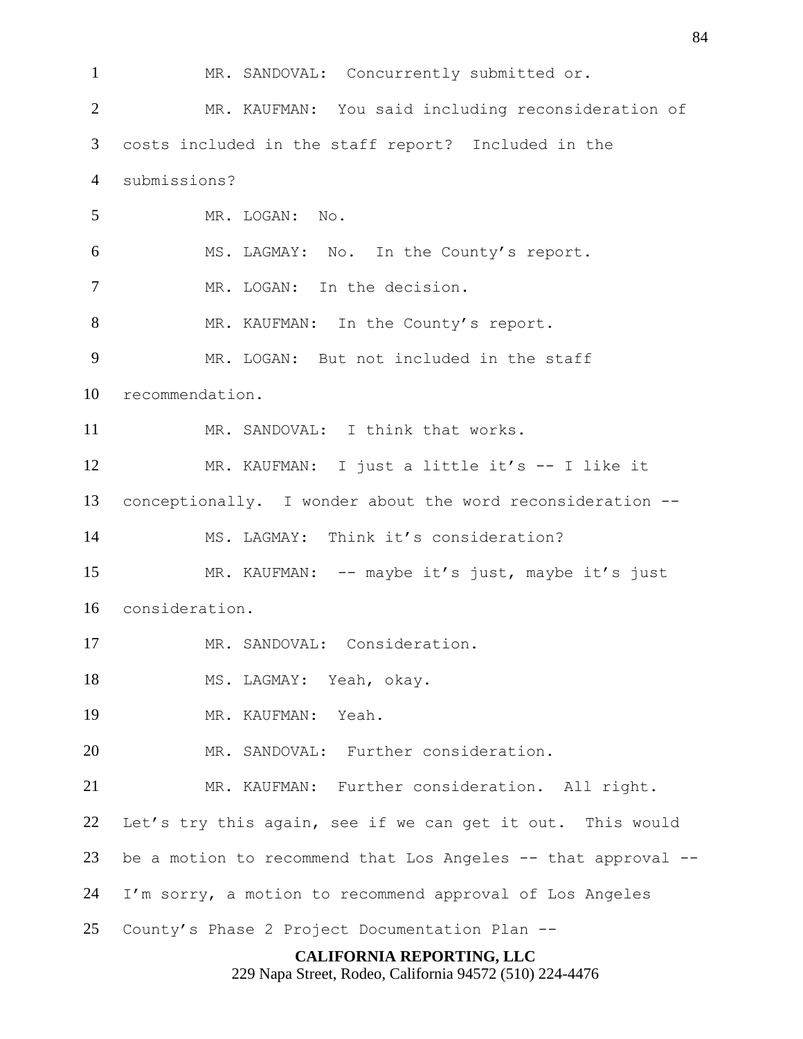MR. SANDOVAL: Concurrently submitted or. MR. KAUFMAN: You said including reconsideration of costs included in the staff report? Included in the submissions? MR. LOGAN: No. MS. LAGMAY: No. In the County's report. MR. LOGAN: In the decision. 8 MR. KAUFMAN: In the County's report. MR. LOGAN: But not included in the staff recommendation. MR. SANDOVAL: I think that works. MR. KAUFMAN: I just a little it's -- I like it conceptionally. I wonder about the word reconsideration -- MS. LAGMAY: Think it's consideration? MR. KAUFMAN: -- maybe it's just, maybe it's just consideration. MR. SANDOVAL: Consideration. 18 MS. LAGMAY: Yeah, okay. MR. KAUFMAN: Yeah. MR. SANDOVAL: Further consideration. MR. KAUFMAN: Further consideration. All right. Let's try this again, see if we can get it out. This would be a motion to recommend that Los Angeles -- that approval -- I'm sorry, a motion to recommend approval of Los Angeles County's Phase 2 Project Documentation Plan --

**CALIFORNIA REPORTING, LLC**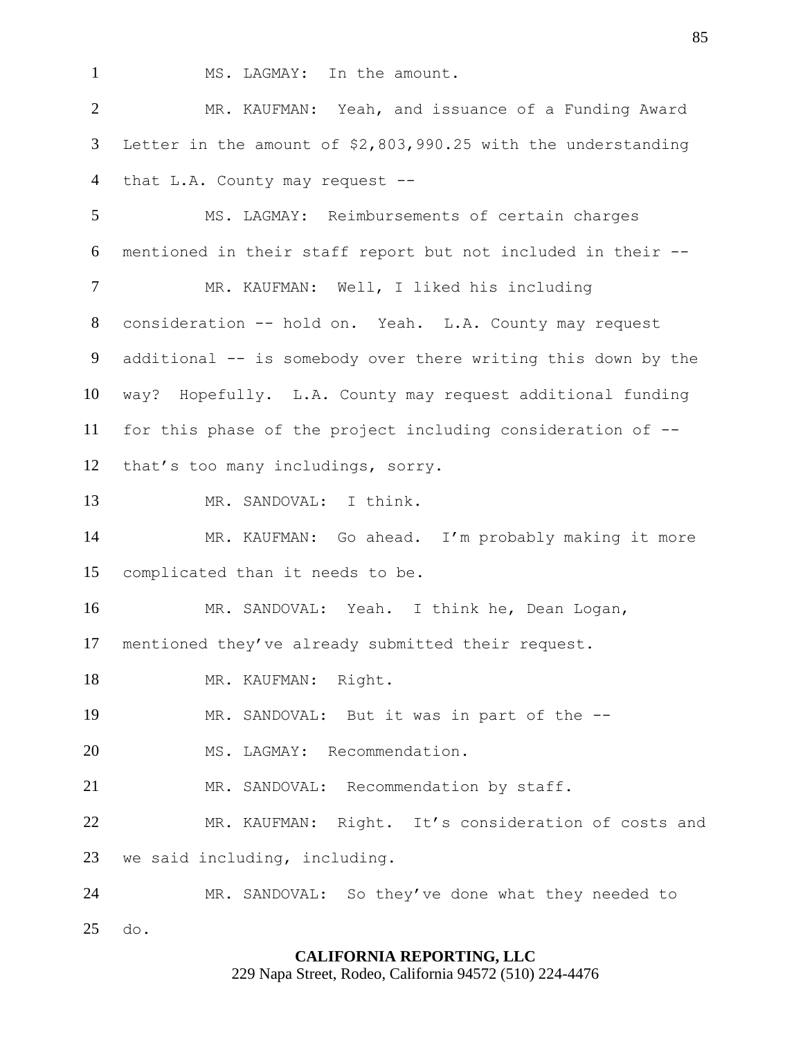1 MS. LAGMAY: In the amount.

 MR. KAUFMAN: Yeah, and issuance of a Funding Award Letter in the amount of \$2,803,990.25 with the understanding 4 that L.A. County may request --

 MS. LAGMAY: Reimbursements of certain charges mentioned in their staff report but not included in their -- MR. KAUFMAN: Well, I liked his including consideration -- hold on. Yeah. L.A. County may request additional -- is somebody over there writing this down by the way? Hopefully. L.A. County may request additional funding for this phase of the project including consideration of -- that's too many includings, sorry. MR. SANDOVAL: I think.

 MR. KAUFMAN: Go ahead. I'm probably making it more complicated than it needs to be.

MR. SANDOVAL: Yeah. I think he, Dean Logan,

mentioned they've already submitted their request.

18 MR. KAUFMAN: Right.

MR. SANDOVAL: But it was in part of the --

MS. LAGMAY: Recommendation.

MR. SANDOVAL: Recommendation by staff.

MR. KAUFMAN: Right. It's consideration of costs and

we said including, including.

 MR. SANDOVAL: So they've done what they needed to do.

# **CALIFORNIA REPORTING, LLC**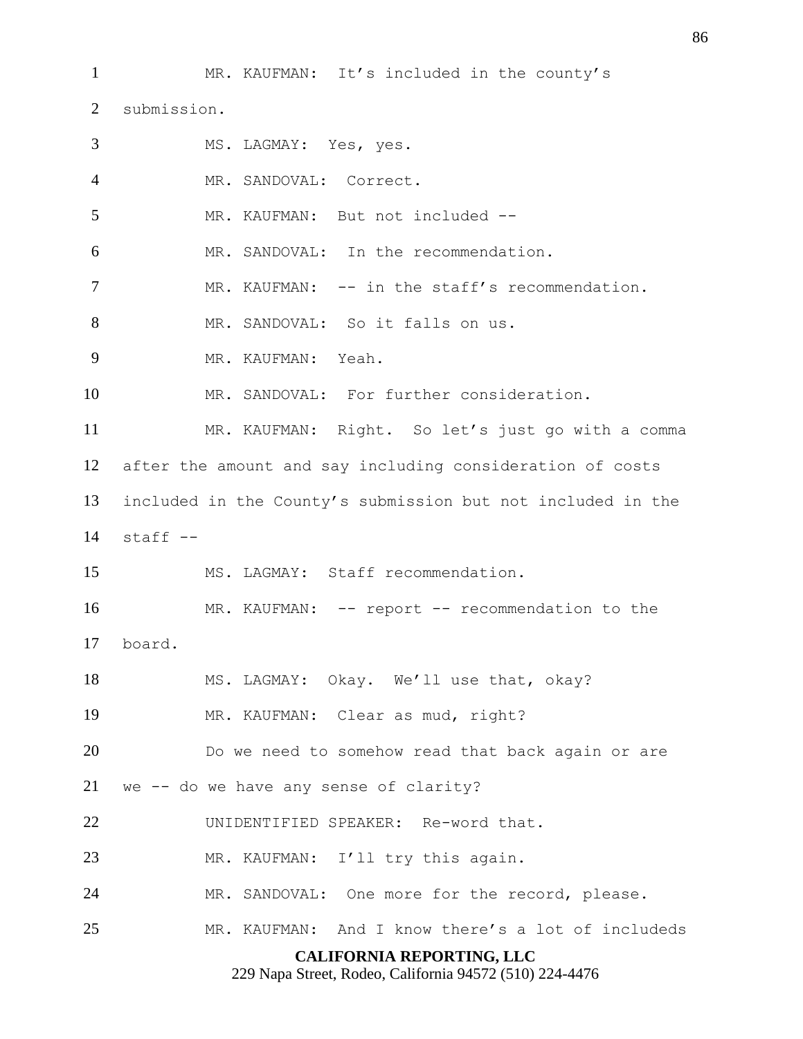**CALIFORNIA REPORTING, LLC** MR. KAUFMAN: It's included in the county's submission. MS. LAGMAY: Yes, yes. MR. SANDOVAL: Correct. MR. KAUFMAN: But not included -- MR. SANDOVAL: In the recommendation. 7 MR. KAUFMAN: -- in the staff's recommendation. MR. SANDOVAL: So it falls on us. MR. KAUFMAN: Yeah. 10 MR. SANDOVAL: For further consideration. MR. KAUFMAN: Right. So let's just go with a comma after the amount and say including consideration of costs included in the County's submission but not included in the staff  $-$  MS. LAGMAY: Staff recommendation. 16 MR. KAUFMAN: -- report -- recommendation to the board. MS. LAGMAY: Okay. We'll use that, okay? MR. KAUFMAN: Clear as mud, right? Do we need to somehow read that back again or are we -- do we have any sense of clarity? UNIDENTIFIED SPEAKER: Re-word that. 23 MR. KAUFMAN: I'll try this again. MR. SANDOVAL: One more for the record, please. MR. KAUFMAN: And I know there's a lot of includeds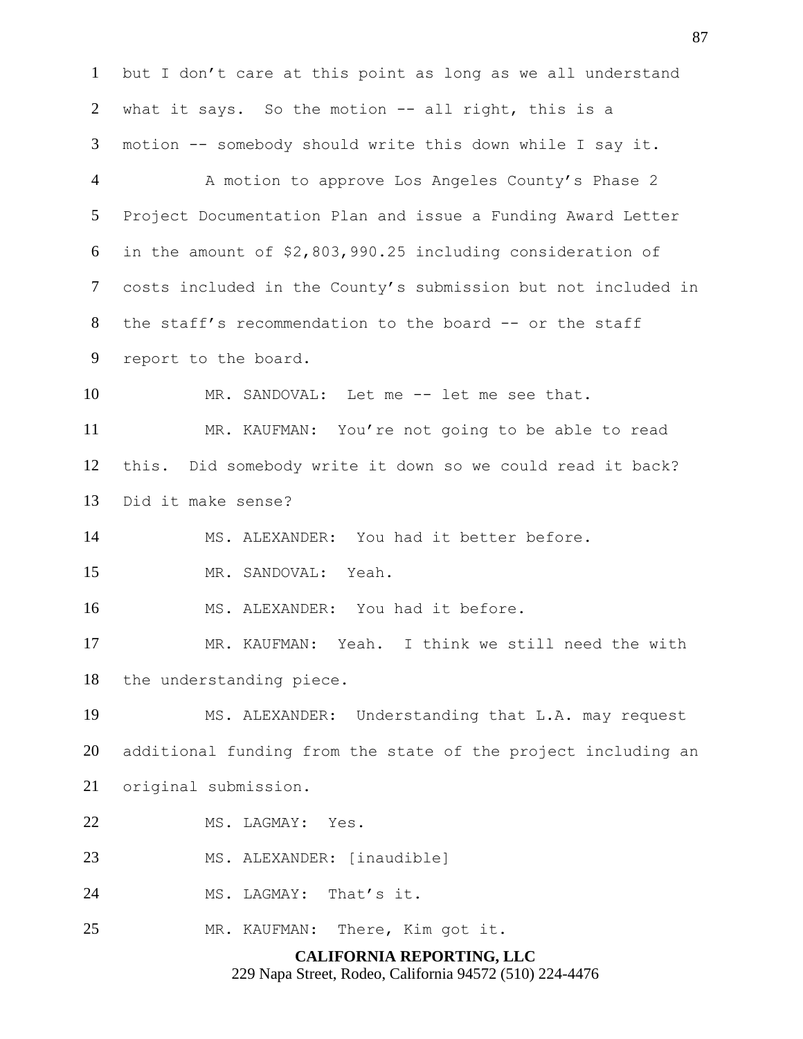**CALIFORNIA REPORTING, LLC** but I don't care at this point as long as we all understand what it says. So the motion -- all right, this is a motion -- somebody should write this down while I say it. A motion to approve Los Angeles County's Phase 2 Project Documentation Plan and issue a Funding Award Letter in the amount of \$2,803,990.25 including consideration of costs included in the County's submission but not included in the staff's recommendation to the board -- or the staff report to the board. 10 MR. SANDOVAL: Let me -- let me see that. MR. KAUFMAN: You're not going to be able to read this. Did somebody write it down so we could read it back? Did it make sense? MS. ALEXANDER: You had it better before. MR. SANDOVAL: Yeah. MS. ALEXANDER: You had it before. MR. KAUFMAN: Yeah. I think we still need the with the understanding piece. MS. ALEXANDER: Understanding that L.A. may request additional funding from the state of the project including an original submission. MS. LAGMAY: Yes. MS. ALEXANDER: [inaudible] MS. LAGMAY: That's it. MR. KAUFMAN: There, Kim got it.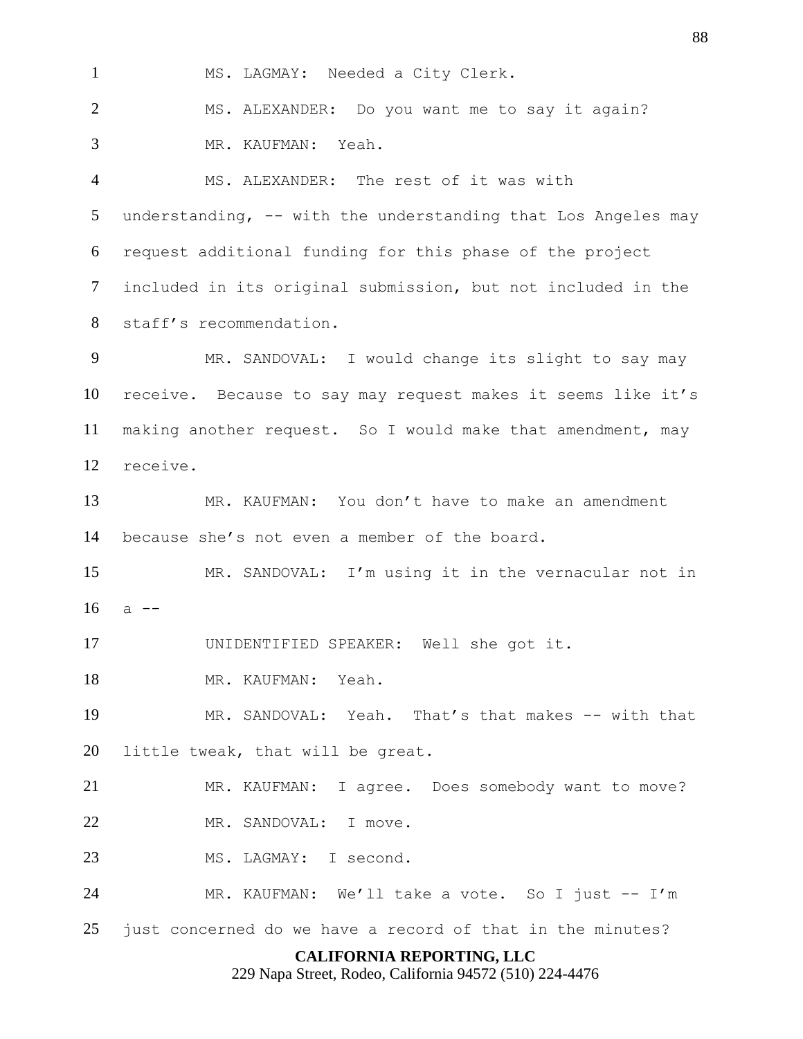**CALIFORNIA REPORTING, LLC** MS. LAGMAY: Needed a City Clerk. MS. ALEXANDER: Do you want me to say it again? MR. KAUFMAN: Yeah. MS. ALEXANDER: The rest of it was with understanding, -- with the understanding that Los Angeles may request additional funding for this phase of the project included in its original submission, but not included in the staff's recommendation. MR. SANDOVAL: I would change its slight to say may receive. Because to say may request makes it seems like it's making another request. So I would make that amendment, may receive. MR. KAUFMAN: You don't have to make an amendment because she's not even a member of the board. MR. SANDOVAL: I'm using it in the vernacular not in a  $-$  UNIDENTIFIED SPEAKER: Well she got it. MR. KAUFMAN: Yeah. 19 MR. SANDOVAL: Yeah. That's that makes -- with that little tweak, that will be great. MR. KAUFMAN: I agree. Does somebody want to move? 22 MR. SANDOVAL: I move. MS. LAGMAY: I second. MR. KAUFMAN: We'll take a vote. So I just -- I'm just concerned do we have a record of that in the minutes?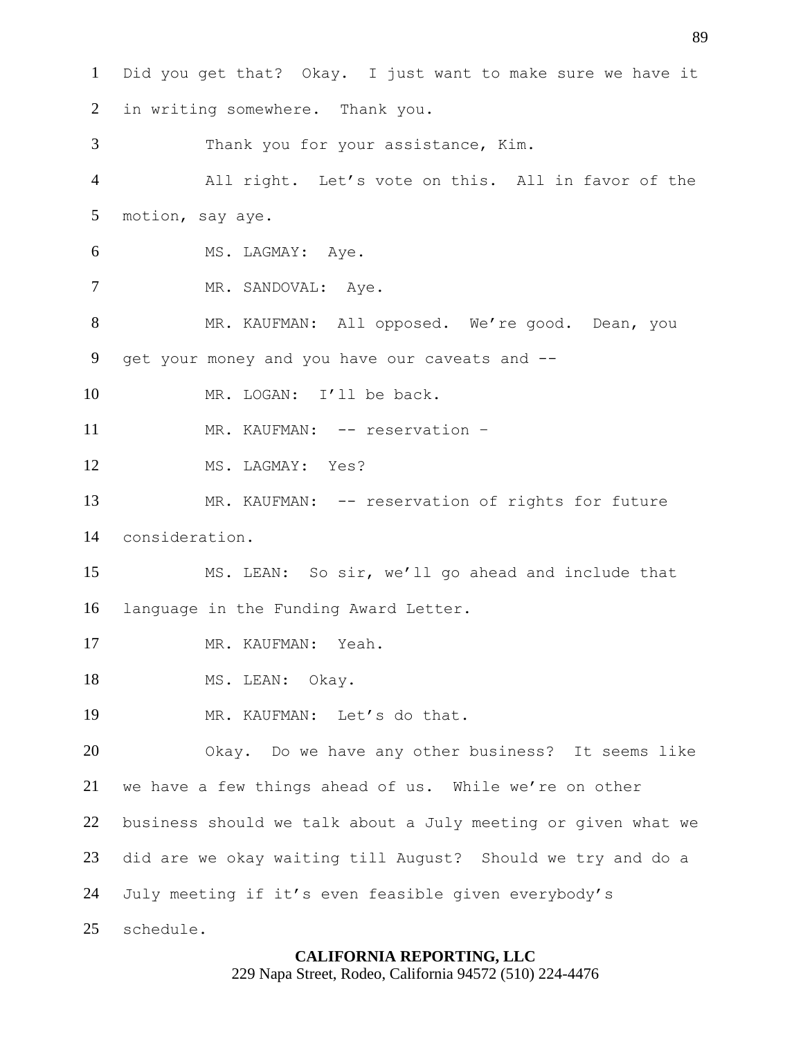Did you get that? Okay. I just want to make sure we have it in writing somewhere. Thank you. Thank you for your assistance, Kim. All right. Let's vote on this. All in favor of the motion, say aye. 6 MS. LAGMAY: Aye. 7 MR. SANDOVAL: Aye. MR. KAUFMAN: All opposed. We're good. Dean, you get your money and you have our caveats and -- 10 MR. LOGAN: I'll be back. 11 MR. KAUFMAN: -- reservation - MS. LAGMAY: Yes? 13 MR. KAUFMAN: -- reservation of rights for future consideration. MS. LEAN: So sir, we'll go ahead and include that language in the Funding Award Letter. MR. KAUFMAN: Yeah. 18 MS. LEAN: Okay. MR. KAUFMAN: Let's do that. Okay. Do we have any other business? It seems like we have a few things ahead of us. While we're on other business should we talk about a July meeting or given what we did are we okay waiting till August? Should we try and do a July meeting if it's even feasible given everybody's schedule.

### **CALIFORNIA REPORTING, LLC**

229 Napa Street, Rodeo, California 94572 (510) 224-4476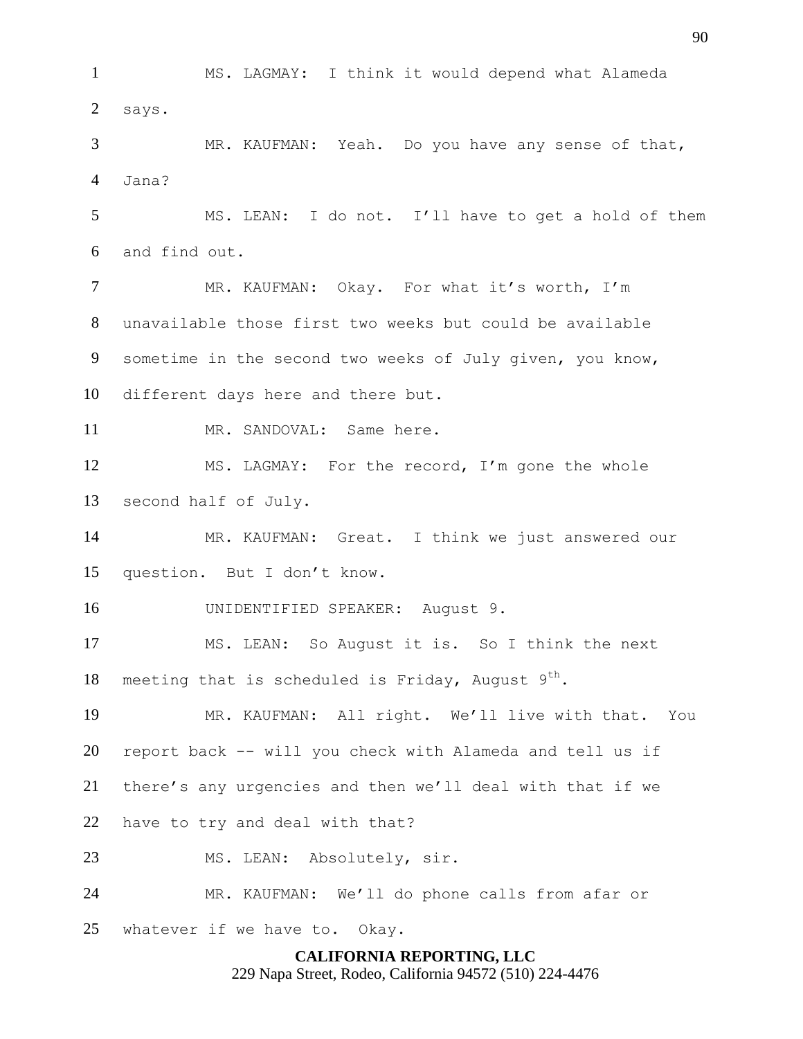**CALIFORNIA REPORTING, LLC** MS. LAGMAY: I think it would depend what Alameda says. MR. KAUFMAN: Yeah. Do you have any sense of that, Jana? MS. LEAN: I do not. I'll have to get a hold of them and find out. MR. KAUFMAN: Okay. For what it's worth, I'm unavailable those first two weeks but could be available sometime in the second two weeks of July given, you know, different days here and there but. 11 MR. SANDOVAL: Same here. MS. LAGMAY: For the record, I'm gone the whole second half of July. MR. KAUFMAN: Great. I think we just answered our question. But I don't know. UNIDENTIFIED SPEAKER: August 9. MS. LEAN: So August it is. So I think the next 18 meeting that is scheduled is Friday, August  $9^{th}$ . MR. KAUFMAN: All right. We'll live with that. You report back -- will you check with Alameda and tell us if there's any urgencies and then we'll deal with that if we have to try and deal with that? MS. LEAN: Absolutely, sir. MR. KAUFMAN: We'll do phone calls from afar or whatever if we have to. Okay.

229 Napa Street, Rodeo, California 94572 (510) 224-4476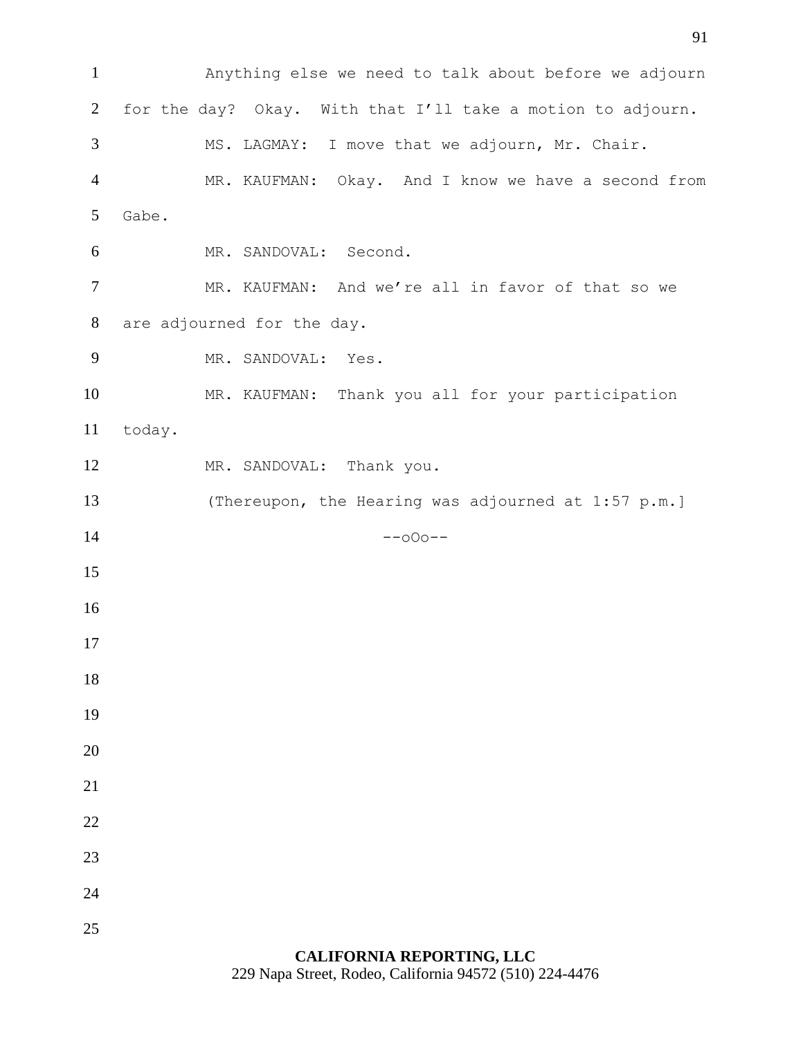Anything else we need to talk about before we adjourn for the day? Okay. With that I'll take a motion to adjourn. MS. LAGMAY: I move that we adjourn, Mr. Chair. MR. KAUFMAN: Okay. And I know we have a second from Gabe. MR. SANDOVAL: Second. 7 MR. KAUFMAN: And we're all in favor of that so we are adjourned for the day. MR. SANDOVAL: Yes. MR. KAUFMAN: Thank you all for your participation today. 12 MR. SANDOVAL: Thank you. (Thereupon, the Hearing was adjourned at 1:57 p.m.] --000--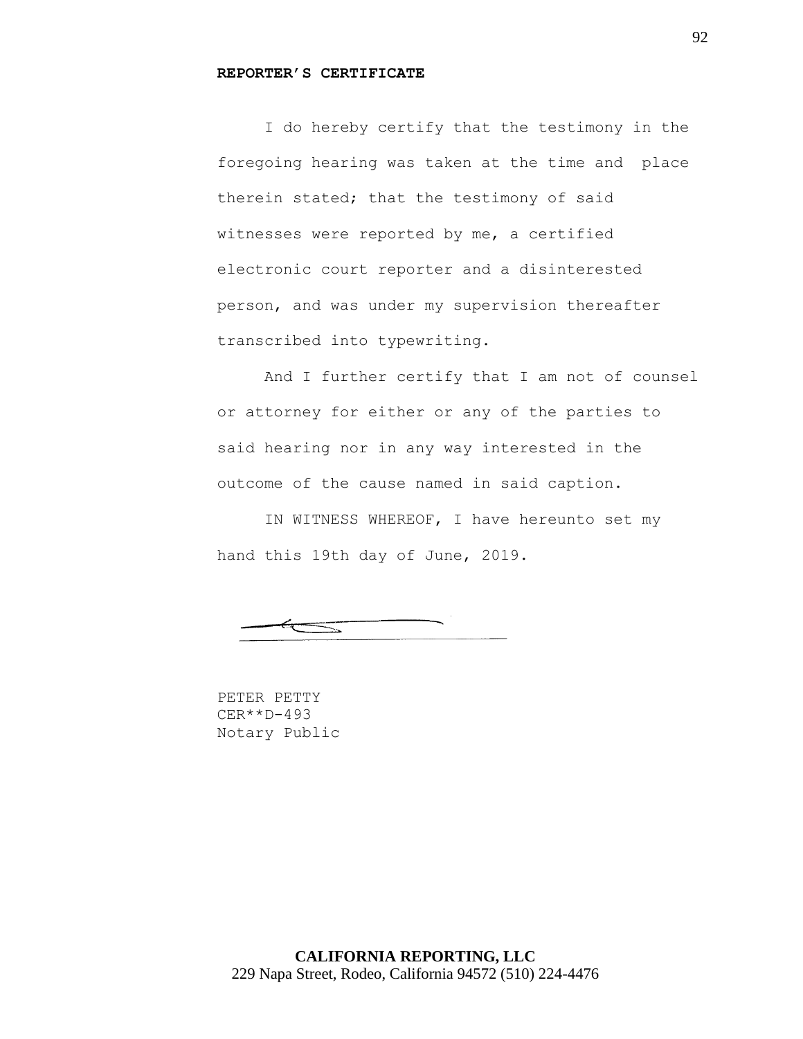### **REPORTER'S CERTIFICATE**

I do hereby certify that the testimony in the foregoing hearing was taken at the time and place therein stated; that the testimony of said witnesses were reported by me, a certified electronic court reporter and a disinterested person, and was under my supervision thereafter transcribed into typewriting.

And I further certify that I am not of counsel or attorney for either or any of the parties to said hearing nor in any way interested in the outcome of the cause named in said caption.

IN WITNESS WHEREOF, I have hereunto set my hand this 19th day of June, 2019.

 $\equiv$ 

PETER PETTY CER\*\*D-493 Notary Public